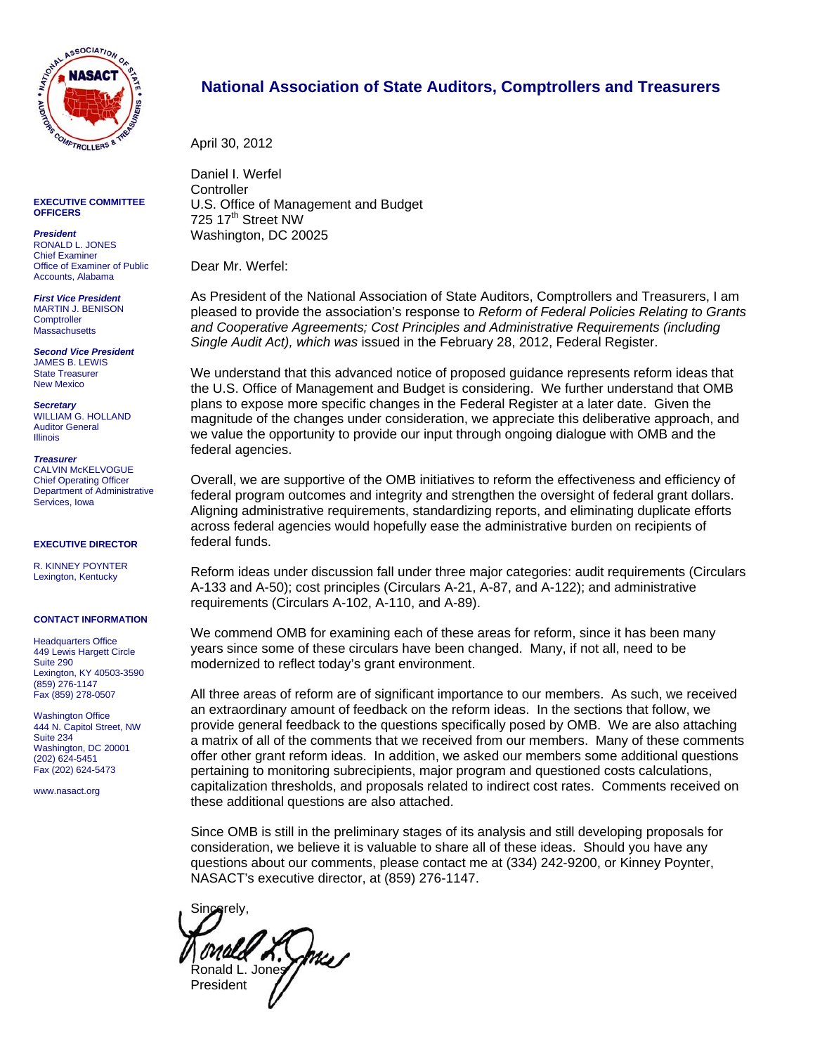

**EXECUTIVE COMMITTEE OFFICERS** 

*President*  RONALD L. JONES Chief Examiner Office of Examiner of Public Accounts, Alabama

*First Vice President*  MARTIN J. BENISON **Comptroller Massachusetts** 

*Second Vice President*  JAMES B. LEWIS State Treasurer New Mexico

*Secretary*  WILLIAM G. HOLLAND Auditor General Illinois

*Treasurer*  CALVIN McKELVOGUE Chief Operating Officer Department of Administrative Services, Iowa

**EXECUTIVE DIRECTOR** 

R. KINNEY POYNTER Lexington, Kentucky

#### **CONTACT INFORMATION**

**Headquarters Office** 449 Lewis Hargett Circle Suite 290 Lexington, KY 40503-3590 (859) 276-1147 Fax (859) 278-0507

Washington Office 444 N. Capitol Street, NW Suite 234 Washington, DC 20001 (202) 624-5451 Fax (202) 624-5473

www.nasact.org

# **National Association of State Auditors, Comptrollers and Treasurers**

April 30, 2012

Daniel I. Werfel **Controller** U.S. Office of Management and Budget 725 17<sup>th</sup> Street NW Washington, DC 20025

Dear Mr. Werfel:

As President of the National Association of State Auditors, Comptrollers and Treasurers, I am pleased to provide the association's response to *Reform of Federal Policies Relating to Grants and Cooperative Agreements; Cost Principles and Administrative Requirements (including Single Audit Act), which was* issued in the February 28, 2012, Federal Register.

We understand that this advanced notice of proposed guidance represents reform ideas that the U.S. Office of Management and Budget is considering. We further understand that OMB plans to expose more specific changes in the Federal Register at a later date. Given the magnitude of the changes under consideration, we appreciate this deliberative approach, and we value the opportunity to provide our input through ongoing dialogue with OMB and the federal agencies.

Overall, we are supportive of the OMB initiatives to reform the effectiveness and efficiency of federal program outcomes and integrity and strengthen the oversight of federal grant dollars. Aligning administrative requirements, standardizing reports, and eliminating duplicate efforts across federal agencies would hopefully ease the administrative burden on recipients of federal funds.

Reform ideas under discussion fall under three major categories: audit requirements (Circulars A-133 and A-50); cost principles (Circulars A-21, A-87, and A-122); and administrative requirements (Circulars A-102, A-110, and A-89).

We commend OMB for examining each of these areas for reform, since it has been many years since some of these circulars have been changed. Many, if not all, need to be modernized to reflect today's grant environment.

All three areas of reform are of significant importance to our members. As such, we received an extraordinary amount of feedback on the reform ideas. In the sections that follow, we provide general feedback to the questions specifically posed by OMB. We are also attaching a matrix of all of the comments that we received from our members. Many of these comments offer other grant reform ideas. In addition, we asked our members some additional questions pertaining to monitoring subrecipients, major program and questioned costs calculations, capitalization thresholds, and proposals related to indirect cost rates. Comments received on these additional questions are also attached.

Since OMB is still in the preliminary stages of its analysis and still developing proposals for consideration, we believe it is valuable to share all of these ideas. Should you have any questions about our comments, please contact me at (334) 242-9200, or Kinney Poynter, NASACT's executive director, at (859) 276-1147.

Sin**ce**rely, vree A. Sheep President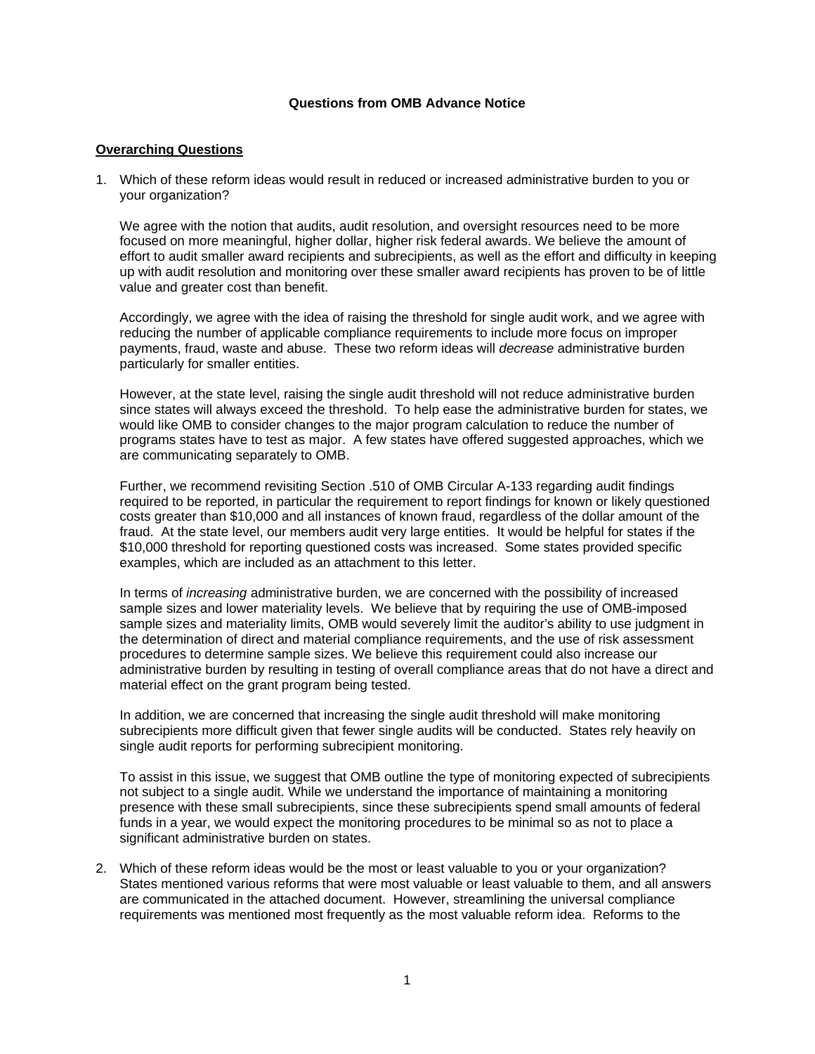#### **Questions from OMB Advance Notice**

#### **Overarching Questions**

1. Which of these reform ideas would result in reduced or increased administrative burden to you or your organization?

We agree with the notion that audits, audit resolution, and oversight resources need to be more focused on more meaningful, higher dollar, higher risk federal awards. We believe the amount of effort to audit smaller award recipients and subrecipients, as well as the effort and difficulty in keeping up with audit resolution and monitoring over these smaller award recipients has proven to be of little value and greater cost than benefit.

Accordingly, we agree with the idea of raising the threshold for single audit work, and we agree with reducing the number of applicable compliance requirements to include more focus on improper payments, fraud, waste and abuse. These two reform ideas will *decrease* administrative burden particularly for smaller entities.

However, at the state level, raising the single audit threshold will not reduce administrative burden since states will always exceed the threshold. To help ease the administrative burden for states, we would like OMB to consider changes to the major program calculation to reduce the number of programs states have to test as major. A few states have offered suggested approaches, which we are communicating separately to OMB.

Further, we recommend revisiting Section .510 of OMB Circular A-133 regarding audit findings required to be reported, in particular the requirement to report findings for known or likely questioned costs greater than \$10,000 and all instances of known fraud, regardless of the dollar amount of the fraud. At the state level, our members audit very large entities. It would be helpful for states if the \$10,000 threshold for reporting questioned costs was increased. Some states provided specific examples, which are included as an attachment to this letter.

In terms of *increasing* administrative burden, we are concerned with the possibility of increased sample sizes and lower materiality levels. We believe that by requiring the use of OMB-imposed sample sizes and materiality limits, OMB would severely limit the auditor's ability to use judgment in the determination of direct and material compliance requirements, and the use of risk assessment procedures to determine sample sizes. We believe this requirement could also increase our administrative burden by resulting in testing of overall compliance areas that do not have a direct and material effect on the grant program being tested.

In addition, we are concerned that increasing the single audit threshold will make monitoring subrecipients more difficult given that fewer single audits will be conducted. States rely heavily on single audit reports for performing subrecipient monitoring.

To assist in this issue, we suggest that OMB outline the type of monitoring expected of subrecipients not subject to a single audit. While we understand the importance of maintaining a monitoring presence with these small subrecipients, since these subrecipients spend small amounts of federal funds in a year, we would expect the monitoring procedures to be minimal so as not to place a significant administrative burden on states.

2. Which of these reform ideas would be the most or least valuable to you or your organization? States mentioned various reforms that were most valuable or least valuable to them, and all answers are communicated in the attached document. However, streamlining the universal compliance requirements was mentioned most frequently as the most valuable reform idea. Reforms to the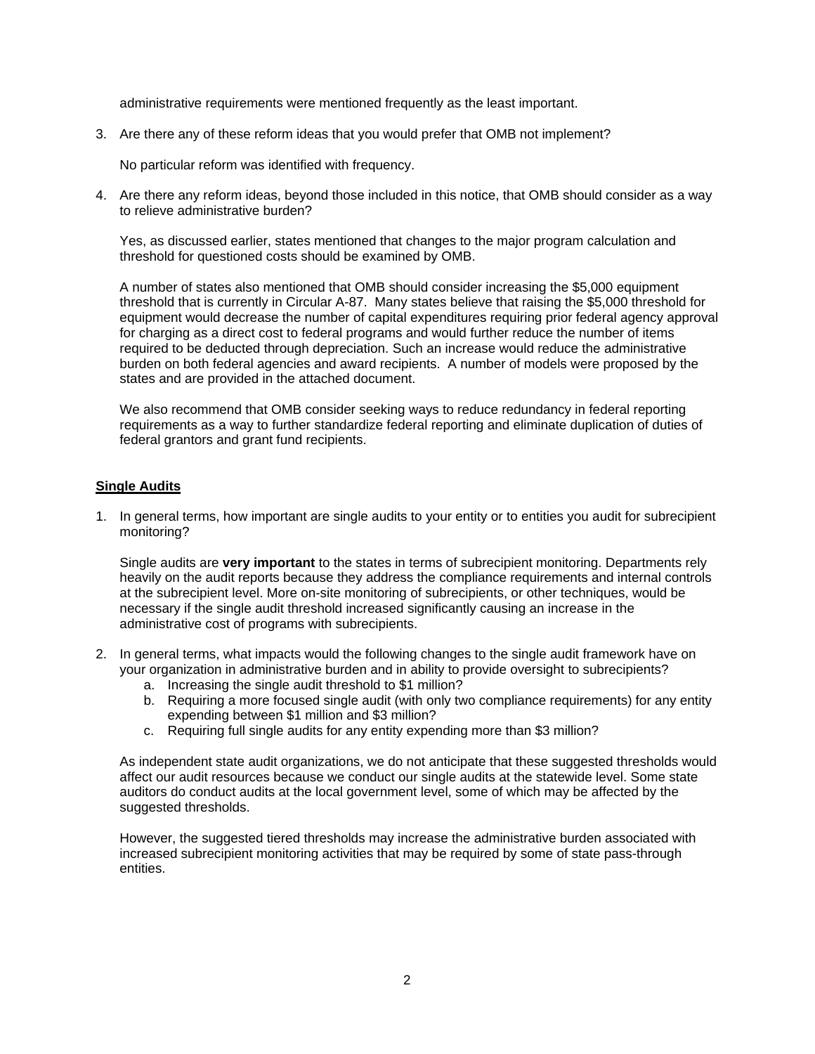administrative requirements were mentioned frequently as the least important.

3. Are there any of these reform ideas that you would prefer that OMB not implement?

No particular reform was identified with frequency.

4. Are there any reform ideas, beyond those included in this notice, that OMB should consider as a way to relieve administrative burden?

Yes, as discussed earlier, states mentioned that changes to the major program calculation and threshold for questioned costs should be examined by OMB.

A number of states also mentioned that OMB should consider increasing the \$5,000 equipment threshold that is currently in Circular A-87. Many states believe that raising the \$5,000 threshold for equipment would decrease the number of capital expenditures requiring prior federal agency approval for charging as a direct cost to federal programs and would further reduce the number of items required to be deducted through depreciation. Such an increase would reduce the administrative burden on both federal agencies and award recipients. A number of models were proposed by the states and are provided in the attached document.

We also recommend that OMB consider seeking ways to reduce redundancy in federal reporting requirements as a way to further standardize federal reporting and eliminate duplication of duties of federal grantors and grant fund recipients.

### **Single Audits**

1. In general terms, how important are single audits to your entity or to entities you audit for subrecipient monitoring?

Single audits are **very important** to the states in terms of subrecipient monitoring. Departments rely heavily on the audit reports because they address the compliance requirements and internal controls at the subrecipient level. More on-site monitoring of subrecipients, or other techniques, would be necessary if the single audit threshold increased significantly causing an increase in the administrative cost of programs with subrecipients.

- 2. In general terms, what impacts would the following changes to the single audit framework have on your organization in administrative burden and in ability to provide oversight to subrecipients?
	- a. Increasing the single audit threshold to \$1 million?
	- b. Requiring a more focused single audit (with only two compliance requirements) for any entity expending between \$1 million and \$3 million?
	- c. Requiring full single audits for any entity expending more than \$3 million?

As independent state audit organizations, we do not anticipate that these suggested thresholds would affect our audit resources because we conduct our single audits at the statewide level. Some state auditors do conduct audits at the local government level, some of which may be affected by the suggested thresholds.

However, the suggested tiered thresholds may increase the administrative burden associated with increased subrecipient monitoring activities that may be required by some of state pass-through entities.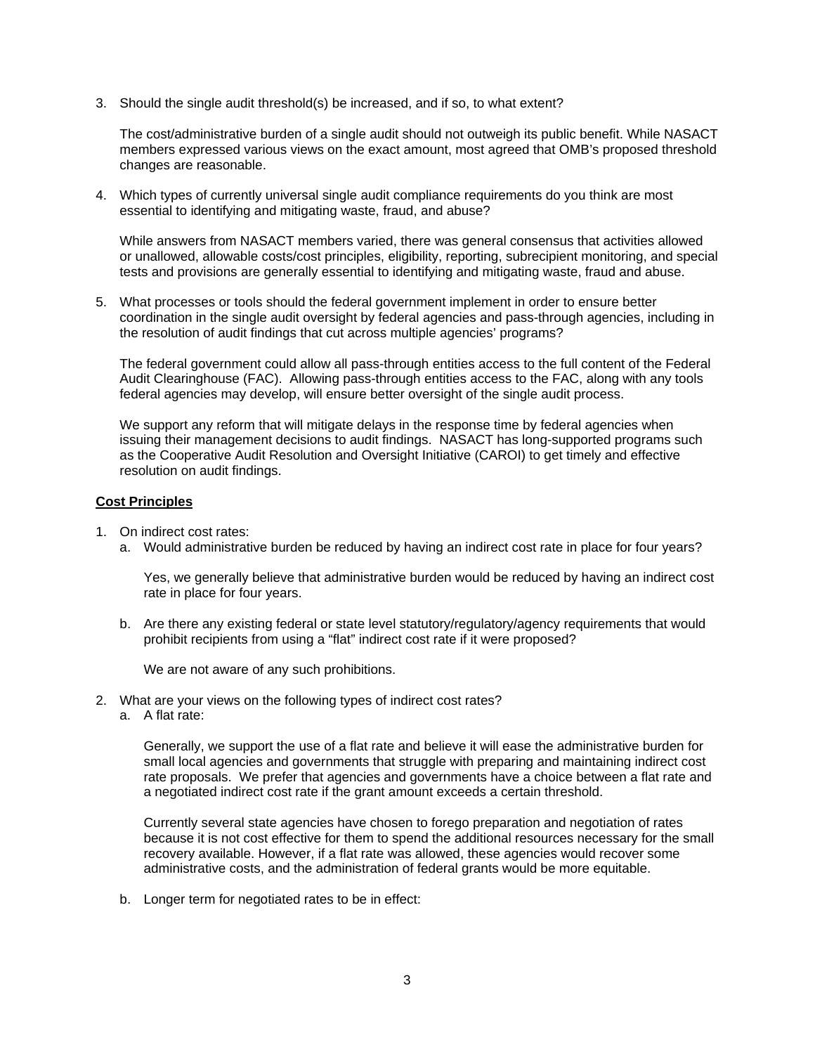3. Should the single audit threshold(s) be increased, and if so, to what extent?

The cost/administrative burden of a single audit should not outweigh its public benefit. While NASACT members expressed various views on the exact amount, most agreed that OMB's proposed threshold changes are reasonable.

4. Which types of currently universal single audit compliance requirements do you think are most essential to identifying and mitigating waste, fraud, and abuse?

While answers from NASACT members varied, there was general consensus that activities allowed or unallowed, allowable costs/cost principles, eligibility, reporting, subrecipient monitoring, and special tests and provisions are generally essential to identifying and mitigating waste, fraud and abuse.

5. What processes or tools should the federal government implement in order to ensure better coordination in the single audit oversight by federal agencies and pass-through agencies, including in the resolution of audit findings that cut across multiple agencies' programs?

The federal government could allow all pass-through entities access to the full content of the Federal Audit Clearinghouse (FAC). Allowing pass-through entities access to the FAC, along with any tools federal agencies may develop, will ensure better oversight of the single audit process.

We support any reform that will mitigate delays in the response time by federal agencies when issuing their management decisions to audit findings. NASACT has long-supported programs such as the Cooperative Audit Resolution and Oversight Initiative (CAROI) to get timely and effective resolution on audit findings.

### **Cost Principles**

- 1. On indirect cost rates:
	- a. Would administrative burden be reduced by having an indirect cost rate in place for four years?

Yes, we generally believe that administrative burden would be reduced by having an indirect cost rate in place for four years.

b. Are there any existing federal or state level statutory/regulatory/agency requirements that would prohibit recipients from using a "flat" indirect cost rate if it were proposed?

We are not aware of any such prohibitions.

- 2. What are your views on the following types of indirect cost rates?
	- a. A flat rate:

Generally, we support the use of a flat rate and believe it will ease the administrative burden for small local agencies and governments that struggle with preparing and maintaining indirect cost rate proposals. We prefer that agencies and governments have a choice between a flat rate and a negotiated indirect cost rate if the grant amount exceeds a certain threshold.

Currently several state agencies have chosen to forego preparation and negotiation of rates because it is not cost effective for them to spend the additional resources necessary for the small recovery available. However, if a flat rate was allowed, these agencies would recover some administrative costs, and the administration of federal grants would be more equitable.

b. Longer term for negotiated rates to be in effect: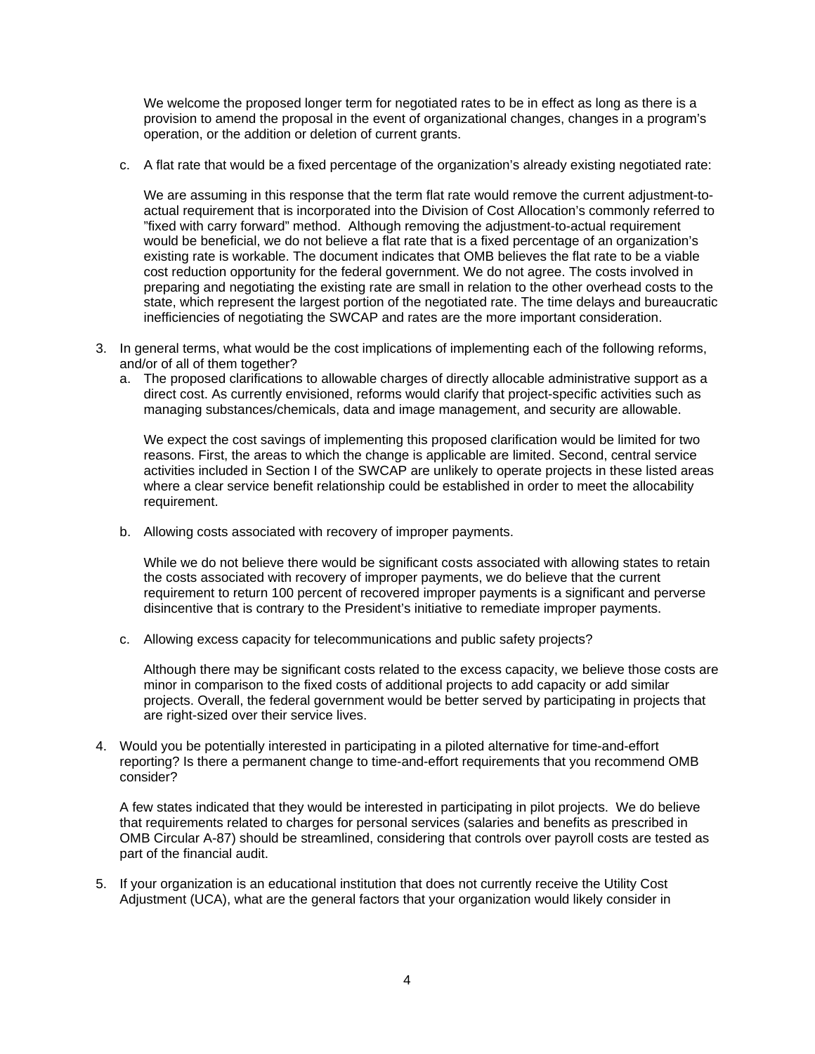We welcome the proposed longer term for negotiated rates to be in effect as long as there is a provision to amend the proposal in the event of organizational changes, changes in a program's operation, or the addition or deletion of current grants.

c. A flat rate that would be a fixed percentage of the organization's already existing negotiated rate:

We are assuming in this response that the term flat rate would remove the current adjustment-toactual requirement that is incorporated into the Division of Cost Allocation's commonly referred to "fixed with carry forward" method. Although removing the adjustment-to-actual requirement would be beneficial, we do not believe a flat rate that is a fixed percentage of an organization's existing rate is workable. The document indicates that OMB believes the flat rate to be a viable cost reduction opportunity for the federal government. We do not agree. The costs involved in preparing and negotiating the existing rate are small in relation to the other overhead costs to the state, which represent the largest portion of the negotiated rate. The time delays and bureaucratic inefficiencies of negotiating the SWCAP and rates are the more important consideration.

- 3. In general terms, what would be the cost implications of implementing each of the following reforms, and/or of all of them together?
	- a. The proposed clarifications to allowable charges of directly allocable administrative support as a direct cost. As currently envisioned, reforms would clarify that project-specific activities such as managing substances/chemicals, data and image management, and security are allowable.

We expect the cost savings of implementing this proposed clarification would be limited for two reasons. First, the areas to which the change is applicable are limited. Second, central service activities included in Section I of the SWCAP are unlikely to operate projects in these listed areas where a clear service benefit relationship could be established in order to meet the allocability requirement.

b. Allowing costs associated with recovery of improper payments.

While we do not believe there would be significant costs associated with allowing states to retain the costs associated with recovery of improper payments, we do believe that the current requirement to return 100 percent of recovered improper payments is a significant and perverse disincentive that is contrary to the President's initiative to remediate improper payments.

c. Allowing excess capacity for telecommunications and public safety projects?

Although there may be significant costs related to the excess capacity, we believe those costs are minor in comparison to the fixed costs of additional projects to add capacity or add similar projects. Overall, the federal government would be better served by participating in projects that are right-sized over their service lives.

4. Would you be potentially interested in participating in a piloted alternative for time-and-effort reporting? Is there a permanent change to time-and-effort requirements that you recommend OMB consider?

A few states indicated that they would be interested in participating in pilot projects. We do believe that requirements related to charges for personal services (salaries and benefits as prescribed in OMB Circular A-87) should be streamlined, considering that controls over payroll costs are tested as part of the financial audit.

5. If your organization is an educational institution that does not currently receive the Utility Cost Adjustment (UCA), what are the general factors that your organization would likely consider in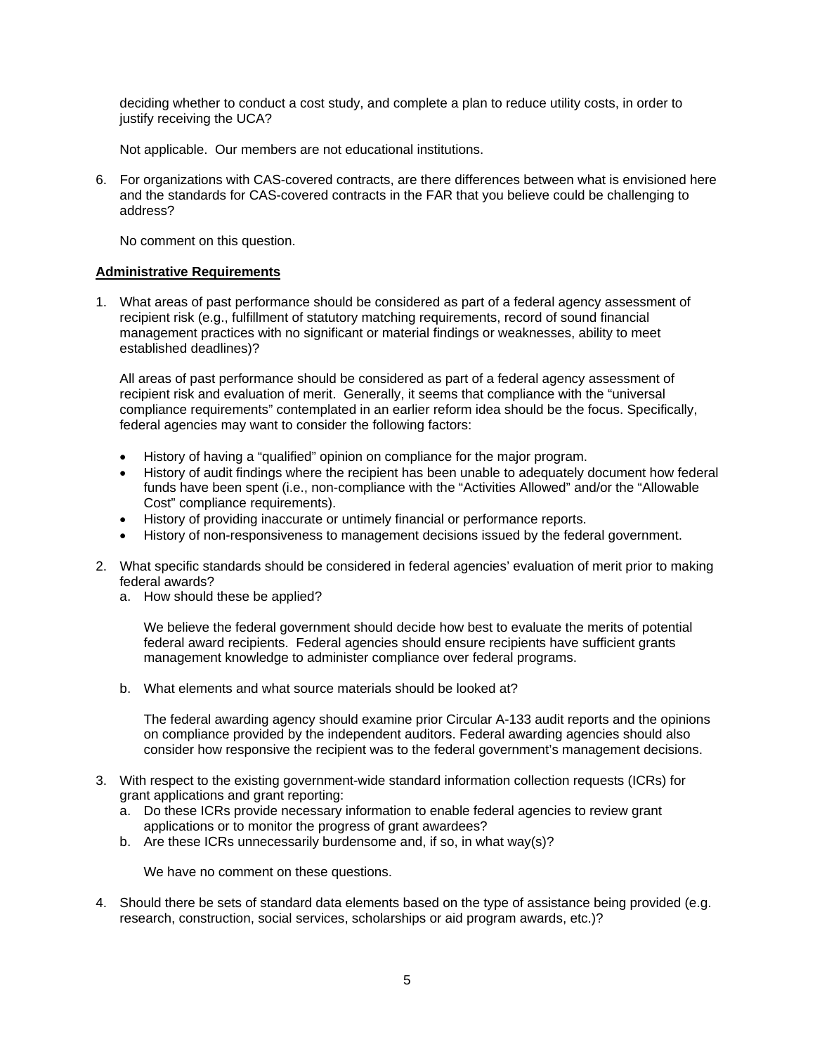deciding whether to conduct a cost study, and complete a plan to reduce utility costs, in order to justify receiving the UCA?

Not applicable. Our members are not educational institutions.

6. For organizations with CAS-covered contracts, are there differences between what is envisioned here and the standards for CAS-covered contracts in the FAR that you believe could be challenging to address?

No comment on this question.

### **Administrative Requirements**

1. What areas of past performance should be considered as part of a federal agency assessment of recipient risk (e.g., fulfillment of statutory matching requirements, record of sound financial management practices with no significant or material findings or weaknesses, ability to meet established deadlines)?

All areas of past performance should be considered as part of a federal agency assessment of recipient risk and evaluation of merit. Generally, it seems that compliance with the "universal compliance requirements" contemplated in an earlier reform idea should be the focus. Specifically, federal agencies may want to consider the following factors:

- History of having a "qualified" opinion on compliance for the major program.
- History of audit findings where the recipient has been unable to adequately document how federal funds have been spent (i.e., non-compliance with the "Activities Allowed" and/or the "Allowable Cost" compliance requirements).
- History of providing inaccurate or untimely financial or performance reports.
- History of non-responsiveness to management decisions issued by the federal government.
- 2. What specific standards should be considered in federal agencies' evaluation of merit prior to making federal awards?
	- a. How should these be applied?

We believe the federal government should decide how best to evaluate the merits of potential federal award recipients. Federal agencies should ensure recipients have sufficient grants management knowledge to administer compliance over federal programs.

b. What elements and what source materials should be looked at?

The federal awarding agency should examine prior Circular A-133 audit reports and the opinions on compliance provided by the independent auditors. Federal awarding agencies should also consider how responsive the recipient was to the federal government's management decisions.

- 3. With respect to the existing government-wide standard information collection requests (ICRs) for grant applications and grant reporting:
	- a. Do these ICRs provide necessary information to enable federal agencies to review grant applications or to monitor the progress of grant awardees?
	- b. Are these ICRs unnecessarily burdensome and, if so, in what way(s)?

We have no comment on these questions.

4. Should there be sets of standard data elements based on the type of assistance being provided (e.g. research, construction, social services, scholarships or aid program awards, etc.)?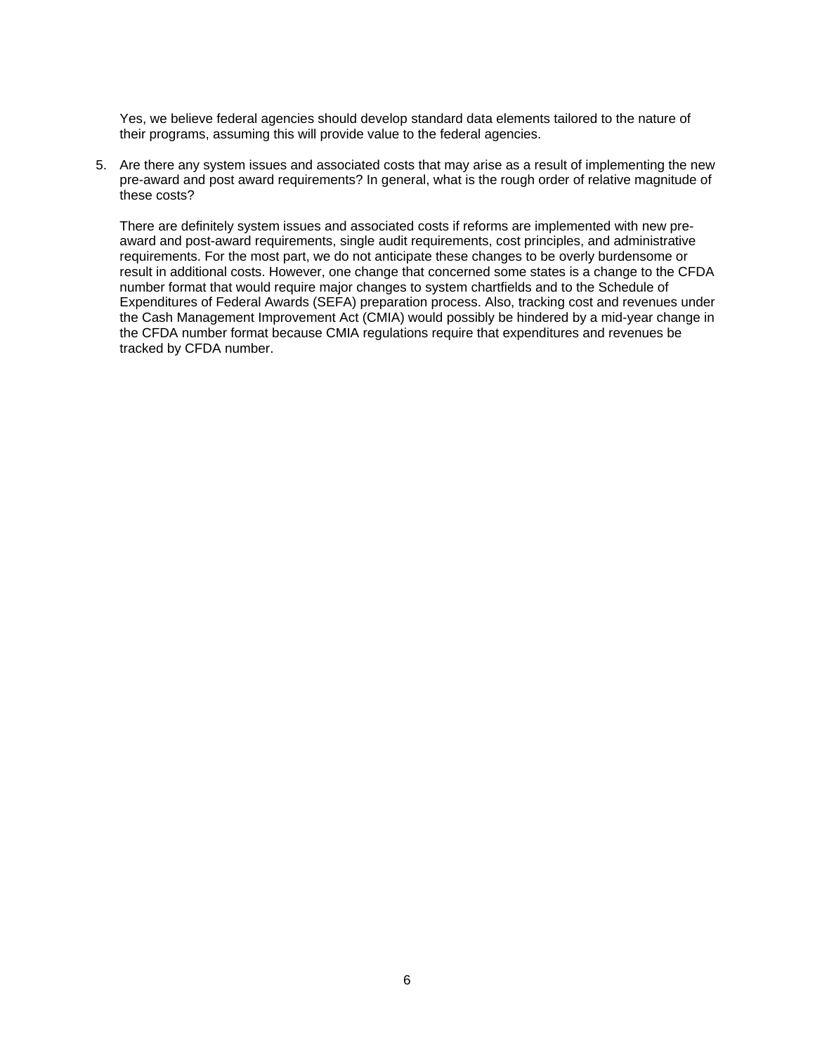Yes, we believe federal agencies should develop standard data elements tailored to the nature of their programs, assuming this will provide value to the federal agencies.

5. Are there any system issues and associated costs that may arise as a result of implementing the new pre-award and post award requirements? In general, what is the rough order of relative magnitude of these costs?

There are definitely system issues and associated costs if reforms are implemented with new preaward and post-award requirements, single audit requirements, cost principles, and administrative requirements. For the most part, we do not anticipate these changes to be overly burdensome or result in additional costs. However, one change that concerned some states is a change to the CFDA number format that would require major changes to system chartfields and to the Schedule of Expenditures of Federal Awards (SEFA) preparation process. Also, tracking cost and revenues under the Cash Management Improvement Act (CMIA) would possibly be hindered by a mid-year change in the CFDA number format because CMIA regulations require that expenditures and revenues be tracked by CFDA number.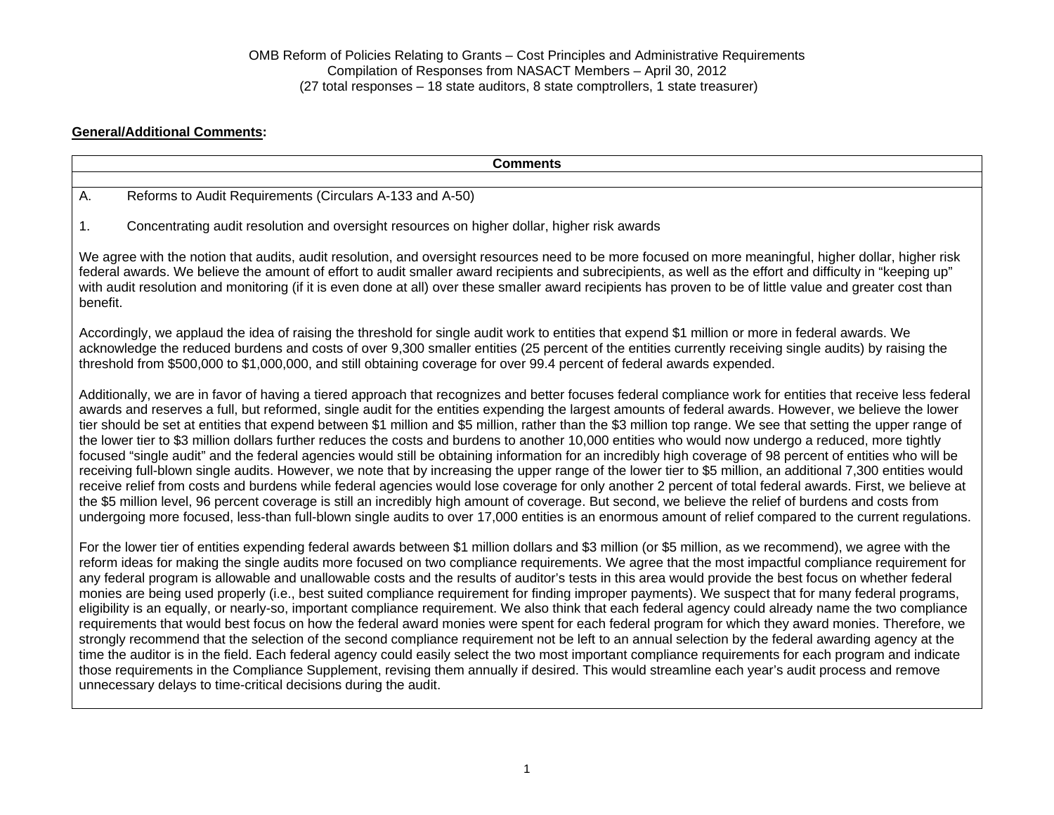### **General/Additional Comments:**

| <b>Comments</b>                                                                                                                                                                                                                                                                                                                                                                                                                                                                                                                                                                                                                                                                                                                                                                                                                                                                                                                                                                                                                                                                                                                                                                                                                                                                                                                                                                                                                                                                       |
|---------------------------------------------------------------------------------------------------------------------------------------------------------------------------------------------------------------------------------------------------------------------------------------------------------------------------------------------------------------------------------------------------------------------------------------------------------------------------------------------------------------------------------------------------------------------------------------------------------------------------------------------------------------------------------------------------------------------------------------------------------------------------------------------------------------------------------------------------------------------------------------------------------------------------------------------------------------------------------------------------------------------------------------------------------------------------------------------------------------------------------------------------------------------------------------------------------------------------------------------------------------------------------------------------------------------------------------------------------------------------------------------------------------------------------------------------------------------------------------|
| Reforms to Audit Requirements (Circulars A-133 and A-50)<br>Α.                                                                                                                                                                                                                                                                                                                                                                                                                                                                                                                                                                                                                                                                                                                                                                                                                                                                                                                                                                                                                                                                                                                                                                                                                                                                                                                                                                                                                        |
| Concentrating audit resolution and oversight resources on higher dollar, higher risk awards<br>1.                                                                                                                                                                                                                                                                                                                                                                                                                                                                                                                                                                                                                                                                                                                                                                                                                                                                                                                                                                                                                                                                                                                                                                                                                                                                                                                                                                                     |
| We agree with the notion that audits, audit resolution, and oversight resources need to be more focused on more meaningful, higher dollar, higher risk<br>federal awards. We believe the amount of effort to audit smaller award recipients and subrecipients, as well as the effort and difficulty in "keeping up"<br>with audit resolution and monitoring (if it is even done at all) over these smaller award recipients has proven to be of little value and greater cost than<br>benefit.                                                                                                                                                                                                                                                                                                                                                                                                                                                                                                                                                                                                                                                                                                                                                                                                                                                                                                                                                                                        |
| Accordingly, we applaud the idea of raising the threshold for single audit work to entities that expend \$1 million or more in federal awards. We<br>acknowledge the reduced burdens and costs of over 9,300 smaller entities (25 percent of the entities currently receiving single audits) by raising the<br>threshold from \$500,000 to \$1,000,000, and still obtaining coverage for over 99.4 percent of federal awards expended.                                                                                                                                                                                                                                                                                                                                                                                                                                                                                                                                                                                                                                                                                                                                                                                                                                                                                                                                                                                                                                                |
| Additionally, we are in favor of having a tiered approach that recognizes and better focuses federal compliance work for entities that receive less federal<br>awards and reserves a full, but reformed, single audit for the entities expending the largest amounts of federal awards. However, we believe the lower<br>tier should be set at entities that expend between \$1 million and \$5 million, rather than the \$3 million top range. We see that setting the upper range of<br>the lower tier to \$3 million dollars further reduces the costs and burdens to another 10,000 entities who would now undergo a reduced, more tightly<br>focused "single audit" and the federal agencies would still be obtaining information for an incredibly high coverage of 98 percent of entities who will be<br>receiving full-blown single audits. However, we note that by increasing the upper range of the lower tier to \$5 million, an additional 7,300 entities would<br>receive relief from costs and burdens while federal agencies would lose coverage for only another 2 percent of total federal awards. First, we believe at<br>the \$5 million level, 96 percent coverage is still an incredibly high amount of coverage. But second, we believe the relief of burdens and costs from<br>undergoing more focused, less-than full-blown single audits to over 17,000 entities is an enormous amount of relief compared to the current regulations.                       |
| For the lower tier of entities expending federal awards between \$1 million dollars and \$3 million (or \$5 million, as we recommend), we agree with the<br>reform ideas for making the single audits more focused on two compliance requirements. We agree that the most impactful compliance requirement for<br>any federal program is allowable and unallowable costs and the results of auditor's tests in this area would provide the best focus on whether federal<br>monies are being used properly (i.e., best suited compliance requirement for finding improper payments). We suspect that for many federal programs,<br>eligibility is an equally, or nearly-so, important compliance requirement. We also think that each federal agency could already name the two compliance<br>requirements that would best focus on how the federal award monies were spent for each federal program for which they award monies. Therefore, we<br>strongly recommend that the selection of the second compliance requirement not be left to an annual selection by the federal awarding agency at the<br>time the auditor is in the field. Each federal agency could easily select the two most important compliance requirements for each program and indicate<br>those requirements in the Compliance Supplement, revising them annually if desired. This would streamline each year's audit process and remove<br>unnecessary delays to time-critical decisions during the audit. |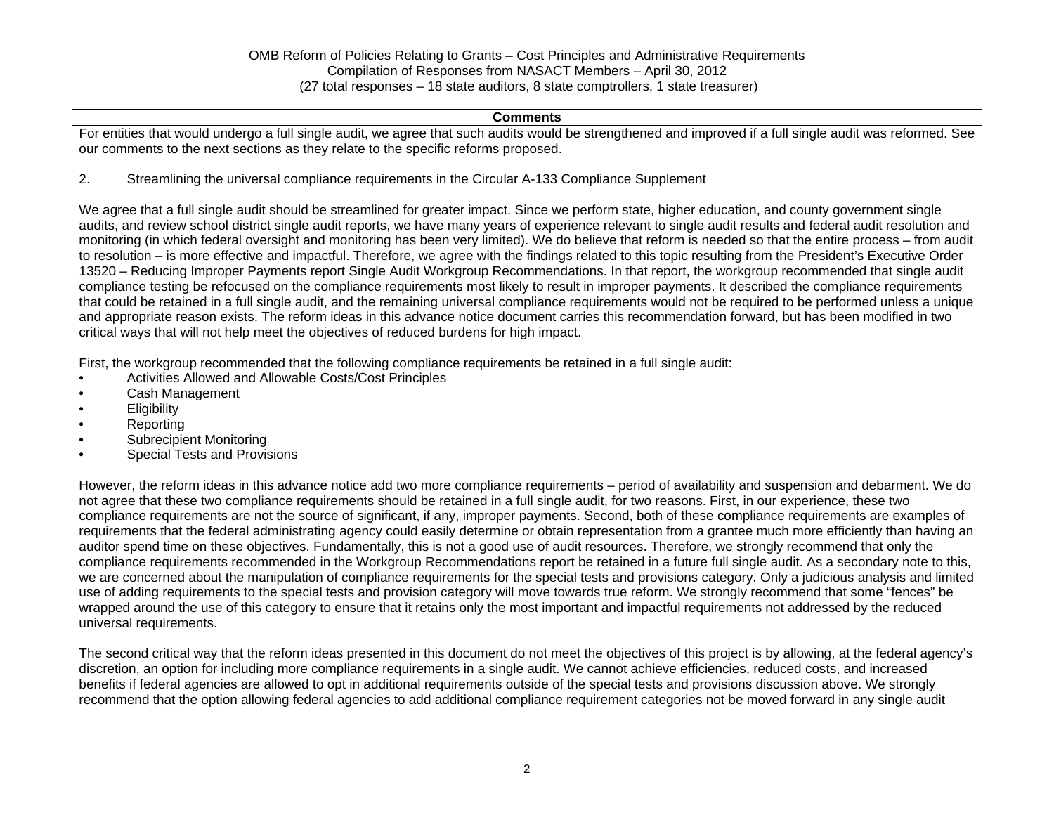#### **Comments**

For entities that would undergo a full single audit, we agree that such audits would be strengthened and improved if a full single audit was reformed. See our comments to the next sections as they relate to the specific reforms proposed.

2. Streamlining the universal compliance requirements in the Circular A-133 Compliance Supplement

We agree that a full single audit should be streamlined for greater impact. Since we perform state, higher education, and county government single audits, and review school district single audit reports, we have many years of experience relevant to single audit results and federal audit resolution and monitoring (in which federal oversight and monitoring has been very limited). We do believe that reform is needed so that the entire process – from audit to resolution – is more effective and impactful. Therefore, we agree with the findings related to this topic resulting from the President's Executive Order 13520 – Reducing Improper Payments report Single Audit Workgroup Recommendations. In that report, the workgroup recommended that single audit compliance testing be refocused on the compliance requirements most likely to result in improper payments. It described the compliance requirements that could be retained in a full single audit, and the remaining universal compliance requirements would not be required to be performed unless a unique and appropriate reason exists. The reform ideas in this advance notice document carries this recommendation forward, but has been modified in two critical ways that will not help meet the objectives of reduced burdens for high impact.

First, the workgroup recommended that the following compliance requirements be retained in a full single audit:

- Activities Allowed and Allowable Costs/Cost Principles
- Cash Management
- Eligibility
- Reporting
- Subrecipient Monitoring
- Special Tests and Provisions

However, the reform ideas in this advance notice add two more compliance requirements – period of availability and suspension and debarment. We do not agree that these two compliance requirements should be retained in a full single audit, for two reasons. First, in our experience, these two compliance requirements are not the source of significant, if any, improper payments. Second, both of these compliance requirements are examples of requirements that the federal administrating agency could easily determine or obtain representation from a grantee much more efficiently than having an auditor spend time on these objectives. Fundamentally, this is not a good use of audit resources. Therefore, we strongly recommend that only the compliance requirements recommended in the Workgroup Recommendations report be retained in a future full single audit. As a secondary note to this, we are concerned about the manipulation of compliance requirements for the special tests and provisions category. Only a judicious analysis and limited use of adding requirements to the special tests and provision category will move towards true reform. We strongly recommend that some "fences" be wrapped around the use of this category to ensure that it retains only the most important and impactful requirements not addressed by the reduced universal requirements.

The second critical way that the reform ideas presented in this document do not meet the objectives of this project is by allowing, at the federal agency's discretion, an option for including more compliance requirements in a single audit. We cannot achieve efficiencies, reduced costs, and increased benefits if federal agencies are allowed to opt in additional requirements outside of the special tests and provisions discussion above. We strongly recommend that the option allowing federal agencies to add additional compliance requirement categories not be moved forward in any single audit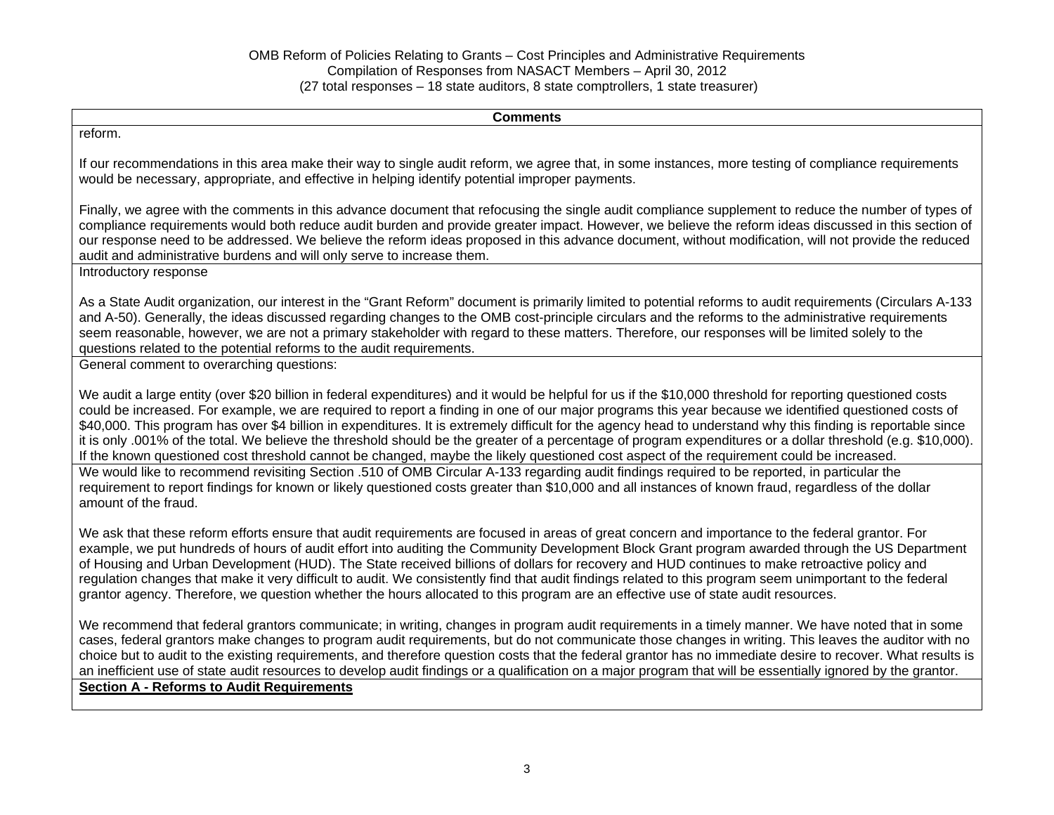**Comments** reform. If our recommendations in this area make their way to single audit reform, we agree that, in some instances, more testing of compliance requirements would be necessary, appropriate, and effective in helping identify potential improper payments. Finally, we agree with the comments in this advance document that refocusing the single audit compliance supplement to reduce the number of types of compliance requirements would both reduce audit burden and provide greater impact. However, we believe the reform ideas discussed in this section of our response need to be addressed. We believe the reform ideas proposed in this advance document, without modification, will not provide the reduced audit and administrative burdens and will only serve to increase them. Introductory response As a State Audit organization, our interest in the "Grant Reform" document is primarily limited to potential reforms to audit requirements (Circulars A-133 and A-50). Generally, the ideas discussed regarding changes to the OMB cost-principle circulars and the reforms to the administrative requirements seem reasonable, however, we are not a primary stakeholder with regard to these matters. Therefore, our responses will be limited solely to the questions related to the potential reforms to the audit requirements. General comment to overarching questions: We audit a large entity (over \$20 billion in federal expenditures) and it would be helpful for us if the \$10,000 threshold for reporting questioned costs could be increased. For example, we are required to report a finding in one of our major programs this year because we identified questioned costs of \$40,000. This program has over \$4 billion in expenditures. It is extremely difficult for the agency head to understand why this finding is reportable since it is only .001% of the total. We believe the threshold should be the greater of a percentage of program expenditures or a dollar threshold (e.g. \$10,000). If the known questioned cost threshold cannot be changed, maybe the likely questioned cost aspect of the requirement could be increased. We would like to recommend revisiting Section .510 of OMB Circular A-133 regarding audit findings required to be reported, in particular the requirement to report findings for known or likely questioned costs greater than \$10,000 and all instances of known fraud, regardless of the dollar amount of the fraud. We ask that these reform efforts ensure that audit requirements are focused in areas of great concern and importance to the federal grantor. For example, we put hundreds of hours of audit effort into auditing the Community Development Block Grant program awarded through the US Department of Housing and Urban Development (HUD). The State received billions of dollars for recovery and HUD continues to make retroactive policy and regulation changes that make it very difficult to audit. We consistently find that audit findings related to this program seem unimportant to the federal grantor agency. Therefore, we question whether the hours allocated to this program are an effective use of state audit resources. We recommend that federal grantors communicate; in writing, changes in program audit requirements in a timely manner. We have noted that in some cases, federal grantors make changes to program audit requirements, but do not communicate those changes in writing. This leaves the auditor with no choice but to audit to the existing requirements, and therefore question costs that the federal grantor has no immediate desire to recover. What results is an inefficient use of state audit resources to develop audit findings or a qualification on a major program that will be essentially ignored by the grantor.

**Section A - Reforms to Audit Requirements**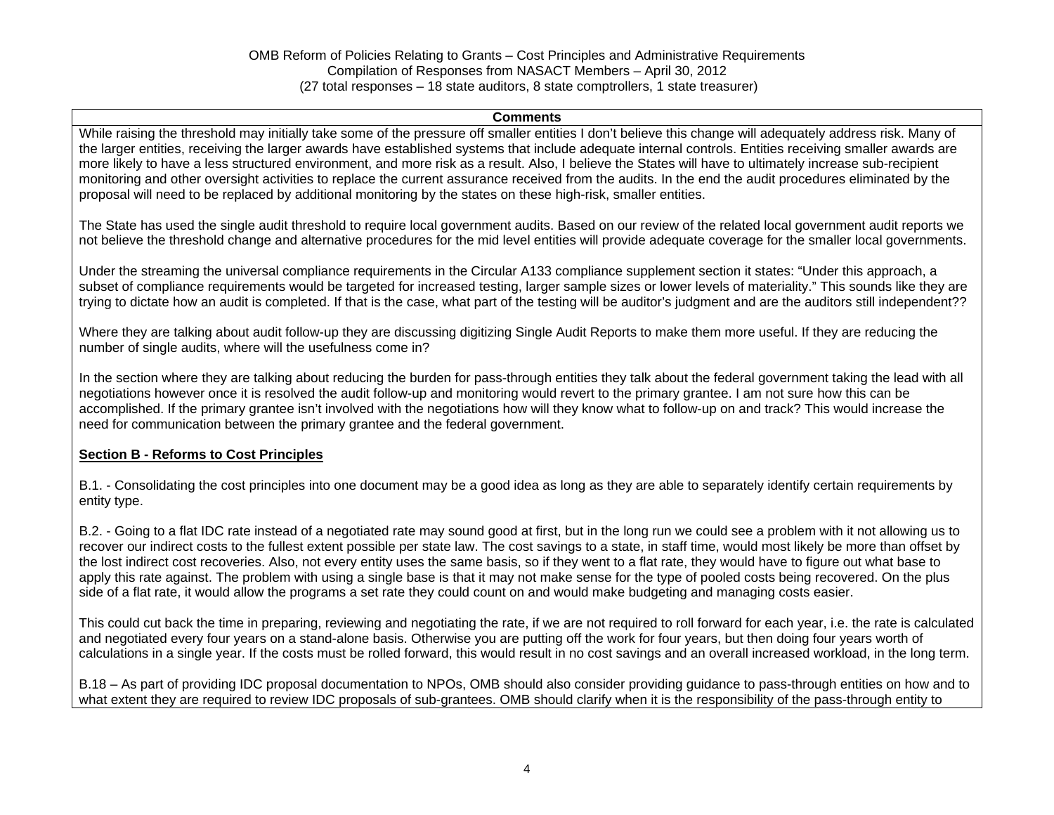#### **Comments**

While raising the threshold may initially take some of the pressure off smaller entities I don't believe this change will adequately address risk. Many of the larger entities, receiving the larger awards have established systems that include adequate internal controls. Entities receiving smaller awards are more likely to have a less structured environment, and more risk as a result. Also, I believe the States will have to ultimately increase sub-recipient monitoring and other oversight activities to replace the current assurance received from the audits. In the end the audit procedures eliminated by the proposal will need to be replaced by additional monitoring by the states on these high-risk, smaller entities.

The State has used the single audit threshold to require local government audits. Based on our review of the related local government audit reports we not believe the threshold change and alternative procedures for the mid level entities will provide adequate coverage for the smaller local governments.

Under the streaming the universal compliance requirements in the Circular A133 compliance supplement section it states: "Under this approach, a subset of compliance requirements would be targeted for increased testing, larger sample sizes or lower levels of materiality." This sounds like they are trying to dictate how an audit is completed. If that is the case, what part of the testing will be auditor's judgment and are the auditors still independent??

Where they are talking about audit follow-up they are discussing digitizing Single Audit Reports to make them more useful. If they are reducing the number of single audits, where will the usefulness come in?

In the section where they are talking about reducing the burden for pass-through entities they talk about the federal government taking the lead with all negotiations however once it is resolved the audit follow-up and monitoring would revert to the primary grantee. I am not sure how this can be accomplished. If the primary grantee isn't involved with the negotiations how will they know what to follow-up on and track? This would increase the need for communication between the primary grantee and the federal government.

### **Section B - Reforms to Cost Principles**

B.1. - Consolidating the cost principles into one document may be a good idea as long as they are able to separately identify certain requirements by entity type.

B.2. - Going to a flat IDC rate instead of a negotiated rate may sound good at first, but in the long run we could see a problem with it not allowing us to recover our indirect costs to the fullest extent possible per state law. The cost savings to a state, in staff time, would most likely be more than offset by the lost indirect cost recoveries. Also, not every entity uses the same basis, so if they went to a flat rate, they would have to figure out what base to apply this rate against. The problem with using a single base is that it may not make sense for the type of pooled costs being recovered. On the plus side of a flat rate, it would allow the programs a set rate they could count on and would make budgeting and managing costs easier.

This could cut back the time in preparing, reviewing and negotiating the rate, if we are not required to roll forward for each year, i.e. the rate is calculated and negotiated every four years on a stand-alone basis. Otherwise you are putting off the work for four years, but then doing four years worth of calculations in a single year. If the costs must be rolled forward, this would result in no cost savings and an overall increased workload, in the long term.

B.18 – As part of providing IDC proposal documentation to NPOs, OMB should also consider providing guidance to pass-through entities on how and to what extent they are required to review IDC proposals of sub-grantees. OMB should clarify when it is the responsibility of the pass-through entity to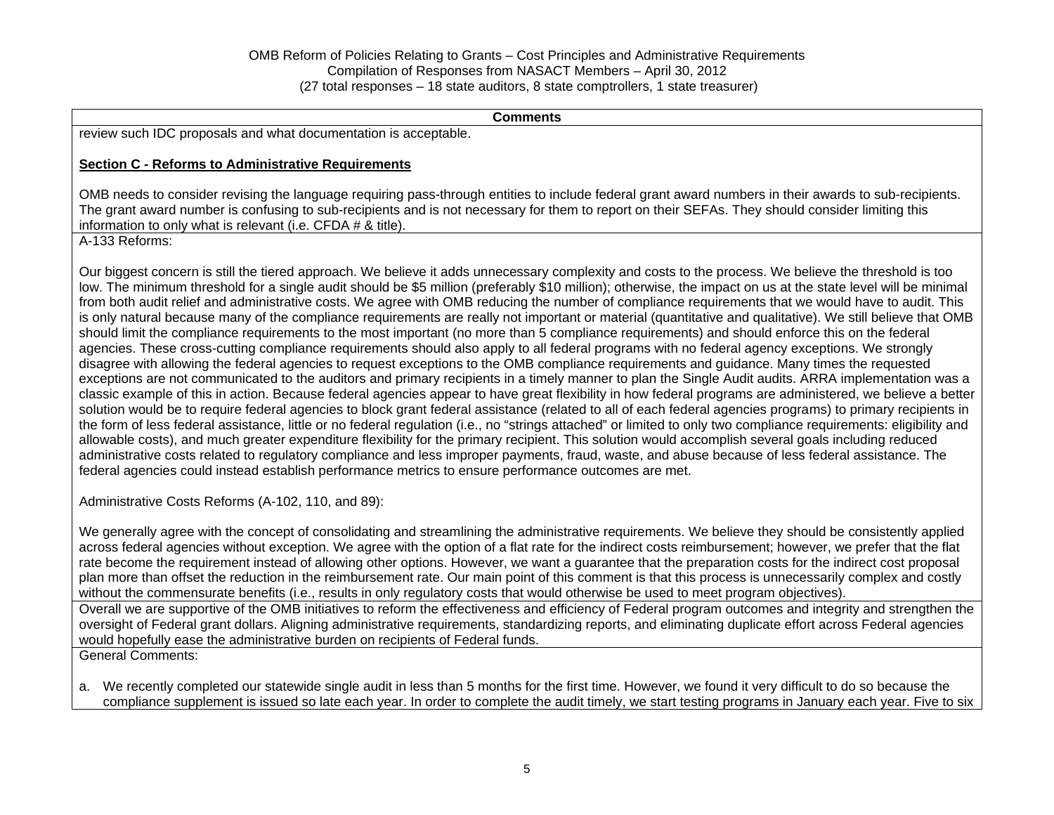**Comments** 

review such IDC proposals and what documentation is acceptable.

### **Section C - Reforms to Administrative Requirements**

OMB needs to consider revising the language requiring pass-through entities to include federal grant award numbers in their awards to sub-recipients. The grant award number is confusing to sub-recipients and is not necessary for them to report on their SEFAs. They should consider limiting this information to only what is relevant (i.e. CFDA # & title).

A-133 Reforms:

Our biggest concern is still the tiered approach. We believe it adds unnecessary complexity and costs to the process. We believe the threshold is too low. The minimum threshold for a single audit should be \$5 million (preferably \$10 million); otherwise, the impact on us at the state level will be minimal from both audit relief and administrative costs. We agree with OMB reducing the number of compliance requirements that we would have to audit. This is only natural because many of the compliance requirements are really not important or material (quantitative and qualitative). We still believe that OMB should limit the compliance requirements to the most important (no more than 5 compliance requirements) and should enforce this on the federal agencies. These cross-cutting compliance requirements should also apply to all federal programs with no federal agency exceptions. We strongly disagree with allowing the federal agencies to request exceptions to the OMB compliance requirements and guidance. Many times the requested exceptions are not communicated to the auditors and primary recipients in a timely manner to plan the Single Audit audits. ARRA implementation was a classic example of this in action. Because federal agencies appear to have great flexibility in how federal programs are administered, we believe a better solution would be to require federal agencies to block grant federal assistance (related to all of each federal agencies programs) to primary recipients in the form of less federal assistance, little or no federal regulation (i.e., no "strings attached" or limited to only two compliance requirements: eligibility and allowable costs), and much greater expenditure flexibility for the primary recipient. This solution would accomplish several goals including reduced administrative costs related to regulatory compliance and less improper payments, fraud, waste, and abuse because of less federal assistance. The federal agencies could instead establish performance metrics to ensure performance outcomes are met.

Administrative Costs Reforms (A-102, 110, and 89):

We generally agree with the concept of consolidating and streamlining the administrative requirements. We believe they should be consistently applied across federal agencies without exception. We agree with the option of a flat rate for the indirect costs reimbursement; however, we prefer that the flat rate become the requirement instead of allowing other options. However, we want a guarantee that the preparation costs for the indirect cost proposal plan more than offset the reduction in the reimbursement rate. Our main point of this comment is that this process is unnecessarily complex and costly without the commensurate benefits (i.e., results in only regulatory costs that would otherwise be used to meet program objectives).

Overall we are supportive of the OMB initiatives to reform the effectiveness and efficiency of Federal program outcomes and integrity and strengthen the oversight of Federal grant dollars. Aligning administrative requirements, standardizing reports, and eliminating duplicate effort across Federal agencies would hopefully ease the administrative burden on recipients of Federal funds.

General Comments:

a. We recently completed our statewide single audit in less than 5 months for the first time. However, we found it very difficult to do so because the compliance supplement is issued so late each year. In order to complete the audit timely, we start testing programs in January each year. Five to six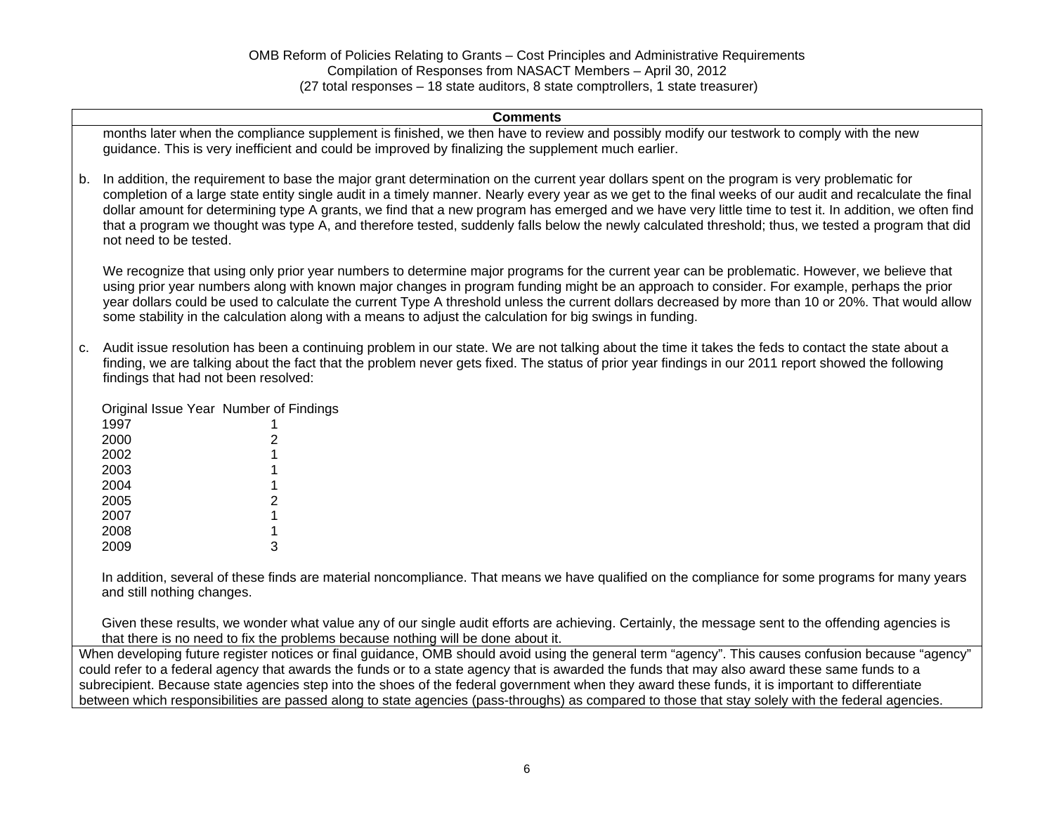|    | <b>Comments</b>                                                                                                                                                                                                                                                                                                                                                                                                                                                                                                                                                                                                                                      |
|----|------------------------------------------------------------------------------------------------------------------------------------------------------------------------------------------------------------------------------------------------------------------------------------------------------------------------------------------------------------------------------------------------------------------------------------------------------------------------------------------------------------------------------------------------------------------------------------------------------------------------------------------------------|
|    | months later when the compliance supplement is finished, we then have to review and possibly modify our testwork to comply with the new<br>guidance. This is very inefficient and could be improved by finalizing the supplement much earlier.                                                                                                                                                                                                                                                                                                                                                                                                       |
| b. | In addition, the requirement to base the major grant determination on the current year dollars spent on the program is very problematic for<br>completion of a large state entity single audit in a timely manner. Nearly every year as we get to the final weeks of our audit and recalculate the final<br>dollar amount for determining type A grants, we find that a new program has emerged and we have very little time to test it. In addition, we often find<br>that a program we thought was type A, and therefore tested, suddenly falls below the newly calculated threshold; thus, we tested a program that did<br>not need to be tested. |
|    | We recognize that using only prior year numbers to determine major programs for the current year can be problematic. However, we believe that<br>using prior year numbers along with known major changes in program funding might be an approach to consider. For example, perhaps the prior<br>year dollars could be used to calculate the current Type A threshold unless the current dollars decreased by more than 10 or 20%. That would allow<br>some stability in the calculation along with a means to adjust the calculation for big swings in funding.                                                                                      |
| c. | Audit issue resolution has been a continuing problem in our state. We are not talking about the time it takes the feds to contact the state about a<br>finding, we are talking about the fact that the problem never gets fixed. The status of prior year findings in our 2011 report showed the following<br>findings that had not been resolved:                                                                                                                                                                                                                                                                                                   |
|    | Original Issue Year Number of Findings                                                                                                                                                                                                                                                                                                                                                                                                                                                                                                                                                                                                               |
|    | 1997                                                                                                                                                                                                                                                                                                                                                                                                                                                                                                                                                                                                                                                 |
|    | 2000                                                                                                                                                                                                                                                                                                                                                                                                                                                                                                                                                                                                                                                 |
|    | 2002                                                                                                                                                                                                                                                                                                                                                                                                                                                                                                                                                                                                                                                 |
|    | 2003                                                                                                                                                                                                                                                                                                                                                                                                                                                                                                                                                                                                                                                 |
|    | 2004<br>2005<br>2                                                                                                                                                                                                                                                                                                                                                                                                                                                                                                                                                                                                                                    |
|    | 2007                                                                                                                                                                                                                                                                                                                                                                                                                                                                                                                                                                                                                                                 |
|    | 2008                                                                                                                                                                                                                                                                                                                                                                                                                                                                                                                                                                                                                                                 |
|    | 3<br>2009                                                                                                                                                                                                                                                                                                                                                                                                                                                                                                                                                                                                                                            |
|    | In addition, several of these finds are material noncompliance. That means we have qualified on the compliance for some programs for many years<br>and still nothing changes.                                                                                                                                                                                                                                                                                                                                                                                                                                                                        |
|    | Given these results, we wonder what value any of our single audit efforts are achieving. Certainly, the message sent to the offending agencies is<br>that there is no need to fix the problems because nothing will be done about it.                                                                                                                                                                                                                                                                                                                                                                                                                |
|    | When developing future register notices or final guidance, OMB should avoid using the general term "agency". This causes confusion because "agency"                                                                                                                                                                                                                                                                                                                                                                                                                                                                                                  |
|    | could refer to a federal agency that awards the funds or to a state agency that is awarded the funds that may also award these same funds to a                                                                                                                                                                                                                                                                                                                                                                                                                                                                                                       |
|    | subrecipient. Because state agencies step into the shoes of the federal government when they award these funds, it is important to differentiate                                                                                                                                                                                                                                                                                                                                                                                                                                                                                                     |

between which responsibilities are passed along to state agencies (pass-throughs) as compared to those that stay solely with the federal agencies.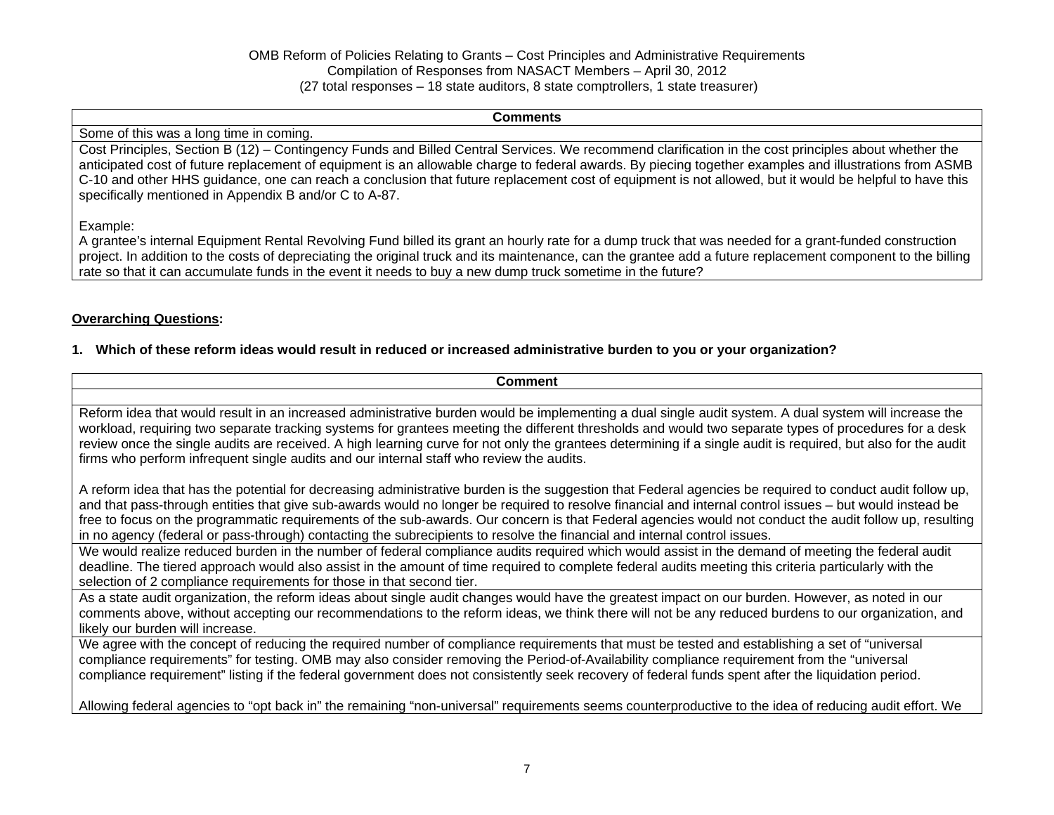#### **Comments**

#### Some of this was a long time in coming.

Cost Principles, Section B (12) – Contingency Funds and Billed Central Services. We recommend clarification in the cost principles about whether the anticipated cost of future replacement of equipment is an allowable charge to federal awards. By piecing together examples and illustrations from ASMB C-10 and other HHS guidance, one can reach a conclusion that future replacement cost of equipment is not allowed, but it would be helpful to have this specifically mentioned in Appendix B and/or C to A-87.

#### Example:

A grantee's internal Equipment Rental Revolving Fund billed its grant an hourly rate for a dump truck that was needed for a grant-funded construction project. In addition to the costs of depreciating the original truck and its maintenance, can the grantee add a future replacement component to the billing rate so that it can accumulate funds in the event it needs to buy a new dump truck sometime in the future?

### **Overarching Questions:**

### **1. Which of these reform ideas would result in reduced or increased administrative burden to you or your organization?**

| <b>Comment</b>                                                                                                                                                                                                                                                                                                                                                                                                                                                                                                                                                                                               |
|--------------------------------------------------------------------------------------------------------------------------------------------------------------------------------------------------------------------------------------------------------------------------------------------------------------------------------------------------------------------------------------------------------------------------------------------------------------------------------------------------------------------------------------------------------------------------------------------------------------|
|                                                                                                                                                                                                                                                                                                                                                                                                                                                                                                                                                                                                              |
| Reform idea that would result in an increased administrative burden would be implementing a dual single audit system. A dual system will increase the<br>workload, requiring two separate tracking systems for grantees meeting the different thresholds and would two separate types of procedures for a desk<br>review once the single audits are received. A high learning curve for not only the grantees determining if a single audit is required, but also for the audit<br>firms who perform infrequent single audits and our internal staff who review the audits.                                  |
| A reform idea that has the potential for decreasing administrative burden is the suggestion that Federal agencies be required to conduct audit follow up,<br>and that pass-through entities that give sub-awards would no longer be required to resolve financial and internal control issues – but would instead be<br>free to focus on the programmatic requirements of the sub-awards. Our concern is that Federal agencies would not conduct the audit follow up, resulting<br>in no agency (federal or pass-through) contacting the subrecipients to resolve the financial and internal control issues. |
| We would realize reduced burden in the number of federal compliance audits required which would assist in the demand of meeting the federal audit<br>deadline. The tiered approach would also assist in the amount of time required to complete federal audits meeting this criteria particularly with the<br>selection of 2 compliance requirements for those in that second tier.                                                                                                                                                                                                                          |
| As a state audit organization, the reform ideas about single audit changes would have the greatest impact on our burden. However, as noted in our<br>comments above, without accepting our recommendations to the reform ideas, we think there will not be any reduced burdens to our organization, and<br>likely our burden will increase.                                                                                                                                                                                                                                                                  |
| We agree with the concept of reducing the required number of compliance requirements that must be tested and establishing a set of "universal<br>compliance requirements" for testing. OMB may also consider removing the Period-of-Availability compliance requirement from the "universal<br>compliance requirement" listing if the federal government does not consistently seek recovery of federal funds spent after the liquidation period.                                                                                                                                                            |
| Allowing federal agencies to "opt back in" the remaining "non-universal" requirements seems counterproductive to the idea of reducing audit effort. We                                                                                                                                                                                                                                                                                                                                                                                                                                                       |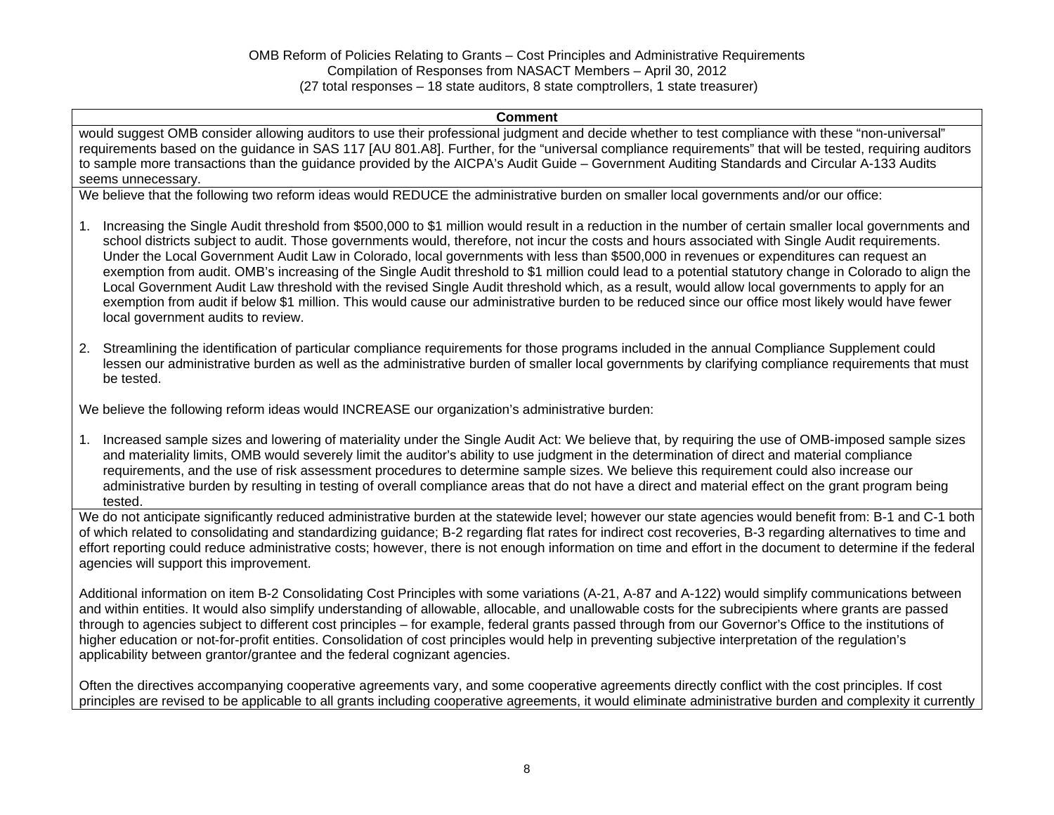#### **Comment**

would suggest OMB consider allowing auditors to use their professional judgment and decide whether to test compliance with these "non-universal" requirements based on the guidance in SAS 117 [AU 801.A8]. Further, for the "universal compliance requirements" that will be tested, requiring auditors to sample more transactions than the guidance provided by the AICPA's Audit Guide – Government Auditing Standards and Circular A-133 Audits seems unnecessary.

We believe that the following two reform ideas would REDUCE the administrative burden on smaller local governments and/or our office:

- 1. Increasing the Single Audit threshold from \$500,000 to \$1 million would result in a reduction in the number of certain smaller local governments and school districts subject to audit. Those governments would, therefore, not incur the costs and hours associated with Single Audit requirements. Under the Local Government Audit Law in Colorado, local governments with less than \$500,000 in revenues or expenditures can request an exemption from audit. OMB's increasing of the Single Audit threshold to \$1 million could lead to a potential statutory change in Colorado to align the Local Government Audit Law threshold with the revised Single Audit threshold which, as a result, would allow local governments to apply for an exemption from audit if below \$1 million. This would cause our administrative burden to be reduced since our office most likely would have fewer local government audits to review.
- 2. Streamlining the identification of particular compliance requirements for those programs included in the annual Compliance Supplement could lessen our administrative burden as well as the administrative burden of smaller local governments by clarifying compliance requirements that must be tested.

We believe the following reform ideas would INCREASE our organization's administrative burden:

1. Increased sample sizes and lowering of materiality under the Single Audit Act: We believe that, by requiring the use of OMB-imposed sample sizes and materiality limits, OMB would severely limit the auditor's ability to use judgment in the determination of direct and material compliance requirements, and the use of risk assessment procedures to determine sample sizes. We believe this requirement could also increase our administrative burden by resulting in testing of overall compliance areas that do not have a direct and material effect on the grant program being tested.

We do not anticipate significantly reduced administrative burden at the statewide level; however our state agencies would benefit from: B-1 and C-1 both of which related to consolidating and standardizing guidance; B-2 regarding flat rates for indirect cost recoveries, B-3 regarding alternatives to time and effort reporting could reduce administrative costs; however, there is not enough information on time and effort in the document to determine if the federal agencies will support this improvement.

Additional information on item B-2 Consolidating Cost Principles with some variations (A-21, A-87 and A-122) would simplify communications between and within entities. It would also simplify understanding of allowable, allocable, and unallowable costs for the subrecipients where grants are passed through to agencies subject to different cost principles – for example, federal grants passed through from our Governor's Office to the institutions of higher education or not-for-profit entities. Consolidation of cost principles would help in preventing subjective interpretation of the regulation's applicability between grantor/grantee and the federal cognizant agencies.

Often the directives accompanying cooperative agreements vary, and some cooperative agreements directly conflict with the cost principles. If cost principles are revised to be applicable to all grants including cooperative agreements, it would eliminate administrative burden and complexity it currently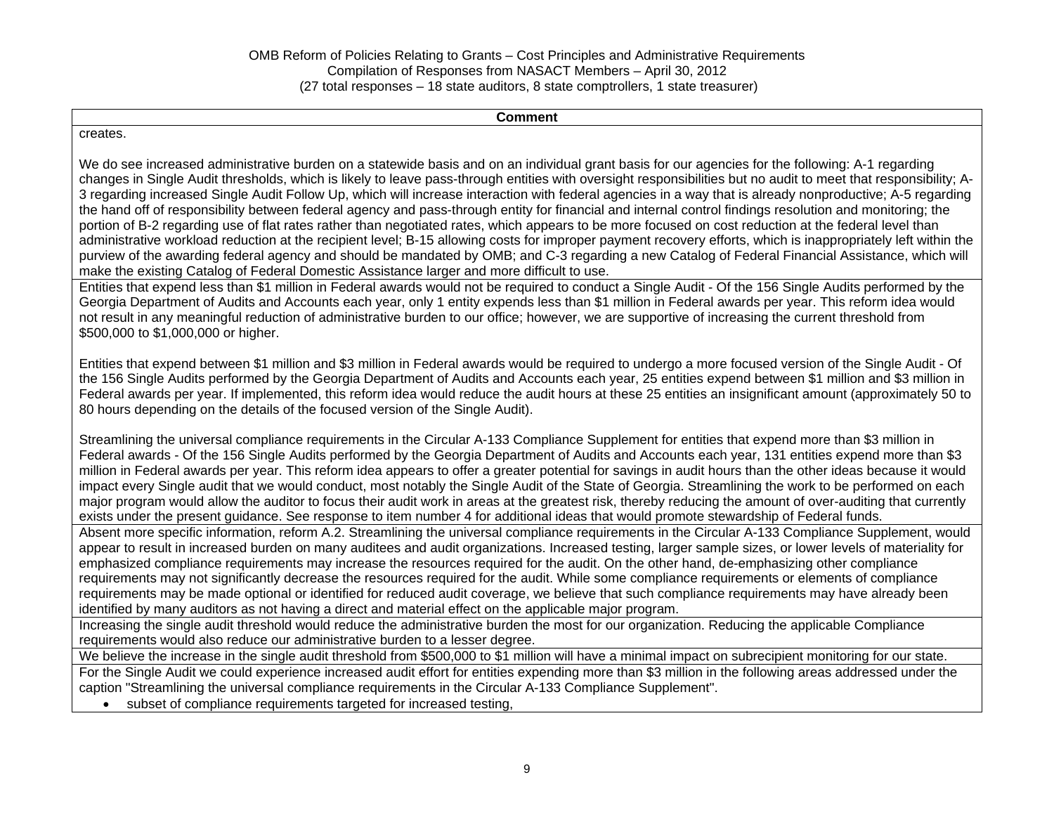**Comment** 

creates.

We do see increased administrative burden on a statewide basis and on an individual grant basis for our agencies for the following: A-1 regarding changes in Single Audit thresholds, which is likely to leave pass-through entities with oversight responsibilities but no audit to meet that responsibility; A-3 regarding increased Single Audit Follow Up, which will increase interaction with federal agencies in a way that is already nonproductive; A-5 regarding the hand off of responsibility between federal agency and pass-through entity for financial and internal control findings resolution and monitoring; the portion of B-2 regarding use of flat rates rather than negotiated rates, which appears to be more focused on cost reduction at the federal level than administrative workload reduction at the recipient level; B-15 allowing costs for improper payment recovery efforts, which is inappropriately left within the purview of the awarding federal agency and should be mandated by OMB; and C-3 regarding a new Catalog of Federal Financial Assistance, which will make the existing Catalog of Federal Domestic Assistance larger and more difficult to use.

Entities that expend less than \$1 million in Federal awards would not be required to conduct a Single Audit - Of the 156 Single Audits performed by the Georgia Department of Audits and Accounts each year, only 1 entity expends less than \$1 million in Federal awards per year. This reform idea would not result in any meaningful reduction of administrative burden to our office; however, we are supportive of increasing the current threshold from \$500,000 to \$1,000,000 or higher.

Entities that expend between \$1 million and \$3 million in Federal awards would be required to undergo a more focused version of the Single Audit - Of the 156 Single Audits performed by the Georgia Department of Audits and Accounts each year, 25 entities expend between \$1 million and \$3 million in Federal awards per year. If implemented, this reform idea would reduce the audit hours at these 25 entities an insignificant amount (approximately 50 to 80 hours depending on the details of the focused version of the Single Audit).

Streamlining the universal compliance requirements in the Circular A-133 Compliance Supplement for entities that expend more than \$3 million in Federal awards - Of the 156 Single Audits performed by the Georgia Department of Audits and Accounts each year, 131 entities expend more than \$3 million in Federal awards per year. This reform idea appears to offer a greater potential for savings in audit hours than the other ideas because it would impact every Single audit that we would conduct, most notably the Single Audit of the State of Georgia. Streamlining the work to be performed on each major program would allow the auditor to focus their audit work in areas at the greatest risk, thereby reducing the amount of over-auditing that currently exists under the present guidance. See response to item number 4 for additional ideas that would promote stewardship of Federal funds.

Absent more specific information, reform A.2. Streamlining the universal compliance requirements in the Circular A-133 Compliance Supplement, would appear to result in increased burden on many auditees and audit organizations. Increased testing, larger sample sizes, or lower levels of materiality for emphasized compliance requirements may increase the resources required for the audit. On the other hand, de-emphasizing other compliance requirements may not significantly decrease the resources required for the audit. While some compliance requirements or elements of compliance requirements may be made optional or identified for reduced audit coverage, we believe that such compliance requirements may have already been identified by many auditors as not having a direct and material effect on the applicable major program.

Increasing the single audit threshold would reduce the administrative burden the most for our organization. Reducing the applicable Compliance requirements would also reduce our administrative burden to a lesser degree.

We believe the increase in the single audit threshold from \$500,000 to \$1 million will have a minimal impact on subrecipient monitoring for our state.

For the Single Audit we could experience increased audit effort for entities expending more than \$3 million in the following areas addressed under the caption "Streamlining the universal compliance requirements in the Circular A-133 Compliance Supplement".

subset of compliance requirements targeted for increased testing,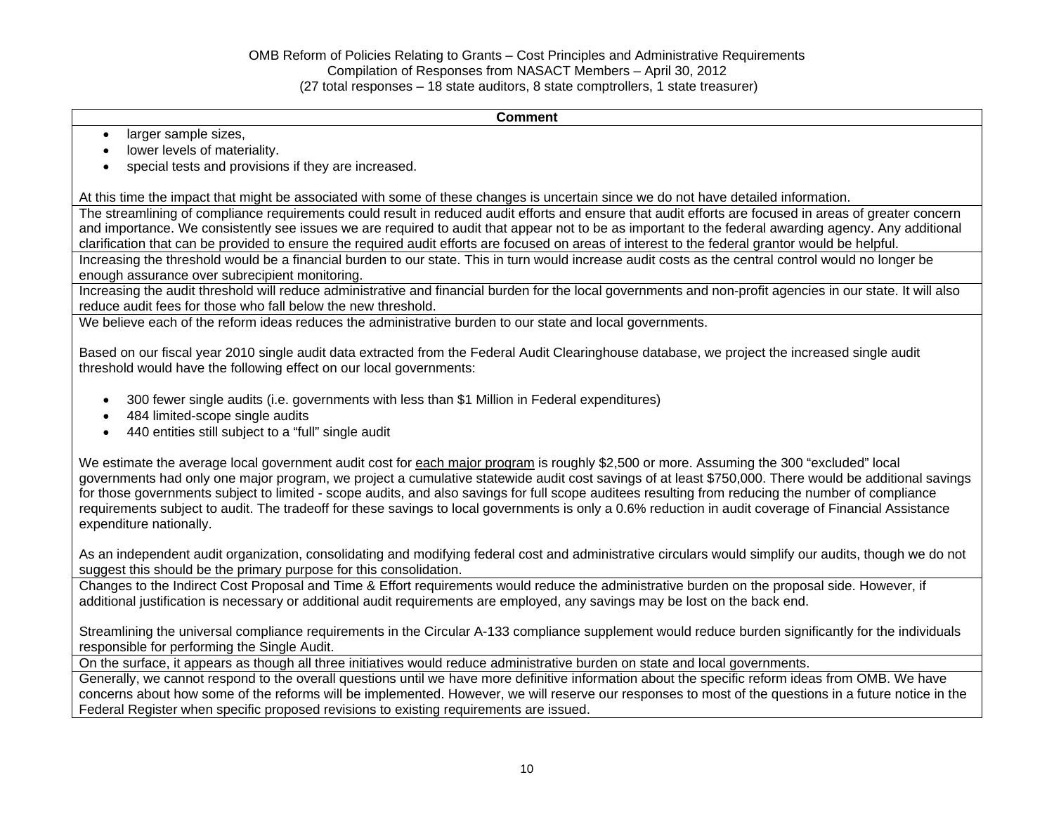#### **Comment**

- larger sample sizes,
- lower levels of materiality.
- special tests and provisions if they are increased.

At this time the impact that might be associated with some of these changes is uncertain since we do not have detailed information.

The streamlining of compliance requirements could result in reduced audit efforts and ensure that audit efforts are focused in areas of greater concern and importance. We consistently see issues we are required to audit that appear not to be as important to the federal awarding agency. Any additional clarification that can be provided to ensure the required audit efforts are focused on areas of interest to the federal grantor would be helpful.

Increasing the threshold would be a financial burden to our state. This in turn would increase audit costs as the central control would no longer be enough assurance over subrecipient monitoring.

Increasing the audit threshold will reduce administrative and financial burden for the local governments and non-profit agencies in our state. It will also reduce audit fees for those who fall below the new threshold.

We believe each of the reform ideas reduces the administrative burden to our state and local governments.

Based on our fiscal year 2010 single audit data extracted from the Federal Audit Clearinghouse database, we project the increased single audit threshold would have the following effect on our local governments:

- 300 fewer single audits (i.e. governments with less than \$1 Million in Federal expenditures)
- 484 limited-scope single audits
- 440 entities still subject to a "full" single audit

We estimate the average local government audit cost for each major program is roughly \$2,500 or more. Assuming the 300 "excluded" local governments had only one major program, we project a cumulative statewide audit cost savings of at least \$750,000. There would be additional savings for those governments subject to limited - scope audits, and also savings for full scope auditees resulting from reducing the number of compliance requirements subject to audit. The tradeoff for these savings to local governments is only a 0.6% reduction in audit coverage of Financial Assistance expenditure nationally.

As an independent audit organization, consolidating and modifying federal cost and administrative circulars would simplify our audits, though we do not suggest this should be the primary purpose for this consolidation.

Changes to the Indirect Cost Proposal and Time & Effort requirements would reduce the administrative burden on the proposal side. However, if additional justification is necessary or additional audit requirements are employed, any savings may be lost on the back end.

Streamlining the universal compliance requirements in the Circular A-133 compliance supplement would reduce burden significantly for the individuals responsible for performing the Single Audit.

On the surface, it appears as though all three initiatives would reduce administrative burden on state and local governments.

Generally, we cannot respond to the overall questions until we have more definitive information about the specific reform ideas from OMB. We have concerns about how some of the reforms will be implemented. However, we will reserve our responses to most of the questions in a future notice in the Federal Register when specific proposed revisions to existing requirements are issued.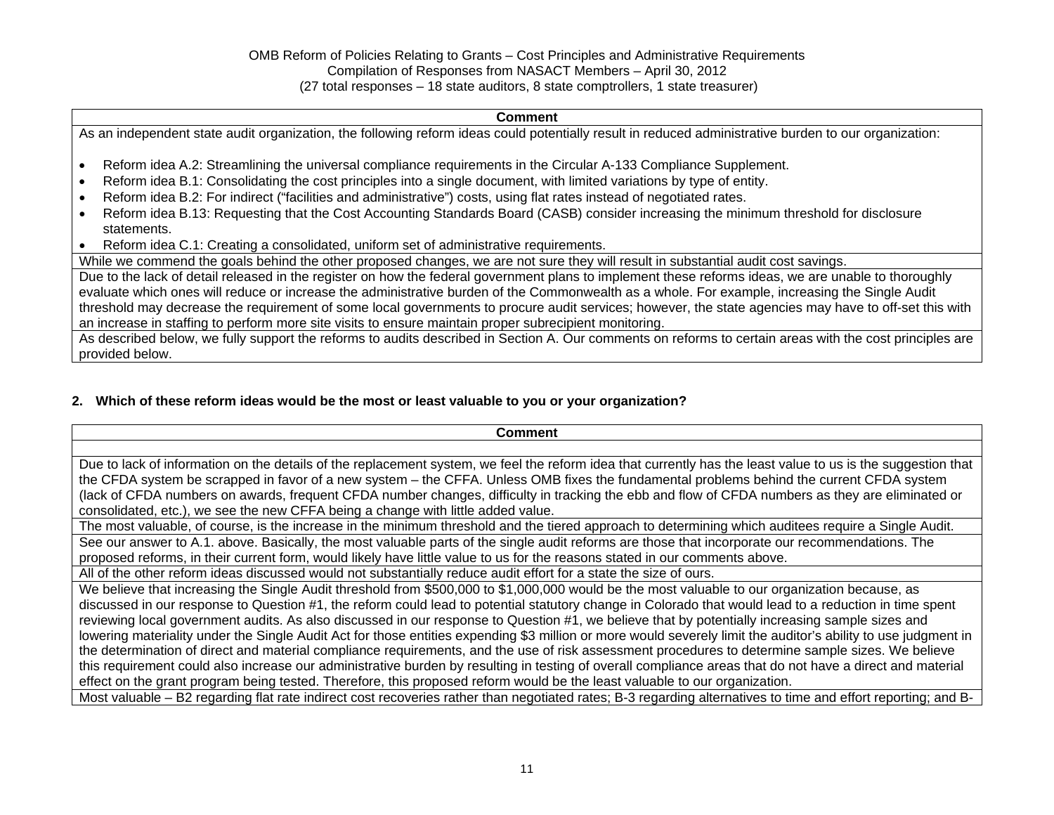#### **Comment**

As an independent state audit organization, the following reform ideas could potentially result in reduced administrative burden to our organization:

- Reform idea A.2: Streamlining the universal compliance requirements in the Circular A-133 Compliance Supplement.
- Reform idea B.1: Consolidating the cost principles into a single document, with limited variations by type of entity.
- Reform idea B.2: For indirect ("facilities and administrative") costs, using flat rates instead of negotiated rates.
- Reform idea B.13: Requesting that the Cost Accounting Standards Board (CASB) consider increasing the minimum threshold for disclosure statements.
- Reform idea C.1: Creating a consolidated, uniform set of administrative requirements.

While we commend the goals behind the other proposed changes, we are not sure they will result in substantial audit cost savings.

Due to the lack of detail released in the register on how the federal government plans to implement these reforms ideas, we are unable to thoroughly evaluate which ones will reduce or increase the administrative burden of the Commonwealth as a whole. For example, increasing the Single Audit threshold may decrease the requirement of some local governments to procure audit services; however, the state agencies may have to off-set this with an increase in staffing to perform more site visits to ensure maintain proper subrecipient monitoring.

As described below, we fully support the reforms to audits described in Section A. Our comments on reforms to certain areas with the cost principles are provided below.

### **2. Which of these reform ideas would be the most or least valuable to you or your organization?**

| <b>Comment</b>                                                                                                                                                 |
|----------------------------------------------------------------------------------------------------------------------------------------------------------------|
|                                                                                                                                                                |
| Due to lack of information on the details of the replacement system, we feel the reform idea that currently has the least value to us is the suggestion that   |
| the CFDA system be scrapped in favor of a new system – the CFFA. Unless OMB fixes the fundamental problems behind the current CFDA system                      |
| (lack of CFDA numbers on awards, frequent CFDA number changes, difficulty in tracking the ebb and flow of CFDA numbers as they are eliminated or               |
| consolidated, etc.), we see the new CFFA being a change with little added value.                                                                               |
| The most valuable, of course, is the increase in the minimum threshold and the tiered approach to determining which auditees require a Single Audit.           |
| See our answer to A.1. above. Basically, the most valuable parts of the single audit reforms are those that incorporate our recommendations. The               |
| proposed reforms, in their current form, would likely have little value to us for the reasons stated in our comments above.                                    |
| All of the other reform ideas discussed would not substantially reduce audit effort for a state the size of ours.                                              |
| We believe that increasing the Single Audit threshold from \$500,000 to \$1,000,000 would be the most valuable to our organization because, as                 |
| discussed in our response to Question #1, the reform could lead to potential statutory change in Colorado that would lead to a reduction in time spent         |
| reviewing local government audits. As also discussed in our response to Question #1, we believe that by potentially increasing sample sizes and                |
| lowering materiality under the Single Audit Act for those entities expending \$3 million or more would severely limit the auditor's ability to use judgment in |
| the determination of direct and material compliance requirements, and the use of risk assessment procedures to determine sample sizes. We believe              |
| this requirement could also increase our administrative burden by resulting in testing of overall compliance areas that do not have a direct and material      |
| effect on the grant program being tested. Therefore, this proposed reform would be the least valuable to our organization.                                     |
| Most valuable – B2 regarding flat rate indirect cost recoveries rather than negotiated rates; B-3 regarding alternatives to time and effort reporting; and B-  |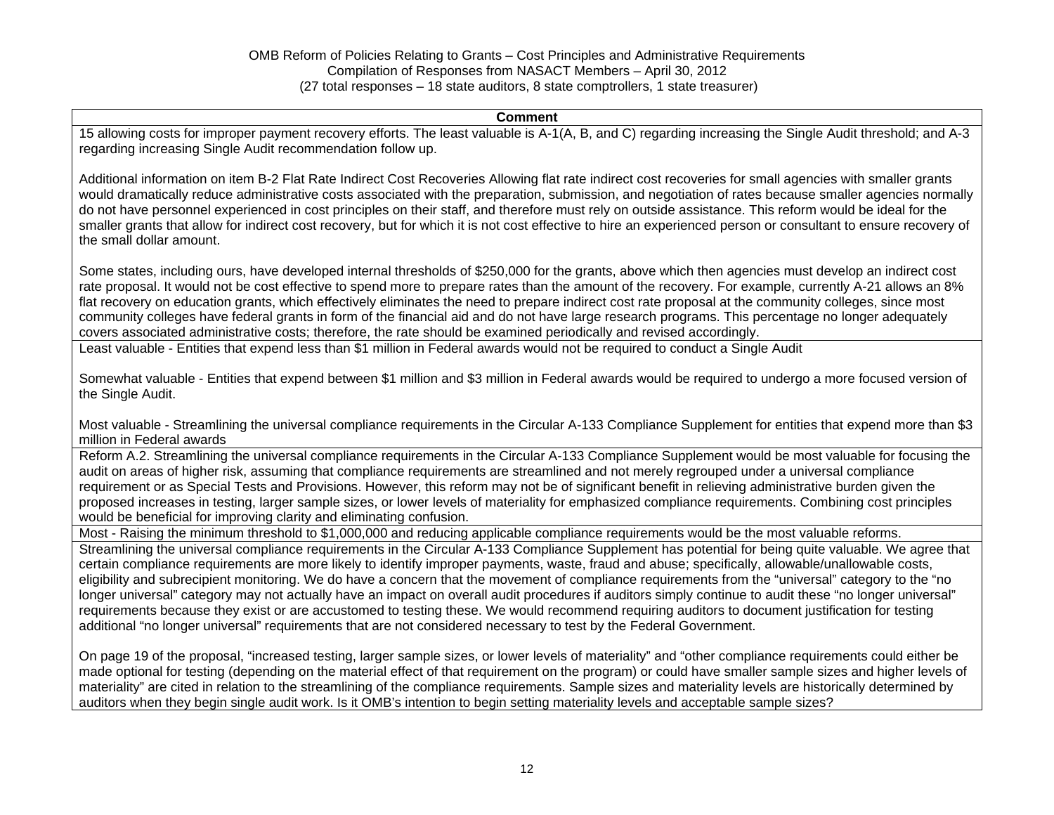#### **Comment**

15 allowing costs for improper payment recovery efforts. The least valuable is A-1(A, B, and C) regarding increasing the Single Audit threshold; and A-3 regarding increasing Single Audit recommendation follow up.

Additional information on item B-2 Flat Rate Indirect Cost Recoveries Allowing flat rate indirect cost recoveries for small agencies with smaller grants would dramatically reduce administrative costs associated with the preparation, submission, and negotiation of rates because smaller agencies normally do not have personnel experienced in cost principles on their staff, and therefore must rely on outside assistance. This reform would be ideal for the smaller grants that allow for indirect cost recovery, but for which it is not cost effective to hire an experienced person or consultant to ensure recovery of the small dollar amount.

Some states, including ours, have developed internal thresholds of \$250,000 for the grants, above which then agencies must develop an indirect cost rate proposal. It would not be cost effective to spend more to prepare rates than the amount of the recovery. For example, currently A-21 allows an 8% flat recovery on education grants, which effectively eliminates the need to prepare indirect cost rate proposal at the community colleges, since most community colleges have federal grants in form of the financial aid and do not have large research programs. This percentage no longer adequately covers associated administrative costs; therefore, the rate should be examined periodically and revised accordingly.

Least valuable - Entities that expend less than \$1 million in Federal awards would not be required to conduct a Single Audit

Somewhat valuable - Entities that expend between \$1 million and \$3 million in Federal awards would be required to undergo a more focused version of the Single Audit.

Most valuable - Streamlining the universal compliance requirements in the Circular A-133 Compliance Supplement for entities that expend more than \$3 million in Federal awards

Reform A.2. Streamlining the universal compliance requirements in the Circular A-133 Compliance Supplement would be most valuable for focusing the audit on areas of higher risk, assuming that compliance requirements are streamlined and not merely regrouped under a universal compliance requirement or as Special Tests and Provisions. However, this reform may not be of significant benefit in relieving administrative burden given the proposed increases in testing, larger sample sizes, or lower levels of materiality for emphasized compliance requirements. Combining cost principles would be beneficial for improving clarity and eliminating confusion.

Most - Raising the minimum threshold to \$1,000,000 and reducing applicable compliance requirements would be the most valuable reforms.

Streamlining the universal compliance requirements in the Circular A-133 Compliance Supplement has potential for being quite valuable. We agree that certain compliance requirements are more likely to identify improper payments, waste, fraud and abuse; specifically, allowable/unallowable costs, eligibility and subrecipient monitoring. We do have a concern that the movement of compliance requirements from the "universal" category to the "no longer universal" category may not actually have an impact on overall audit procedures if auditors simply continue to audit these "no longer universal" requirements because they exist or are accustomed to testing these. We would recommend requiring auditors to document justification for testing additional "no longer universal" requirements that are not considered necessary to test by the Federal Government.

On page 19 of the proposal, "increased testing, larger sample sizes, or lower levels of materiality" and "other compliance requirements could either be made optional for testing (depending on the material effect of that requirement on the program) or could have smaller sample sizes and higher levels of materiality" are cited in relation to the streamlining of the compliance requirements. Sample sizes and materiality levels are historically determined by auditors when they begin single audit work. Is it OMB's intention to begin setting materiality levels and acceptable sample sizes?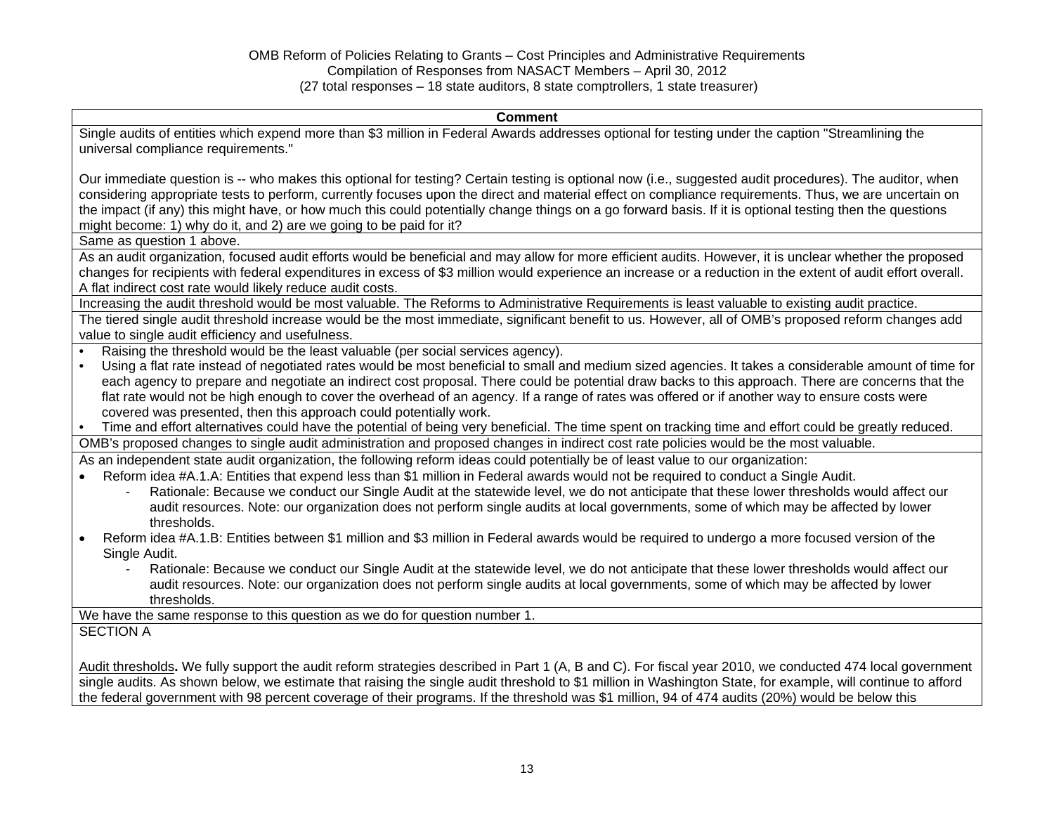#### **Comment**

Single audits of entities which expend more than \$3 million in Federal Awards addresses optional for testing under the caption "Streamlining the universal compliance requirements."

Our immediate question is -- who makes this optional for testing? Certain testing is optional now (i.e., suggested audit procedures). The auditor, when considering appropriate tests to perform, currently focuses upon the direct and material effect on compliance requirements. Thus, we are uncertain on the impact (if any) this might have, or how much this could potentially change things on a go forward basis. If it is optional testing then the questions might become: 1) why do it, and 2) are we going to be paid for it?

Same as question 1 above.

As an audit organization, focused audit efforts would be beneficial and may allow for more efficient audits. However, it is unclear whether the proposed changes for recipients with federal expenditures in excess of \$3 million would experience an increase or a reduction in the extent of audit effort overall. A flat indirect cost rate would likely reduce audit costs.

Increasing the audit threshold would be most valuable. The Reforms to Administrative Requirements is least valuable to existing audit practice.

The tiered single audit threshold increase would be the most immediate, significant benefit to us. However, all of OMB's proposed reform changes add value to single audit efficiency and usefulness.

- Raising the threshold would be the least valuable (per social services agency).
- Using a flat rate instead of negotiated rates would be most beneficial to small and medium sized agencies. It takes a considerable amount of time for each agency to prepare and negotiate an indirect cost proposal. There could be potential draw backs to this approach. There are concerns that the flat rate would not be high enough to cover the overhead of an agency. If a range of rates was offered or if another way to ensure costs were covered was presented, then this approach could potentially work.
- Time and effort alternatives could have the potential of being very beneficial. The time spent on tracking time and effort could be greatly reduced. OMB's proposed changes to single audit administration and proposed changes in indirect cost rate policies would be the most valuable.

As an independent state audit organization, the following reform ideas could potentially be of least value to our organization:

- Reform idea #A.1.A: Entities that expend less than \$1 million in Federal awards would not be required to conduct a Single Audit.
	- Rationale: Because we conduct our Single Audit at the statewide level, we do not anticipate that these lower thresholds would affect our audit resources. Note: our organization does not perform single audits at local governments, some of which may be affected by lower thresholds.
- Reform idea #A.1.B: Entities between \$1 million and \$3 million in Federal awards would be required to undergo a more focused version of the Single Audit.
	- Rationale: Because we conduct our Single Audit at the statewide level, we do not anticipate that these lower thresholds would affect our audit resources. Note: our organization does not perform single audits at local governments, some of which may be affected by lower thresholds.

We have the same response to this question as we do for question number 1.

### SECTION A

Audit thresholds**.** We fully support the audit reform strategies described in Part 1 (A, B and C). For fiscal year 2010, we conducted 474 local government single audits. As shown below, we estimate that raising the single audit threshold to \$1 million in Washington State, for example, will continue to afford the federal government with 98 percent coverage of their programs. If the threshold was \$1 million, 94 of 474 audits (20%) would be below this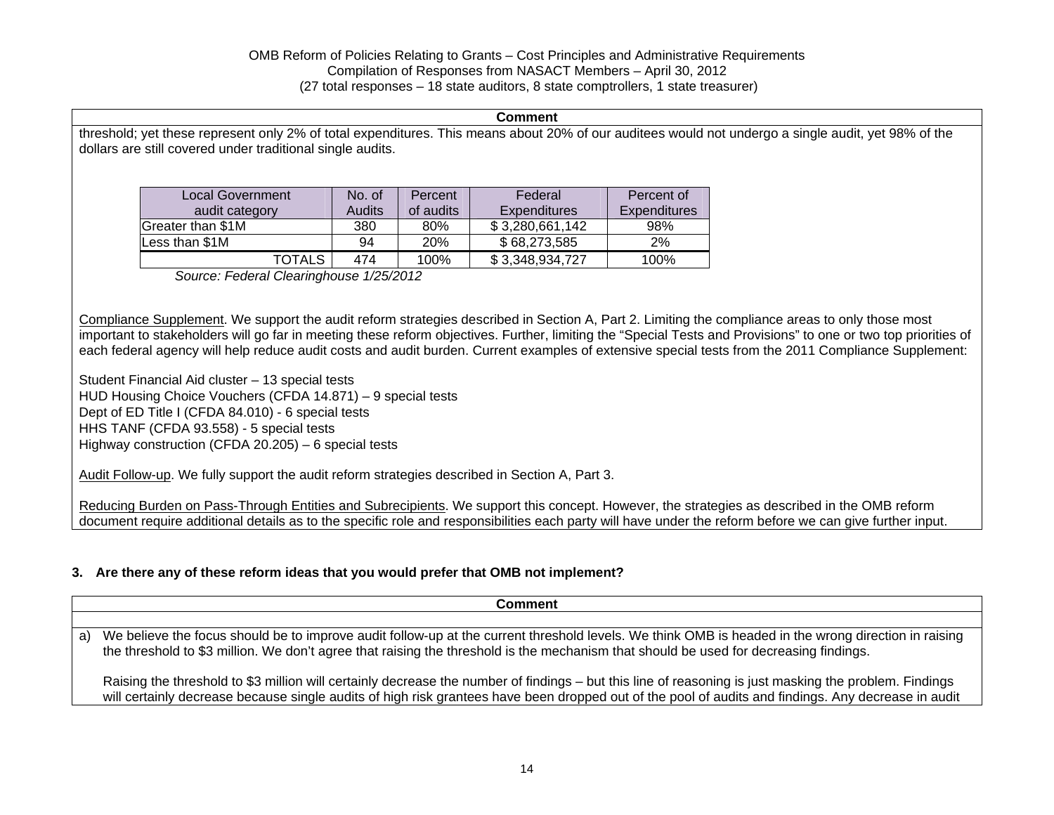#### **Comment** threshold; yet these represent only 2% of total expenditures. This means about 20% of our auditees would not undergo a single audit, yet 98% of the dollars are still covered under traditional single audits. Local Government audit category No. of Audits**Percent** of auditsFederal **Expenditures** Percent of **Expenditures** Greater than  $$1M$   $$380$   $80\%$   $$3,280,661,142$  98% Less than \$1M 94 20% \$ 68,273,585 2% TOTALS 474 100% \$ 3,348,934,727 100% *Source: Federal Clearinghouse 1/25/2012*

Compliance Supplement. We support the audit reform strategies described in Section A, Part 2. Limiting the compliance areas to only those most important to stakeholders will go far in meeting these reform objectives. Further, limiting the "Special Tests and Provisions" to one or two top priorities of each federal agency will help reduce audit costs and audit burden. Current examples of extensive special tests from the 2011 Compliance Supplement:

Student Financial Aid cluster – 13 special tests HUD Housing Choice Vouchers (CFDA 14.871) – 9 special tests Dept of ED Title I (CFDA 84.010) - 6 special tests HHS TANF (CFDA 93.558) - 5 special tests Highway construction (CFDA 20.205) – 6 special tests

Audit Follow-up. We fully support the audit reform strategies described in Section A, Part 3.

Reducing Burden on Pass-Through Entities and Subrecipients. We support this concept. However, the strategies as described in the OMB reform document require additional details as to the specific role and responsibilities each party will have under the reform before we can give further input.

# **3. Are there any of these reform ideas that you would prefer that OMB not implement?**

|    | <b>Comment</b>                                                                                                                                                                                                                                                                                                |
|----|---------------------------------------------------------------------------------------------------------------------------------------------------------------------------------------------------------------------------------------------------------------------------------------------------------------|
| a) | We believe the focus should be to improve audit follow-up at the current threshold levels. We think OMB is headed in the wrong direction in raising<br>the threshold to \$3 million. We don't agree that raising the threshold is the mechanism that should be used for decreasing findings.                  |
|    | Raising the threshold to \$3 million will certainly decrease the number of findings – but this line of reasoning is just masking the problem. Findings<br>will certainly decrease because single audits of high risk grantees have been dropped out of the pool of audits and findings. Any decrease in audit |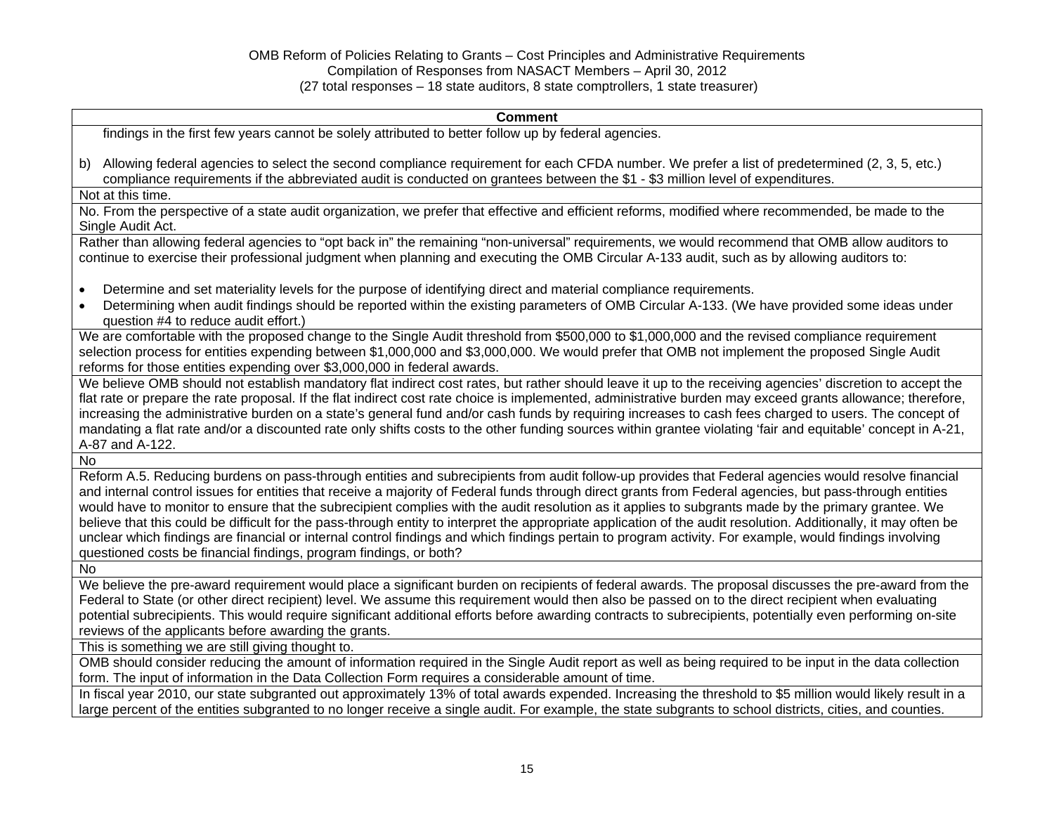| <b>Comment</b>                                                                                                                                                                                                                                                                                                                                                                                                                                                                                                                                                                                                                                                                                                                                                                                                                                                              |
|-----------------------------------------------------------------------------------------------------------------------------------------------------------------------------------------------------------------------------------------------------------------------------------------------------------------------------------------------------------------------------------------------------------------------------------------------------------------------------------------------------------------------------------------------------------------------------------------------------------------------------------------------------------------------------------------------------------------------------------------------------------------------------------------------------------------------------------------------------------------------------|
| findings in the first few years cannot be solely attributed to better follow up by federal agencies.                                                                                                                                                                                                                                                                                                                                                                                                                                                                                                                                                                                                                                                                                                                                                                        |
| b) Allowing federal agencies to select the second compliance requirement for each CFDA number. We prefer a list of predetermined (2, 3, 5, etc.)<br>compliance requirements if the abbreviated audit is conducted on grantees between the \$1 - \$3 million level of expenditures.                                                                                                                                                                                                                                                                                                                                                                                                                                                                                                                                                                                          |
| Not at this time.                                                                                                                                                                                                                                                                                                                                                                                                                                                                                                                                                                                                                                                                                                                                                                                                                                                           |
| No. From the perspective of a state audit organization, we prefer that effective and efficient reforms, modified where recommended, be made to the<br>Single Audit Act.                                                                                                                                                                                                                                                                                                                                                                                                                                                                                                                                                                                                                                                                                                     |
| Rather than allowing federal agencies to "opt back in" the remaining "non-universal" requirements, we would recommend that OMB allow auditors to<br>continue to exercise their professional judgment when planning and executing the OMB Circular A-133 audit, such as by allowing auditors to:                                                                                                                                                                                                                                                                                                                                                                                                                                                                                                                                                                             |
| Determine and set materiality levels for the purpose of identifying direct and material compliance requirements.<br>$\bullet$<br>Determining when audit findings should be reported within the existing parameters of OMB Circular A-133. (We have provided some ideas under<br>$\bullet$<br>question #4 to reduce audit effort.)                                                                                                                                                                                                                                                                                                                                                                                                                                                                                                                                           |
| We are comfortable with the proposed change to the Single Audit threshold from \$500,000 to \$1,000,000 and the revised compliance requirement<br>selection process for entities expending between \$1,000,000 and \$3,000,000. We would prefer that OMB not implement the proposed Single Audit<br>reforms for those entities expending over \$3,000,000 in federal awards.                                                                                                                                                                                                                                                                                                                                                                                                                                                                                                |
| We believe OMB should not establish mandatory flat indirect cost rates, but rather should leave it up to the receiving agencies' discretion to accept the<br>flat rate or prepare the rate proposal. If the flat indirect cost rate choice is implemented, administrative burden may exceed grants allowance; therefore,<br>increasing the administrative burden on a state's general fund and/or cash funds by requiring increases to cash fees charged to users. The concept of<br>mandating a flat rate and/or a discounted rate only shifts costs to the other funding sources within grantee violating 'fair and equitable' concept in A-21,<br>A-87 and A-122.                                                                                                                                                                                                        |
| <b>No</b>                                                                                                                                                                                                                                                                                                                                                                                                                                                                                                                                                                                                                                                                                                                                                                                                                                                                   |
| Reform A.5. Reducing burdens on pass-through entities and subrecipients from audit follow-up provides that Federal agencies would resolve financial<br>and internal control issues for entities that receive a majority of Federal funds through direct grants from Federal agencies, but pass-through entities<br>would have to monitor to ensure that the subrecipient complies with the audit resolution as it applies to subgrants made by the primary grantee. We<br>believe that this could be difficult for the pass-through entity to interpret the appropriate application of the audit resolution. Additionally, it may often be<br>unclear which findings are financial or internal control findings and which findings pertain to program activity. For example, would findings involving<br>questioned costs be financial findings, program findings, or both? |
| No                                                                                                                                                                                                                                                                                                                                                                                                                                                                                                                                                                                                                                                                                                                                                                                                                                                                          |
| We believe the pre-award requirement would place a significant burden on recipients of federal awards. The proposal discusses the pre-award from the<br>Federal to State (or other direct recipient) level. We assume this requirement would then also be passed on to the direct recipient when evaluating<br>potential subrecipients. This would require significant additional efforts before awarding contracts to subrecipients, potentially even performing on-site<br>reviews of the applicants before awarding the grants.                                                                                                                                                                                                                                                                                                                                          |
| This is something we are still giving thought to.                                                                                                                                                                                                                                                                                                                                                                                                                                                                                                                                                                                                                                                                                                                                                                                                                           |
| OMB should consider reducing the amount of information required in the Single Audit report as well as being required to be input in the data collection<br>form. The input of information in the Data Collection Form requires a considerable amount of time.                                                                                                                                                                                                                                                                                                                                                                                                                                                                                                                                                                                                               |
| In fiscal year 2010, our state subgranted out approximately 13% of total awards expended. Increasing the threshold to \$5 million would likely result in a<br>large percent of the entities subgranted to no longer receive a single audit. For example, the state subgrants to school districts, cities, and counties.                                                                                                                                                                                                                                                                                                                                                                                                                                                                                                                                                     |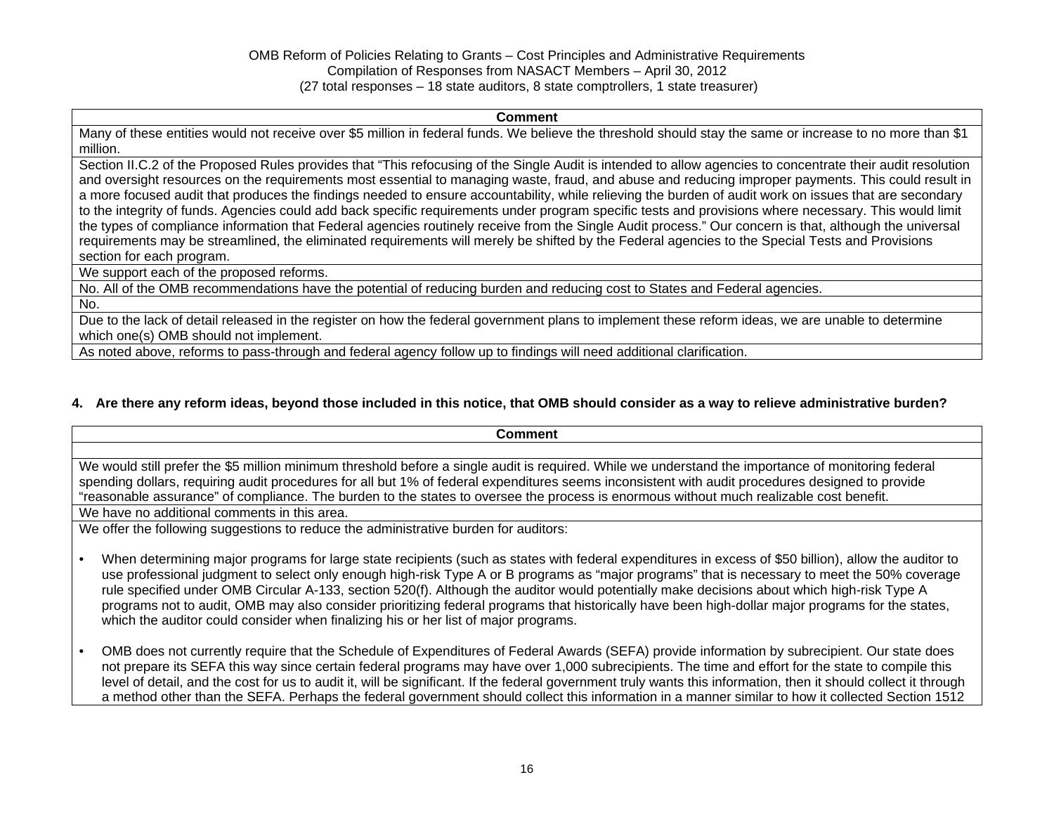#### **Comment**

Many of these entities would not receive over \$5 million in federal funds. We believe the threshold should stay the same or increase to no more than \$1 million.

Section II.C.2 of the Proposed Rules provides that "This refocusing of the Single Audit is intended to allow agencies to concentrate their audit resolution and oversight resources on the requirements most essential to managing waste, fraud, and abuse and reducing improper payments. This could result in a more focused audit that produces the findings needed to ensure accountability, while relieving the burden of audit work on issues that are secondary to the integrity of funds. Agencies could add back specific requirements under program specific tests and provisions where necessary. This would limit the types of compliance information that Federal agencies routinely receive from the Single Audit process." Our concern is that, although the universal requirements may be streamlined, the eliminated requirements will merely be shifted by the Federal agencies to the Special Tests and Provisions section for each program.

We support each of the proposed reforms.

No. All of the OMB recommendations have the potential of reducing burden and reducing cost to States and Federal agencies.

No.

Due to the lack of detail released in the register on how the federal government plans to implement these reform ideas, we are unable to determine which one(s) OMB should not implement.

As noted above, reforms to pass-through and federal agency follow up to findings will need additional clarification.

## **4. Are there any reform ideas, beyond those included in this notice, that OMB should consider as a way to relieve administrative burden?**

#### **Comment**

We would still prefer the \$5 million minimum threshold before a single audit is required. While we understand the importance of monitoring federal spending dollars, requiring audit procedures for all but 1% of federal expenditures seems inconsistent with audit procedures designed to provide "reasonable assurance" of compliance. The burden to the states to oversee the process is enormous without much realizable cost benefit.

We have no additional comments in this area.

We offer the following suggestions to reduce the administrative burden for auditors:

- When determining major programs for large state recipients (such as states with federal expenditures in excess of \$50 billion), allow the auditor to use professional judgment to select only enough high-risk Type A or B programs as "major programs" that is necessary to meet the 50% coverage rule specified under OMB Circular A-133, section 520(f). Although the auditor would potentially make decisions about which high-risk Type A programs not to audit, OMB may also consider prioritizing federal programs that historically have been high-dollar major programs for the states, which the auditor could consider when finalizing his or her list of major programs.
- OMB does not currently require that the Schedule of Expenditures of Federal Awards (SEFA) provide information by subrecipient. Our state does not prepare its SEFA this way since certain federal programs may have over 1,000 subrecipients. The time and effort for the state to compile this level of detail, and the cost for us to audit it, will be significant. If the federal government truly wants this information, then it should collect it through a method other than the SEFA. Perhaps the federal government should collect this information in a manner similar to how it collected Section 1512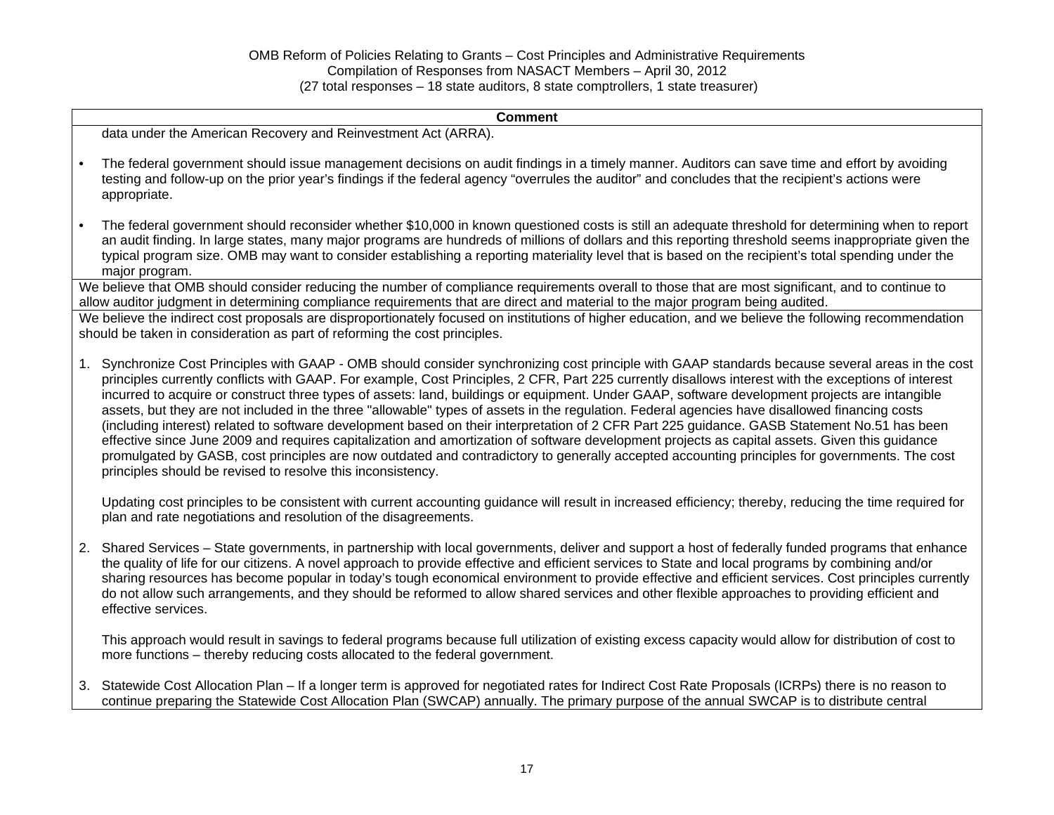**Comment** data under the American Recovery and Reinvestment Act (ARRA). • The federal government should issue management decisions on audit findings in a timely manner. Auditors can save time and effort by avoiding testing and follow-up on the prior year's findings if the federal agency "overrules the auditor" and concludes that the recipient's actions were appropriate. • The federal government should reconsider whether \$10,000 in known questioned costs is still an adequate threshold for determining when to report an audit finding. In large states, many major programs are hundreds of millions of dollars and this reporting threshold seems inappropriate given the typical program size. OMB may want to consider establishing a reporting materiality level that is based on the recipient's total spending under the major program. We believe that OMB should consider reducing the number of compliance requirements overall to those that are most significant, and to continue to allow auditor judgment in determining compliance requirements that are direct and material to the major program being audited. We believe the indirect cost proposals are disproportionately focused on institutions of higher education, and we believe the following recommendation should be taken in consideration as part of reforming the cost principles. 1. Synchronize Cost Principles with GAAP - OMB should consider synchronizing cost principle with GAAP standards because several areas in the cost principles currently conflicts with GAAP. For example, Cost Principles, 2 CFR, Part 225 currently disallows interest with the exceptions of interest incurred to acquire or construct three types of assets: land, buildings or equipment. Under GAAP, software development projects are intangible assets, but they are not included in the three "allowable" types of assets in the regulation. Federal agencies have disallowed financing costs (including interest) related to software development based on their interpretation of 2 CFR Part 225 guidance. GASB Statement No.51 has been effective since June 2009 and requires capitalization and amortization of software development projects as capital assets. Given this guidance promulgated by GASB, cost principles are now outdated and contradictory to generally accepted accounting principles for governments. The cost principles should be revised to resolve this inconsistency. Updating cost principles to be consistent with current accounting guidance will result in increased efficiency; thereby, reducing the time required for plan and rate negotiations and resolution of the disagreements. 2. Shared Services – State governments, in partnership with local governments, deliver and support a host of federally funded programs that enhance the quality of life for our citizens. A novel approach to provide effective and efficient services to State and local programs by combining and/or sharing resources has become popular in today's tough economical environment to provide effective and efficient services. Cost principles currently do not allow such arrangements, and they should be reformed to allow shared services and other flexible approaches to providing efficient and effective services.

This approach would result in savings to federal programs because full utilization of existing excess capacity would allow for distribution of cost to more functions – thereby reducing costs allocated to the federal government.

3. Statewide Cost Allocation Plan – If a longer term is approved for negotiated rates for Indirect Cost Rate Proposals (ICRPs) there is no reason to continue preparing the Statewide Cost Allocation Plan (SWCAP) annually. The primary purpose of the annual SWCAP is to distribute central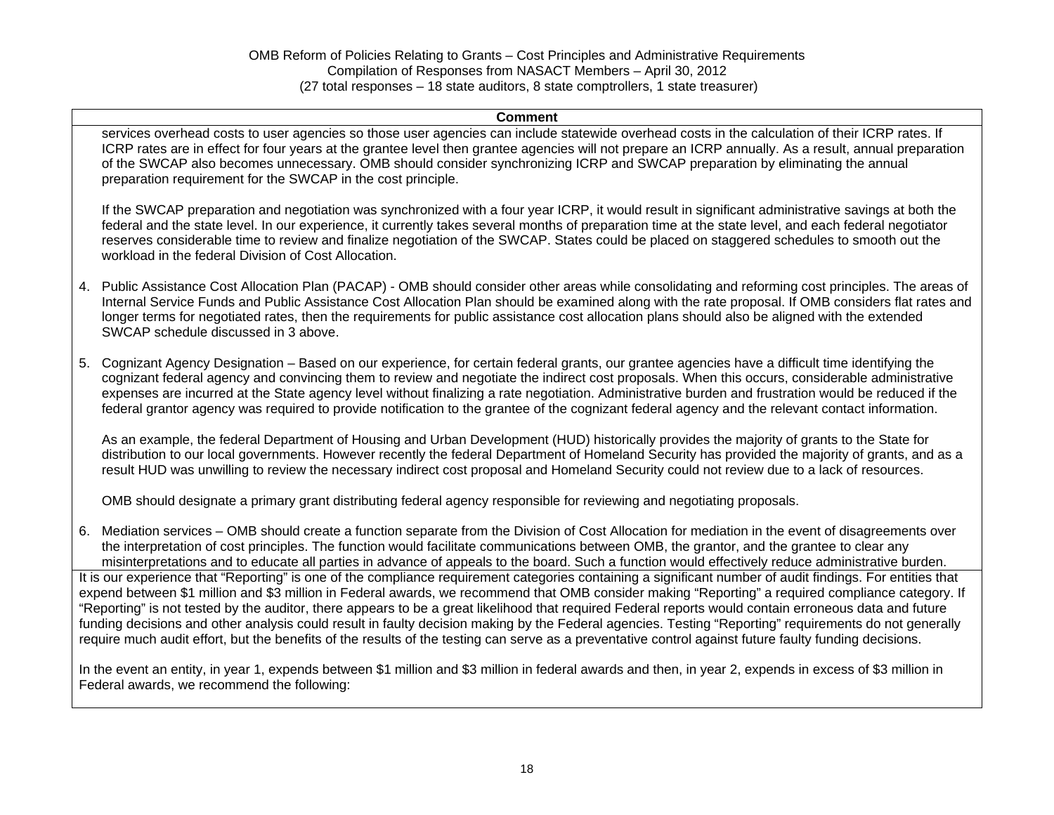#### **Comment**

services overhead costs to user agencies so those user agencies can include statewide overhead costs in the calculation of their ICRP rates. If ICRP rates are in effect for four years at the grantee level then grantee agencies will not prepare an ICRP annually. As a result, annual preparation of the SWCAP also becomes unnecessary. OMB should consider synchronizing ICRP and SWCAP preparation by eliminating the annual preparation requirement for the SWCAP in the cost principle.

If the SWCAP preparation and negotiation was synchronized with a four year ICRP, it would result in significant administrative savings at both the federal and the state level. In our experience, it currently takes several months of preparation time at the state level, and each federal negotiator reserves considerable time to review and finalize negotiation of the SWCAP. States could be placed on staggered schedules to smooth out the workload in the federal Division of Cost Allocation.

- 4. Public Assistance Cost Allocation Plan (PACAP) OMB should consider other areas while consolidating and reforming cost principles. The areas of Internal Service Funds and Public Assistance Cost Allocation Plan should be examined along with the rate proposal. If OMB considers flat rates and longer terms for negotiated rates, then the requirements for public assistance cost allocation plans should also be aligned with the extended SWCAP schedule discussed in 3 above.
- 5. Cognizant Agency Designation Based on our experience, for certain federal grants, our grantee agencies have a difficult time identifying the cognizant federal agency and convincing them to review and negotiate the indirect cost proposals. When this occurs, considerable administrative expenses are incurred at the State agency level without finalizing a rate negotiation. Administrative burden and frustration would be reduced if the federal grantor agency was required to provide notification to the grantee of the cognizant federal agency and the relevant contact information.

As an example, the federal Department of Housing and Urban Development (HUD) historically provides the majority of grants to the State for distribution to our local governments. However recently the federal Department of Homeland Security has provided the majority of grants, and as a result HUD was unwilling to review the necessary indirect cost proposal and Homeland Security could not review due to a lack of resources.

OMB should designate a primary grant distributing federal agency responsible for reviewing and negotiating proposals.

6. Mediation services – OMB should create a function separate from the Division of Cost Allocation for mediation in the event of disagreements over the interpretation of cost principles. The function would facilitate communications between OMB, the grantor, and the grantee to clear any misinterpretations and to educate all parties in advance of appeals to the board. Such a function would effectively reduce administrative burden. It is our experience that "Reporting" is one of the compliance requirement categories containing a significant number of audit findings. For entities that expend between \$1 million and \$3 million in Federal awards, we recommend that OMB consider making "Reporting" a required compliance category. If "Reporting" is not tested by the auditor, there appears to be a great likelihood that required Federal reports would contain erroneous data and future funding decisions and other analysis could result in faulty decision making by the Federal agencies. Testing "Reporting" requirements do not generally require much audit effort, but the benefits of the results of the testing can serve as a preventative control against future faulty funding decisions.

In the event an entity, in year 1, expends between \$1 million and \$3 million in federal awards and then, in year 2, expends in excess of \$3 million in Federal awards, we recommend the following: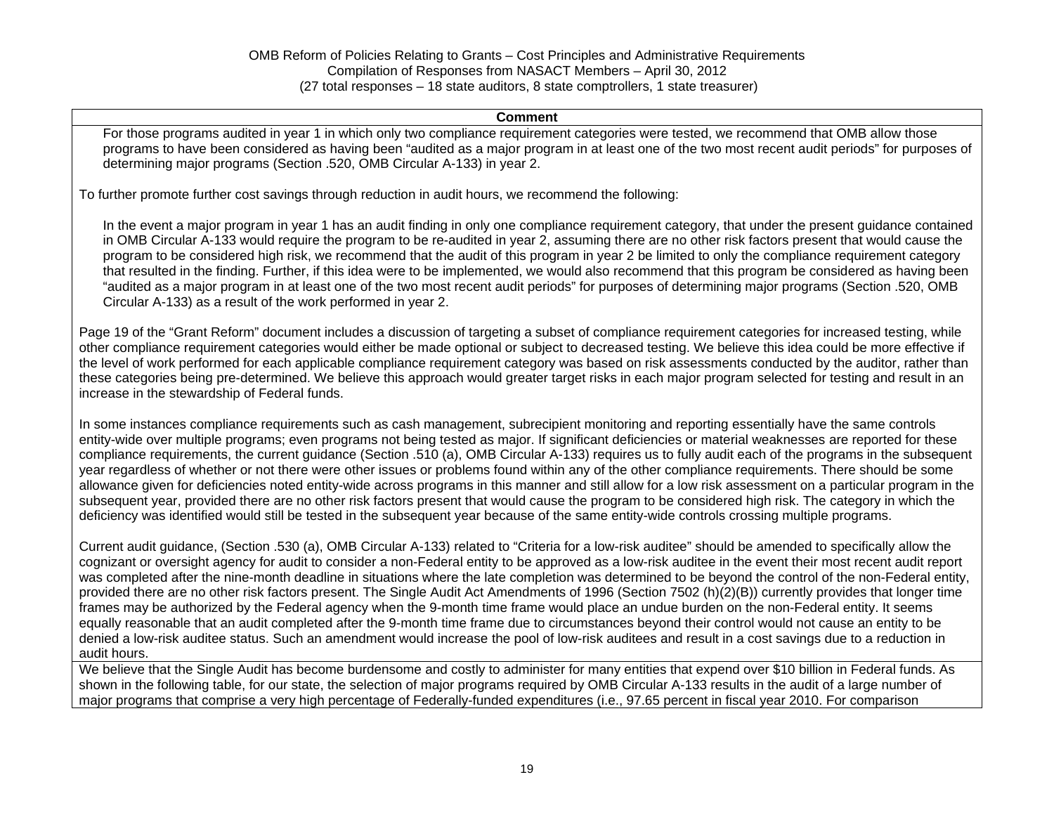#### **Comment**

For those programs audited in year 1 in which only two compliance requirement categories were tested, we recommend that OMB allow those programs to have been considered as having been "audited as a major program in at least one of the two most recent audit periods" for purposes of determining major programs (Section .520, OMB Circular A-133) in year 2.

To further promote further cost savings through reduction in audit hours, we recommend the following:

In the event a major program in year 1 has an audit finding in only one compliance requirement category, that under the present guidance contained in OMB Circular A-133 would require the program to be re-audited in year 2, assuming there are no other risk factors present that would cause the program to be considered high risk, we recommend that the audit of this program in year 2 be limited to only the compliance requirement category that resulted in the finding. Further, if this idea were to be implemented, we would also recommend that this program be considered as having been "audited as a major program in at least one of the two most recent audit periods" for purposes of determining major programs (Section .520, OMB Circular A-133) as a result of the work performed in year 2.

Page 19 of the "Grant Reform" document includes a discussion of targeting a subset of compliance requirement categories for increased testing, while other compliance requirement categories would either be made optional or subject to decreased testing. We believe this idea could be more effective if the level of work performed for each applicable compliance requirement category was based on risk assessments conducted by the auditor, rather than these categories being pre-determined. We believe this approach would greater target risks in each major program selected for testing and result in an increase in the stewardship of Federal funds.

In some instances compliance requirements such as cash management, subrecipient monitoring and reporting essentially have the same controls entity-wide over multiple programs; even programs not being tested as major. If significant deficiencies or material weaknesses are reported for these compliance requirements, the current guidance (Section .510 (a), OMB Circular A-133) requires us to fully audit each of the programs in the subsequent year regardless of whether or not there were other issues or problems found within any of the other compliance requirements. There should be some allowance given for deficiencies noted entity-wide across programs in this manner and still allow for a low risk assessment on a particular program in the subsequent year, provided there are no other risk factors present that would cause the program to be considered high risk. The category in which the deficiency was identified would still be tested in the subsequent year because of the same entity-wide controls crossing multiple programs.

Current audit guidance, (Section .530 (a), OMB Circular A-133) related to "Criteria for a low-risk auditee" should be amended to specifically allow the cognizant or oversight agency for audit to consider a non-Federal entity to be approved as a low-risk auditee in the event their most recent audit report was completed after the nine-month deadline in situations where the late completion was determined to be beyond the control of the non-Federal entity, provided there are no other risk factors present. The Single Audit Act Amendments of 1996 (Section 7502 (h)(2)(B)) currently provides that longer time frames may be authorized by the Federal agency when the 9-month time frame would place an undue burden on the non-Federal entity. It seems equally reasonable that an audit completed after the 9-month time frame due to circumstances beyond their control would not cause an entity to be denied a low-risk auditee status. Such an amendment would increase the pool of low-risk auditees and result in a cost savings due to a reduction in audit hours.

We believe that the Single Audit has become burdensome and costly to administer for many entities that expend over \$10 billion in Federal funds. As shown in the following table, for our state, the selection of major programs required by OMB Circular A-133 results in the audit of a large number of major programs that comprise a very high percentage of Federally-funded expenditures (i.e., 97.65 percent in fiscal year 2010. For comparison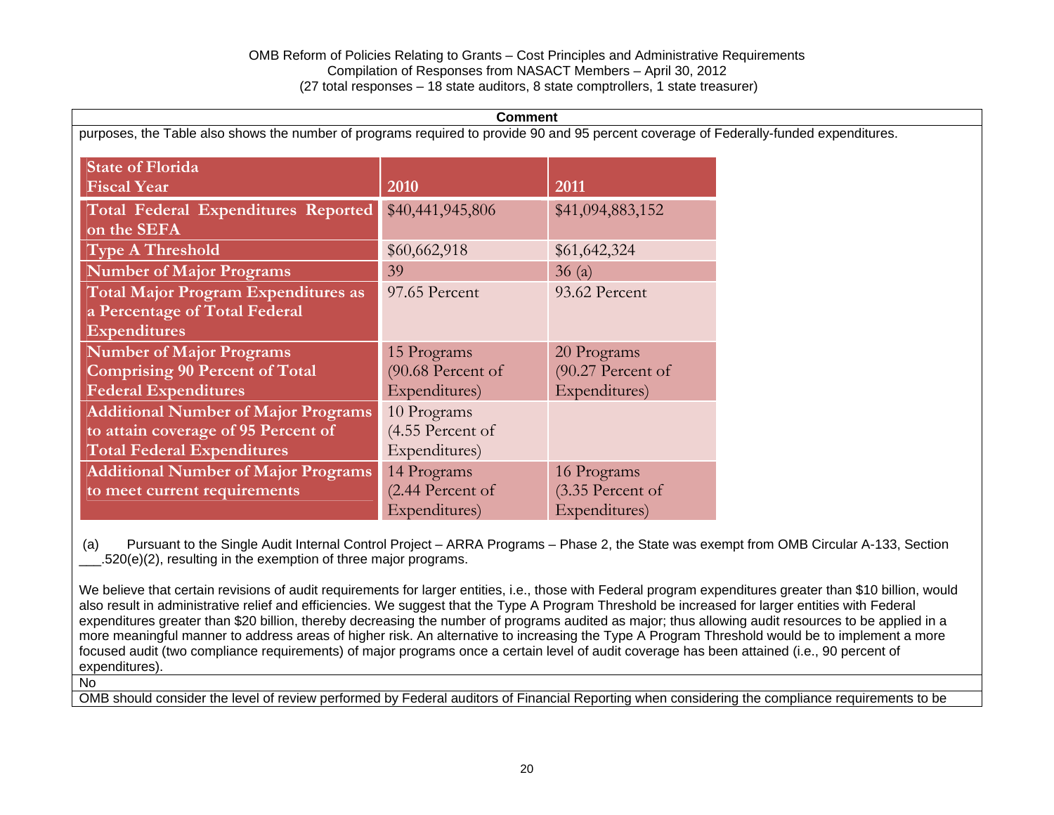| <b>Comment</b>                                                                                                                         |                   |                   |  |
|----------------------------------------------------------------------------------------------------------------------------------------|-------------------|-------------------|--|
| purposes, the Table also shows the number of programs required to provide 90 and 95 percent coverage of Federally-funded expenditures. |                   |                   |  |
|                                                                                                                                        |                   |                   |  |
| <b>State of Florida</b>                                                                                                                |                   |                   |  |
| <b>Fiscal Year</b>                                                                                                                     | 2010              | 2011              |  |
| Total Federal Expenditures Reported                                                                                                    | \$40,441,945,806  | \$41,094,883,152  |  |
| on the SEFA                                                                                                                            |                   |                   |  |
| <b>Type A Threshold</b>                                                                                                                | \$60,662,918      | \$61,642,324      |  |
| <b>Number of Major Programs</b>                                                                                                        | 39                | 36(a)             |  |
| <b>Total Major Program Expenditures as</b>                                                                                             | 97.65 Percent     | 93.62 Percent     |  |
| a Percentage of Total Federal                                                                                                          |                   |                   |  |
| <b>Expenditures</b>                                                                                                                    |                   |                   |  |
| <b>Number of Major Programs</b>                                                                                                        | 15 Programs       | 20 Programs       |  |
| <b>Comprising 90 Percent of Total</b>                                                                                                  | (90.68 Percent of | (90.27 Percent of |  |
| <b>Federal Expenditures</b>                                                                                                            | Expenditures)     | Expenditures)     |  |
| <b>Additional Number of Major Programs</b>                                                                                             | 10 Programs       |                   |  |
| to attain coverage of 95 Percent of                                                                                                    | (4.55 Percent of  |                   |  |
| <b>Total Federal Expenditures</b>                                                                                                      | Expenditures)     |                   |  |
| <b>Additional Number of Major Programs</b>                                                                                             | 14 Programs       | 16 Programs       |  |
| to meet current requirements                                                                                                           | (2.44 Percent of  | (3.35 Percent of  |  |
|                                                                                                                                        | Expenditures)     | Expenditures)     |  |

 (a) Pursuant to the Single Audit Internal Control Project – ARRA Programs – Phase 2, the State was exempt from OMB Circular A-133, Section \_\_\_.520(e)(2), resulting in the exemption of three major programs.

We believe that certain revisions of audit requirements for larger entities, i.e., those with Federal program expenditures greater than \$10 billion, would also result in administrative relief and efficiencies. We suggest that the Type A Program Threshold be increased for larger entities with Federal expenditures greater than \$20 billion, thereby decreasing the number of programs audited as major; thus allowing audit resources to be applied in a more meaningful manner to address areas of higher risk. An alternative to increasing the Type A Program Threshold would be to implement a more focused audit (two compliance requirements) of major programs once a certain level of audit coverage has been attained (i.e., 90 percent of expenditures).

No

OMB should consider the level of review performed by Federal auditors of Financial Reporting when considering the compliance requirements to be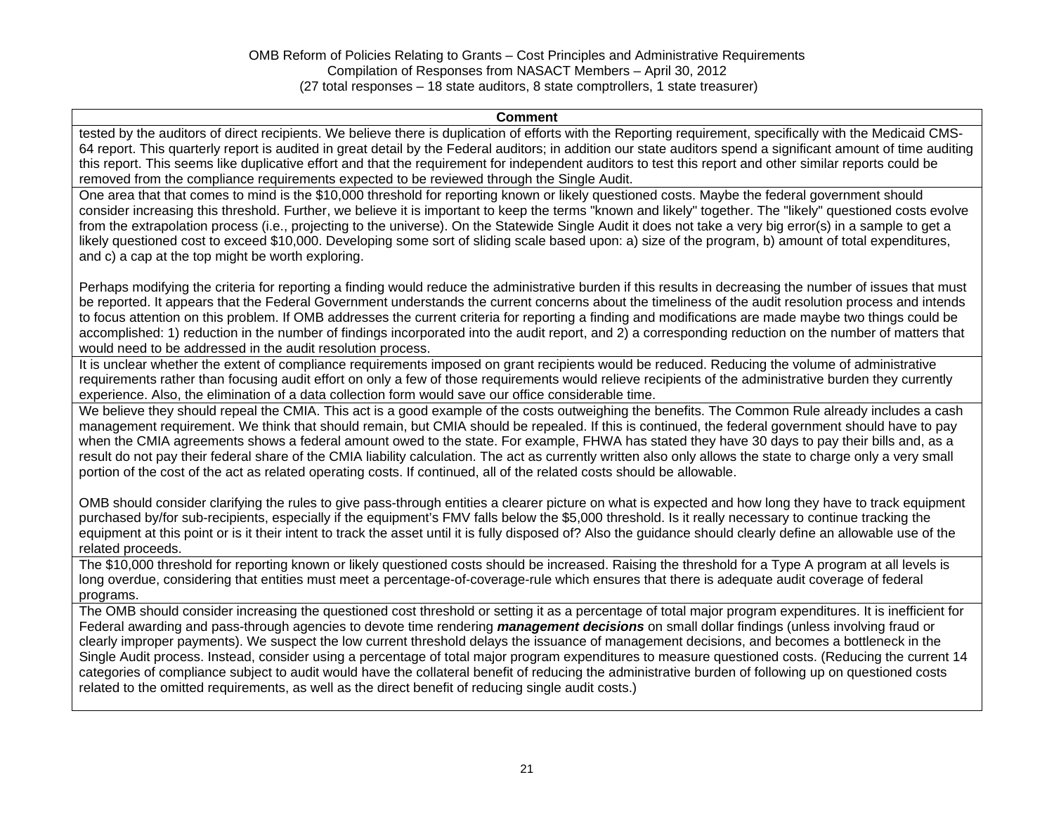#### **Comment**

tested by the auditors of direct recipients. We believe there is duplication of efforts with the Reporting requirement, specifically with the Medicaid CMS-64 report. This quarterly report is audited in great detail by the Federal auditors; in addition our state auditors spend a significant amount of time auditing this report. This seems like duplicative effort and that the requirement for independent auditors to test this report and other similar reports could be removed from the compliance requirements expected to be reviewed through the Single Audit.

One area that that comes to mind is the \$10,000 threshold for reporting known or likely questioned costs. Maybe the federal government should consider increasing this threshold. Further, we believe it is important to keep the terms "known and likely" together. The "likely" questioned costs evolve from the extrapolation process (i.e., projecting to the universe). On the Statewide Single Audit it does not take a very big error(s) in a sample to get a likely questioned cost to exceed \$10,000. Developing some sort of sliding scale based upon: a) size of the program, b) amount of total expenditures, and c) a cap at the top might be worth exploring.

Perhaps modifying the criteria for reporting a finding would reduce the administrative burden if this results in decreasing the number of issues that must be reported. It appears that the Federal Government understands the current concerns about the timeliness of the audit resolution process and intends to focus attention on this problem. If OMB addresses the current criteria for reporting a finding and modifications are made maybe two things could be accomplished: 1) reduction in the number of findings incorporated into the audit report, and 2) a corresponding reduction on the number of matters that would need to be addressed in the audit resolution process.

It is unclear whether the extent of compliance requirements imposed on grant recipients would be reduced. Reducing the volume of administrative requirements rather than focusing audit effort on only a few of those requirements would relieve recipients of the administrative burden they currently experience. Also, the elimination of a data collection form would save our office considerable time.

We believe they should repeal the CMIA. This act is a good example of the costs outweighing the benefits. The Common Rule already includes a cash management requirement. We think that should remain, but CMIA should be repealed. If this is continued, the federal government should have to pay when the CMIA agreements shows a federal amount owed to the state. For example, FHWA has stated they have 30 days to pay their bills and, as a result do not pay their federal share of the CMIA liability calculation. The act as currently written also only allows the state to charge only a very small portion of the cost of the act as related operating costs. If continued, all of the related costs should be allowable.

OMB should consider clarifying the rules to give pass-through entities a clearer picture on what is expected and how long they have to track equipment purchased by/for sub-recipients, especially if the equipment's FMV falls below the \$5,000 threshold. Is it really necessary to continue tracking the equipment at this point or is it their intent to track the asset until it is fully disposed of? Also the guidance should clearly define an allowable use of the related proceeds.

The \$10,000 threshold for reporting known or likely questioned costs should be increased. Raising the threshold for a Type A program at all levels is long overdue, considering that entities must meet a percentage-of-coverage-rule which ensures that there is adequate audit coverage of federal programs.

The OMB should consider increasing the questioned cost threshold or setting it as a percentage of total major program expenditures. It is inefficient for Federal awarding and pass-through agencies to devote time rendering *management decisions* on small dollar findings (unless involving fraud or clearly improper payments). We suspect the low current threshold delays the issuance of management decisions, and becomes a bottleneck in the Single Audit process. Instead, consider using a percentage of total major program expenditures to measure questioned costs. (Reducing the current 14 categories of compliance subject to audit would have the collateral benefit of reducing the administrative burden of following up on questioned costs related to the omitted requirements, as well as the direct benefit of reducing single audit costs.)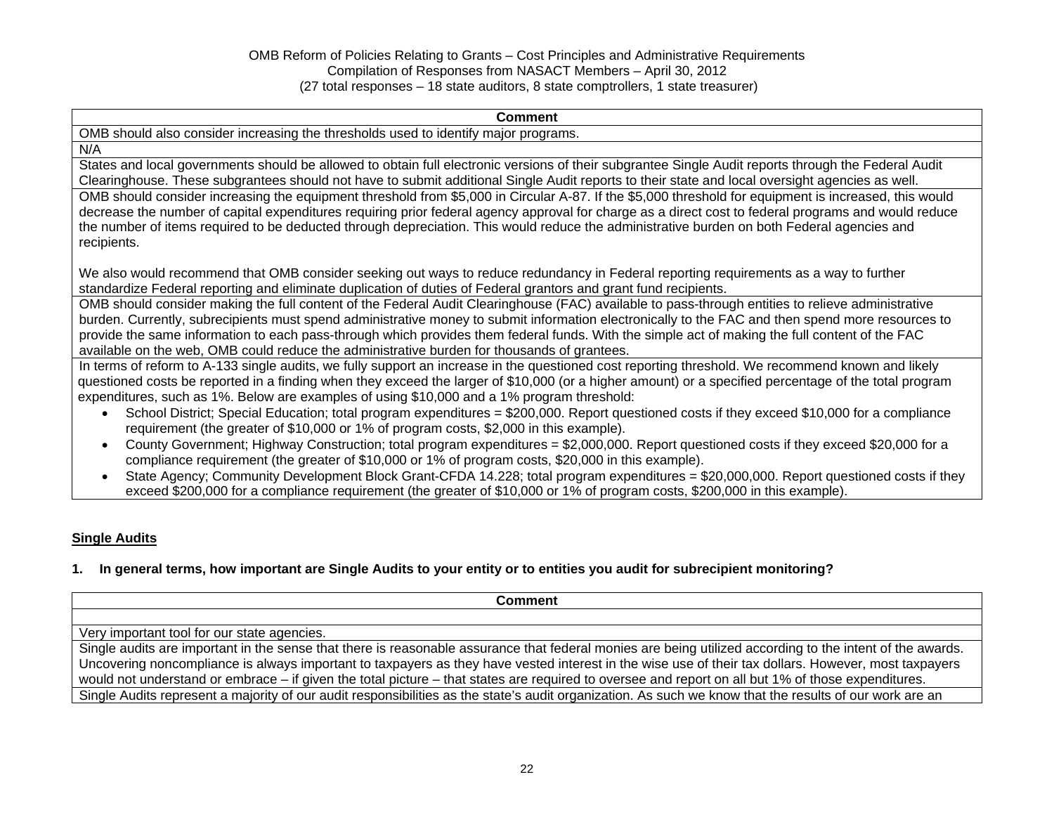#### **Comment**

OMB should also consider increasing the thresholds used to identify major programs.

N/A

States and local governments should be allowed to obtain full electronic versions of their subgrantee Single Audit reports through the Federal Audit Clearinghouse. These subgrantees should not have to submit additional Single Audit reports to their state and local oversight agencies as well.

OMB should consider increasing the equipment threshold from \$5,000 in Circular A-87. If the \$5,000 threshold for equipment is increased, this would decrease the number of capital expenditures requiring prior federal agency approval for charge as a direct cost to federal programs and would reduce the number of items required to be deducted through depreciation. This would reduce the administrative burden on both Federal agencies and recipients.

We also would recommend that OMB consider seeking out ways to reduce redundancy in Federal reporting requirements as a way to further standardize Federal reporting and eliminate duplication of duties of Federal grantors and grant fund recipients.

OMB should consider making the full content of the Federal Audit Clearinghouse (FAC) available to pass-through entities to relieve administrative burden. Currently, subrecipients must spend administrative money to submit information electronically to the FAC and then spend more resources to provide the same information to each pass-through which provides them federal funds. With the simple act of making the full content of the FAC available on the web, OMB could reduce the administrative burden for thousands of grantees.

In terms of reform to A-133 single audits, we fully support an increase in the questioned cost reporting threshold. We recommend known and likely questioned costs be reported in a finding when they exceed the larger of \$10,000 (or a higher amount) or a specified percentage of the total program expenditures, such as 1%. Below are examples of using \$10,000 and a 1% program threshold:

- School District; Special Education; total program expenditures = \$200,000. Report questioned costs if they exceed \$10,000 for a compliance requirement (the greater of \$10,000 or 1% of program costs, \$2,000 in this example).
- County Government; Highway Construction; total program expenditures = \$2,000,000. Report questioned costs if they exceed \$20,000 for a compliance requirement (the greater of \$10,000 or 1% of program costs, \$20,000 in this example).
- State Agency; Community Development Block Grant-CFDA 14.228; total program expenditures = \$20,000,000. Report questioned costs if they exceed \$200,000 for a compliance requirement (the greater of \$10,000 or 1% of program costs, \$200,000 in this example).

### **Single Audits**

### **1. In general terms, how important are Single Audits to your entity or to entities you audit for subrecipient monitoring?**

**Comment** Very important tool for our state agencies. Single audits are important in the sense that there is reasonable assurance that federal monies are being utilized according to the intent of the awards. Uncovering noncompliance is always important to taxpayers as they have vested interest in the wise use of their tax dollars. However, most taxpayers would not understand or embrace – if given the total picture – that states are required to oversee and report on all but 1% of those expenditures. Single Audits represent a majority of our audit responsibilities as the state's audit organization. As such we know that the results of our work are an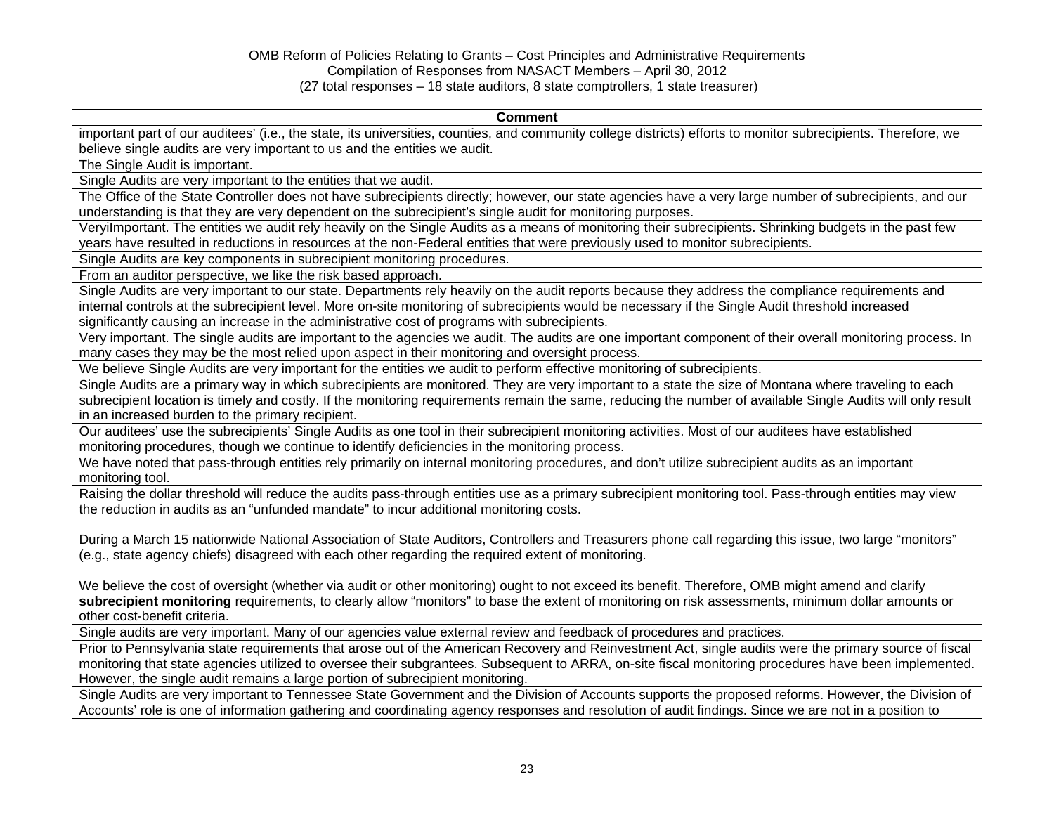#### **Comment**

important part of our auditees' (i.e., the state, its universities, counties, and community college districts) efforts to monitor subrecipients. Therefore, we believe single audits are very important to us and the entities we audit.

The Single Audit is important.

Single Audits are very important to the entities that we audit.

The Office of the State Controller does not have subrecipients directly; however, our state agencies have a very large number of subrecipients, and our understanding is that they are very dependent on the subrecipient's single audit for monitoring purposes.

VeryiImportant. The entities we audit rely heavily on the Single Audits as a means of monitoring their subrecipients. Shrinking budgets in the past few years have resulted in reductions in resources at the non-Federal entities that were previously used to monitor subrecipients.

Single Audits are key components in subrecipient monitoring procedures.

From an auditor perspective, we like the risk based approach.

Single Audits are very important to our state. Departments rely heavily on the audit reports because they address the compliance requirements and internal controls at the subrecipient level. More on-site monitoring of subrecipients would be necessary if the Single Audit threshold increased significantly causing an increase in the administrative cost of programs with subrecipients.

Very important. The single audits are important to the agencies we audit. The audits are one important component of their overall monitoring process. In many cases they may be the most relied upon aspect in their monitoring and oversight process.

We believe Single Audits are very important for the entities we audit to perform effective monitoring of subrecipients.

Single Audits are a primary way in which subrecipients are monitored. They are very important to a state the size of Montana where traveling to each subrecipient location is timely and costly. If the monitoring requirements remain the same, reducing the number of available Single Audits will only result in an increased burden to the primary recipient.

Our auditees' use the subrecipients' Single Audits as one tool in their subrecipient monitoring activities. Most of our auditees have established monitoring procedures, though we continue to identify deficiencies in the monitoring process.

We have noted that pass-through entities rely primarily on internal monitoring procedures, and don't utilize subrecipient audits as an important monitoring tool.

Raising the dollar threshold will reduce the audits pass-through entities use as a primary subrecipient monitoring tool. Pass-through entities may view the reduction in audits as an "unfunded mandate" to incur additional monitoring costs.

During a March 15 nationwide National Association of State Auditors, Controllers and Treasurers phone call regarding this issue, two large "monitors" (e.g., state agency chiefs) disagreed with each other regarding the required extent of monitoring.

We believe the cost of oversight (whether via audit or other monitoring) ought to not exceed its benefit. Therefore, OMB might amend and clarify **subrecipient monitoring** requirements, to clearly allow "monitors" to base the extent of monitoring on risk assessments, minimum dollar amounts or other cost-benefit criteria.

Single audits are very important. Many of our agencies value external review and feedback of procedures and practices.

Prior to Pennsylvania state requirements that arose out of the American Recovery and Reinvestment Act, single audits were the primary source of fiscal monitoring that state agencies utilized to oversee their subgrantees. Subsequent to ARRA, on-site fiscal monitoring procedures have been implemented. However, the single audit remains a large portion of subrecipient monitoring.

Single Audits are very important to Tennessee State Government and the Division of Accounts supports the proposed reforms. However, the Division of Accounts' role is one of information gathering and coordinating agency responses and resolution of audit findings. Since we are not in a position to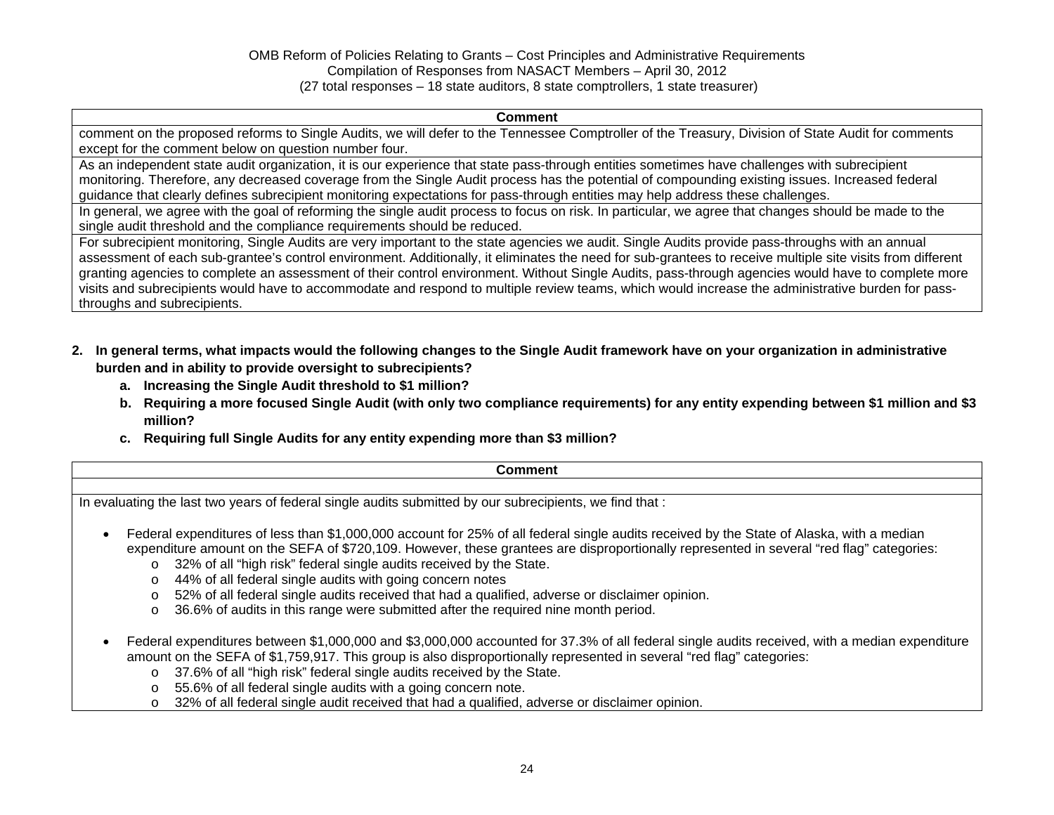#### **Comment**

comment on the proposed reforms to Single Audits, we will defer to the Tennessee Comptroller of the Treasury, Division of State Audit for comments except for the comment below on question number four.

As an independent state audit organization, it is our experience that state pass-through entities sometimes have challenges with subrecipient monitoring. Therefore, any decreased coverage from the Single Audit process has the potential of compounding existing issues. Increased federal guidance that clearly defines subrecipient monitoring expectations for pass-through entities may help address these challenges.

In general, we agree with the goal of reforming the single audit process to focus on risk. In particular, we agree that changes should be made to the single audit threshold and the compliance requirements should be reduced.

For subrecipient monitoring, Single Audits are very important to the state agencies we audit. Single Audits provide pass-throughs with an annual assessment of each sub-grantee's control environment. Additionally, it eliminates the need for sub-grantees to receive multiple site visits from different granting agencies to complete an assessment of their control environment. Without Single Audits, pass-through agencies would have to complete more visits and subrecipients would have to accommodate and respond to multiple review teams, which would increase the administrative burden for passthroughs and subrecipients.

- **2. In general terms, what impacts would the following changes to the Single Audit framework have on your organization in administrative burden and in ability to provide oversight to subrecipients?** 
	- **a. Increasing the Single Audit threshold to \$1 million?**
	- **b. Requiring a more focused Single Audit (with only two compliance requirements) for any entity expending between \$1 million and \$3 million?**
	- **c. Requiring full Single Audits for any entity expending more than \$3 million?**

| <b>Comment</b>                                                                                                                                                                                                                                                                                                                                                                                                                                                                                                                                                                                                                                        |
|-------------------------------------------------------------------------------------------------------------------------------------------------------------------------------------------------------------------------------------------------------------------------------------------------------------------------------------------------------------------------------------------------------------------------------------------------------------------------------------------------------------------------------------------------------------------------------------------------------------------------------------------------------|
|                                                                                                                                                                                                                                                                                                                                                                                                                                                                                                                                                                                                                                                       |
| In evaluating the last two years of federal single audits submitted by our subrecipients, we find that :                                                                                                                                                                                                                                                                                                                                                                                                                                                                                                                                              |
| Federal expenditures of less than \$1,000,000 account for 25% of all federal single audits received by the State of Alaska, with a median<br>$\bullet$<br>expenditure amount on the SEFA of \$720,109. However, these grantees are disproportionally represented in several "red flag" categories:<br>o 32% of all "high risk" federal single audits received by the State.<br>44% of all federal single audits with going concern notes<br>$\circ$<br>52% of all federal single audits received that had a qualified, adverse or disclaimer opinion.<br>O<br>36.6% of audits in this range were submitted after the required nine month period.<br>O |
| Federal expenditures between \$1,000,000 and \$3,000,000 accounted for 37.3% of all federal single audits received, with a median expenditure<br>amount on the SEFA of \$1,759,917. This group is also disproportionally represented in several "red flag" categories:<br>o 37.6% of all "high risk" federal single audits received by the State.<br>55.6% of all federal single audits with a going concern note.<br>$\circ$<br>32% of all federal single audit received that had a qualified, adverse or disclaimer opinion.<br>O                                                                                                                   |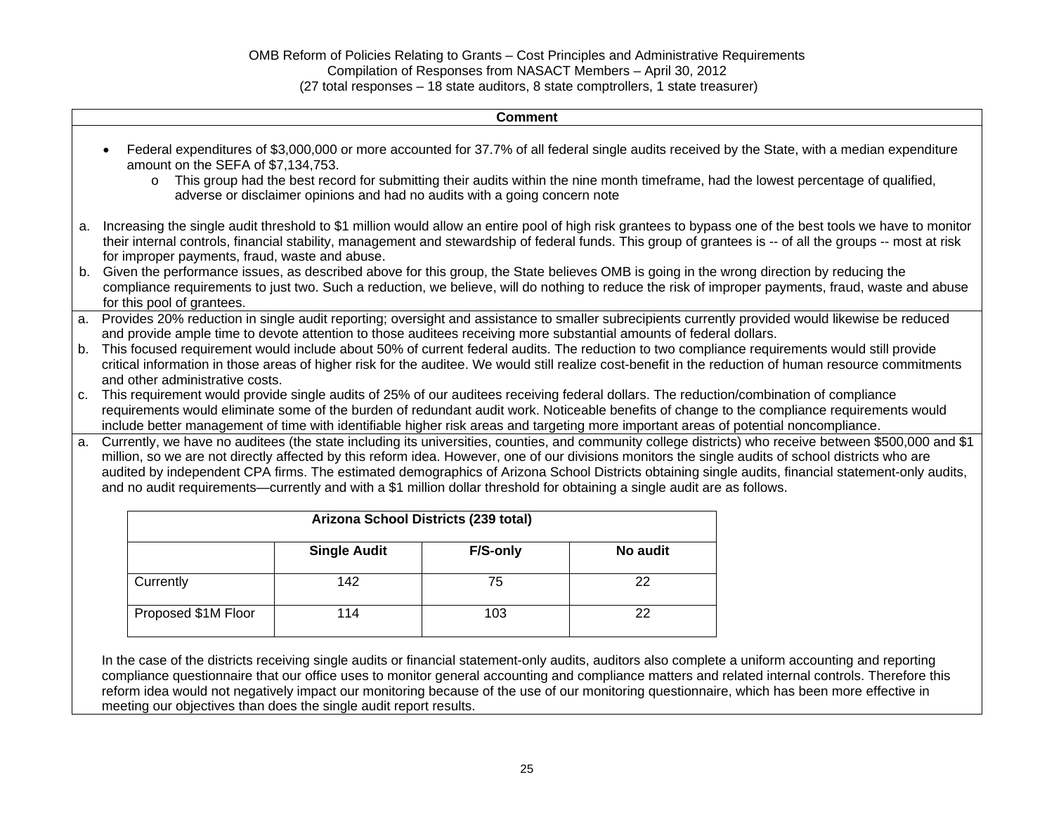|                                                                                                                     | <b>Comment</b>                                                                                                                                                                                                                                                                                               |                                                |                                                                            |          |          |                                                                                                                                                                                                                                                                                                                       |
|---------------------------------------------------------------------------------------------------------------------|--------------------------------------------------------------------------------------------------------------------------------------------------------------------------------------------------------------------------------------------------------------------------------------------------------------|------------------------------------------------|----------------------------------------------------------------------------|----------|----------|-----------------------------------------------------------------------------------------------------------------------------------------------------------------------------------------------------------------------------------------------------------------------------------------------------------------------|
|                                                                                                                     |                                                                                                                                                                                                                                                                                                              | amount on the SEFA of \$7,134,753.<br>$\circ$  | adverse or disclaimer opinions and had no audits with a going concern note |          |          | Federal expenditures of \$3,000,000 or more accounted for 37.7% of all federal single audits received by the State, with a median expenditure<br>This group had the best record for submitting their audits within the nine month timeframe, had the lowest percentage of qualified,                                  |
| a.                                                                                                                  |                                                                                                                                                                                                                                                                                                              | for improper payments, fraud, waste and abuse. |                                                                            |          |          | Increasing the single audit threshold to \$1 million would allow an entire pool of high risk grantees to bypass one of the best tools we have to monitor<br>their internal controls, financial stability, management and stewardship of federal funds. This group of grantees is -- of all the groups -- most at risk |
| b.                                                                                                                  |                                                                                                                                                                                                                                                                                                              | for this pool of grantees.                     |                                                                            |          |          | Given the performance issues, as described above for this group, the State believes OMB is going in the wrong direction by reducing the<br>compliance requirements to just two. Such a reduction, we believe, will do nothing to reduce the risk of improper payments, fraud, waste and abuse                         |
| a.                                                                                                                  | Provides 20% reduction in single audit reporting; oversight and assistance to smaller subrecipients currently provided would likewise be reduced                                                                                                                                                             |                                                |                                                                            |          |          |                                                                                                                                                                                                                                                                                                                       |
| and provide ample time to devote attention to those auditees receiving more substantial amounts of federal dollars. |                                                                                                                                                                                                                                                                                                              |                                                |                                                                            |          |          |                                                                                                                                                                                                                                                                                                                       |
|                                                                                                                     | This focused requirement would include about 50% of current federal audits. The reduction to two compliance requirements would still provide<br>b.<br>critical information in those areas of higher risk for the auditee. We would still realize cost-benefit in the reduction of human resource commitments |                                                |                                                                            |          |          |                                                                                                                                                                                                                                                                                                                       |
| and other administrative costs.                                                                                     |                                                                                                                                                                                                                                                                                                              |                                                |                                                                            |          |          |                                                                                                                                                                                                                                                                                                                       |
| C <sub>1</sub>                                                                                                      |                                                                                                                                                                                                                                                                                                              |                                                |                                                                            |          |          | This requirement would provide single audits of 25% of our auditees receiving federal dollars. The reduction/combination of compliance                                                                                                                                                                                |
|                                                                                                                     |                                                                                                                                                                                                                                                                                                              |                                                |                                                                            |          |          | requirements would eliminate some of the burden of redundant audit work. Noticeable benefits of change to the compliance requirements would                                                                                                                                                                           |
|                                                                                                                     |                                                                                                                                                                                                                                                                                                              |                                                |                                                                            |          |          | include better management of time with identifiable higher risk areas and targeting more important areas of potential noncompliance.                                                                                                                                                                                  |
| a.                                                                                                                  |                                                                                                                                                                                                                                                                                                              |                                                |                                                                            |          |          | Currently, we have no auditees (the state including its universities, counties, and community college districts) who receive between \$500,000 and \$1                                                                                                                                                                |
|                                                                                                                     | million, so we are not directly affected by this reform idea. However, one of our divisions monitors the single audits of school districts who are                                                                                                                                                           |                                                |                                                                            |          |          |                                                                                                                                                                                                                                                                                                                       |
|                                                                                                                     |                                                                                                                                                                                                                                                                                                              |                                                |                                                                            |          |          | audited by independent CPA firms. The estimated demographics of Arizona School Districts obtaining single audits, financial statement-only audits,                                                                                                                                                                    |
|                                                                                                                     | and no audit requirements—currently and with a \$1 million dollar threshold for obtaining a single audit are as follows.                                                                                                                                                                                     |                                                |                                                                            |          |          |                                                                                                                                                                                                                                                                                                                       |
|                                                                                                                     |                                                                                                                                                                                                                                                                                                              |                                                |                                                                            |          |          |                                                                                                                                                                                                                                                                                                                       |
|                                                                                                                     | Arizona School Districts (239 total)                                                                                                                                                                                                                                                                         |                                                |                                                                            |          |          |                                                                                                                                                                                                                                                                                                                       |
|                                                                                                                     |                                                                                                                                                                                                                                                                                                              |                                                | <b>Single Audit</b>                                                        | F/S-only | No audit |                                                                                                                                                                                                                                                                                                                       |
|                                                                                                                     |                                                                                                                                                                                                                                                                                                              | Currently                                      | 142                                                                        | 75       | 22       |                                                                                                                                                                                                                                                                                                                       |

In the case of the districts receiving single audits or financial statement-only audits, auditors also complete a uniform accounting and reporting compliance questionnaire that our office uses to monitor general accounting and compliance matters and related internal controls. Therefore this reform idea would not negatively impact our monitoring because of the use of our monitoring questionnaire, which has been more effective in meeting our objectives than does the single audit report results.

Proposed \$1M Floor | 114 103 | 22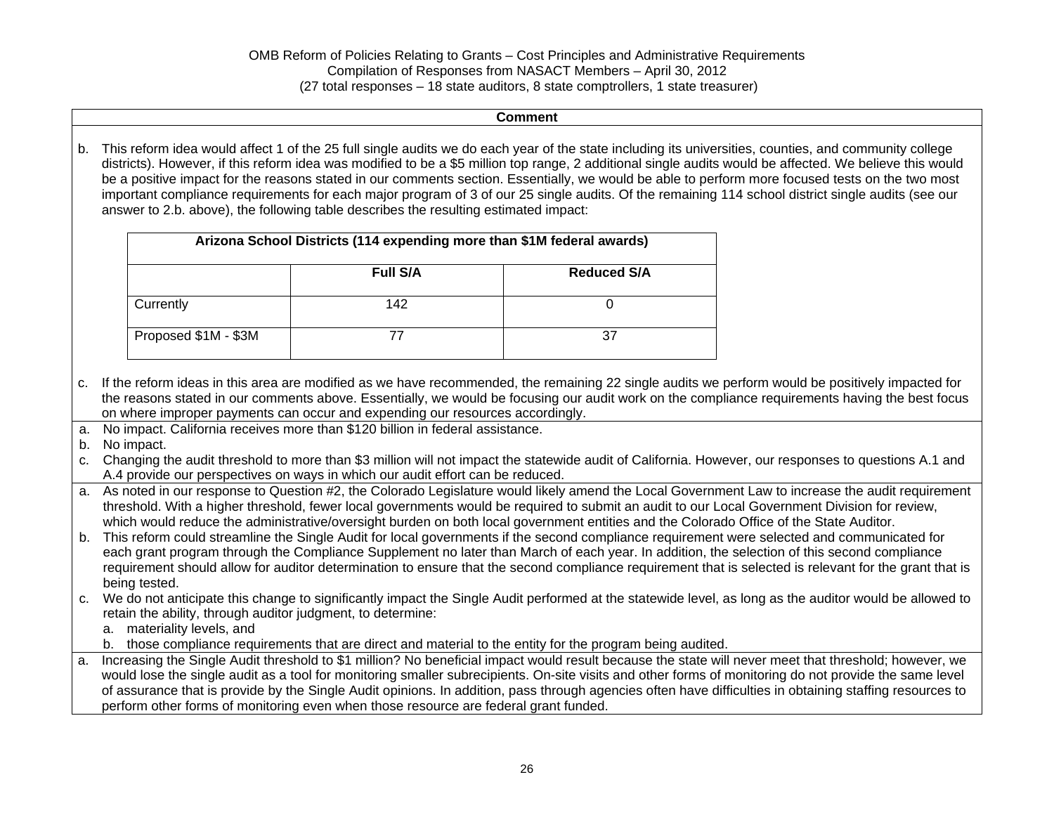#### **Comment**

b. This reform idea would affect 1 of the 25 full single audits we do each year of the state including its universities, counties, and community college districts). However, if this reform idea was modified to be a \$5 million top range, 2 additional single audits would be affected. We believe this would be a positive impact for the reasons stated in our comments section. Essentially, we would be able to perform more focused tests on the two most important compliance requirements for each major program of 3 of our 25 single audits. Of the remaining 114 school district single audits (see our answer to 2.b. above), the following table describes the resulting estimated impact:

| Arizona School Districts (114 expending more than \$1M federal awards) |                 |                    |
|------------------------------------------------------------------------|-----------------|--------------------|
|                                                                        | <b>Full S/A</b> | <b>Reduced S/A</b> |
| Currently                                                              | 142             |                    |
| Proposed \$1M - \$3M                                                   |                 | 37                 |

- c. If the reform ideas in this area are modified as we have recommended, the remaining 22 single audits we perform would be positively impacted for the reasons stated in our comments above. Essentially, we would be focusing our audit work on the compliance requirements having the best focus on where improper payments can occur and expending our resources accordingly.
- a. No impact. California receives more than \$120 billion in federal assistance.
- b. No impact.

c. Changing the audit threshold to more than \$3 million will not impact the statewide audit of California. However, our responses to questions A.1 and A.4 provide our perspectives on ways in which our audit effort can be reduced.

- a. As noted in our response to Question #2, the Colorado Legislature would likely amend the Local Government Law to increase the audit requirement threshold. With a higher threshold, fewer local governments would be required to submit an audit to our Local Government Division for review, which would reduce the administrative/oversight burden on both local government entities and the Colorado Office of the State Auditor.
- b. This reform could streamline the Single Audit for local governments if the second compliance requirement were selected and communicated for each grant program through the Compliance Supplement no later than March of each year. In addition, the selection of this second compliance requirement should allow for auditor determination to ensure that the second compliance requirement that is selected is relevant for the grant that is being tested.
- c. We do not anticipate this change to significantly impact the Single Audit performed at the statewide level, as long as the auditor would be allowed to retain the ability, through auditor judgment, to determine:
	- a. materiality levels, and
	- b. those compliance requirements that are direct and material to the entity for the program being audited.
- a. Increasing the Single Audit threshold to \$1 million? No beneficial impact would result because the state will never meet that threshold; however, we would lose the single audit as a tool for monitoring smaller subrecipients. On-site visits and other forms of monitoring do not provide the same level of assurance that is provide by the Single Audit opinions. In addition, pass through agencies often have difficulties in obtaining staffing resources to perform other forms of monitoring even when those resource are federal grant funded.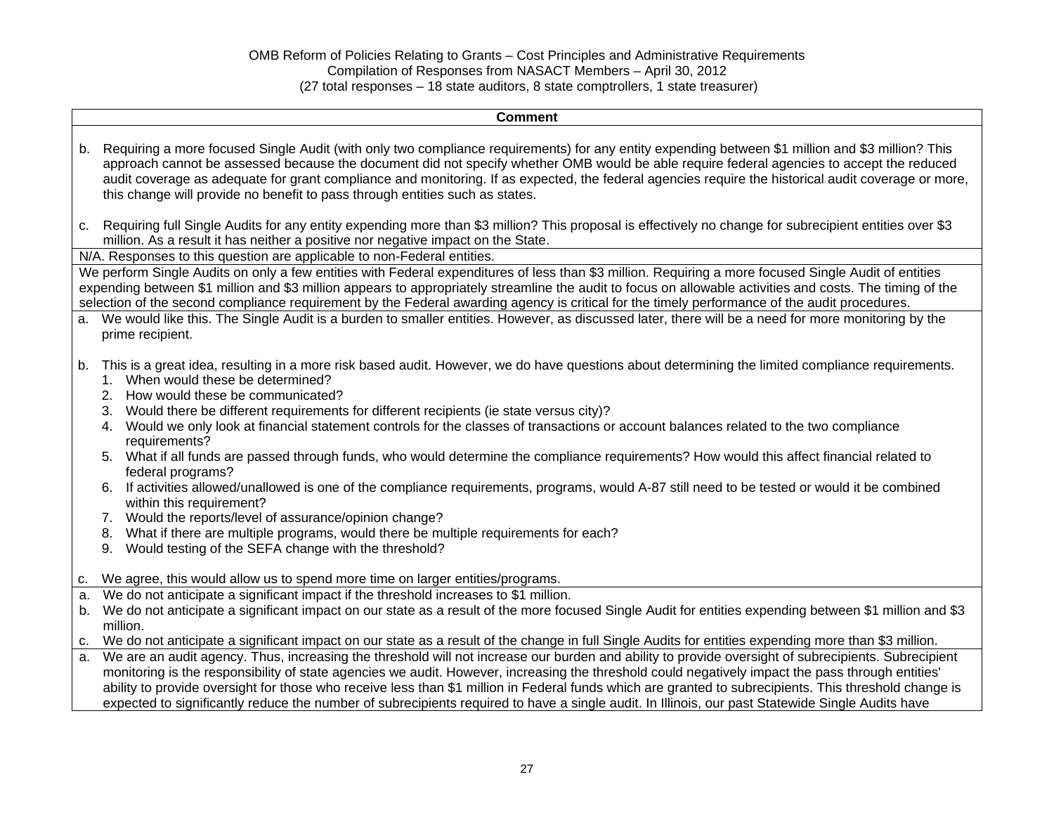|                | <b>Comment</b>                                                                                                                                                                                                                                                                                                                                                                                                                                                                                                                                                                                                                                                                                                                                                                                                                                                                                                                                                                                                                                                               |
|----------------|------------------------------------------------------------------------------------------------------------------------------------------------------------------------------------------------------------------------------------------------------------------------------------------------------------------------------------------------------------------------------------------------------------------------------------------------------------------------------------------------------------------------------------------------------------------------------------------------------------------------------------------------------------------------------------------------------------------------------------------------------------------------------------------------------------------------------------------------------------------------------------------------------------------------------------------------------------------------------------------------------------------------------------------------------------------------------|
| b.             | Requiring a more focused Single Audit (with only two compliance requirements) for any entity expending between \$1 million and \$3 million? This<br>approach cannot be assessed because the document did not specify whether OMB would be able require federal agencies to accept the reduced<br>audit coverage as adequate for grant compliance and monitoring. If as expected, the federal agencies require the historical audit coverage or more,<br>this change will provide no benefit to pass through entities such as states.                                                                                                                                                                                                                                                                                                                                                                                                                                                                                                                                         |
|                | c. Requiring full Single Audits for any entity expending more than \$3 million? This proposal is effectively no change for subrecipient entities over \$3<br>million. As a result it has neither a positive nor negative impact on the State.                                                                                                                                                                                                                                                                                                                                                                                                                                                                                                                                                                                                                                                                                                                                                                                                                                |
|                | N/A. Responses to this question are applicable to non-Federal entities.                                                                                                                                                                                                                                                                                                                                                                                                                                                                                                                                                                                                                                                                                                                                                                                                                                                                                                                                                                                                      |
| a.             | We perform Single Audits on only a few entities with Federal expenditures of less than \$3 million. Requiring a more focused Single Audit of entities<br>expending between \$1 million and \$3 million appears to appropriately streamline the audit to focus on allowable activities and costs. The timing of the<br>selection of the second compliance requirement by the Federal awarding agency is critical for the timely performance of the audit procedures.<br>We would like this. The Single Audit is a burden to smaller entities. However, as discussed later, there will be a need for more monitoring by the<br>prime recipient.                                                                                                                                                                                                                                                                                                                                                                                                                                |
| b.             | This is a great idea, resulting in a more risk based audit. However, we do have questions about determining the limited compliance requirements.<br>When would these be determined?<br>1.<br>2. How would these be communicated?<br>Would there be different requirements for different recipients (ie state versus city)?<br>3.<br>Would we only look at financial statement controls for the classes of transactions or account balances related to the two compliance<br>4.<br>requirements?<br>What if all funds are passed through funds, who would determine the compliance requirements? How would this affect financial related to<br>5.<br>federal programs?<br>If activities allowed/unallowed is one of the compliance requirements, programs, would A-87 still need to be tested or would it be combined<br>6.<br>within this requirement?<br>Would the reports/level of assurance/opinion change?<br>7.<br>8. What if there are multiple programs, would there be multiple requirements for each?<br>Would testing of the SEFA change with the threshold?<br>9. |
| C.<br>a.<br>b. | We agree, this would allow us to spend more time on larger entities/programs.<br>We do not anticipate a significant impact if the threshold increases to \$1 million.<br>We do not anticipate a significant impact on our state as a result of the more focused Single Audit for entities expending between \$1 million and \$3<br>million.                                                                                                                                                                                                                                                                                                                                                                                                                                                                                                                                                                                                                                                                                                                                  |
| C.<br>a.       | We do not anticipate a significant impact on our state as a result of the change in full Single Audits for entities expending more than \$3 million.<br>We are an audit agency. Thus, increasing the threshold will not increase our burden and ability to provide oversight of subrecipients. Subrecipient<br>monitoring is the responsibility of state agencies we audit. However, increasing the threshold could negatively impact the pass through entities'<br>ability to provide oversight for those who receive less than \$1 million in Federal funds which are granted to subrecipients. This threshold change is<br>expected to significantly reduce the number of subrecipients required to have a single audit. In Illinois, our past Statewide Single Audits have                                                                                                                                                                                                                                                                                               |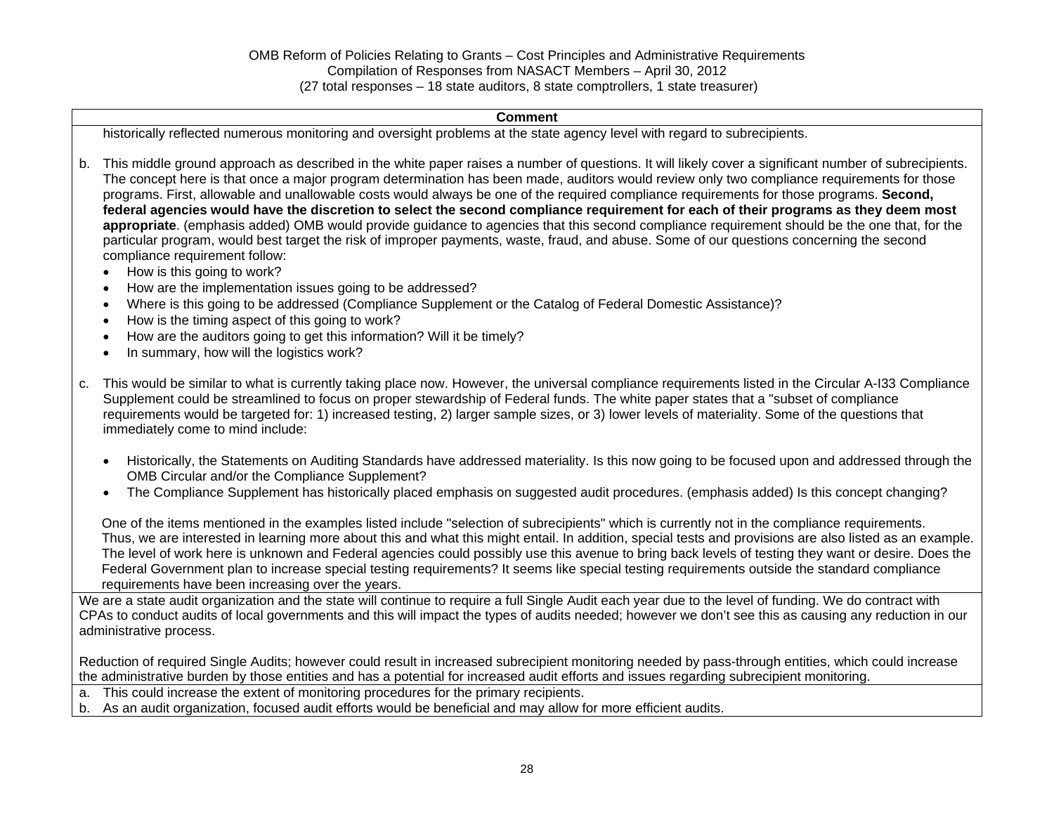#### **Comment**

historically reflected numerous monitoring and oversight problems at the state agency level with regard to subrecipients.

- b. This middle ground approach as described in the white paper raises a number of questions. It will likely cover a significant number of subrecipients. The concept here is that once a major program determination has been made, auditors would review only two compliance requirements for those programs. First, allowable and unallowable costs would always be one of the required compliance requirements for those programs. **Second, federal agencies would have the discretion to select the second compliance requirement for each of their programs as they deem most appropriate**. (emphasis added) OMB would provide guidance to agencies that this second compliance requirement should be the one that, for the particular program, would best target the risk of improper payments, waste, fraud, and abuse. Some of our questions concerning the second compliance requirement follow:
	- How is this going to work?
	- How are the implementation issues going to be addressed?
	- Where is this going to be addressed (Compliance Supplement or the Catalog of Federal Domestic Assistance)?
	- How is the timing aspect of this going to work?
	- How are the auditors going to get this information? Will it be timely?
	- In summary, how will the logistics work?
- c. This would be similar to what is currently taking place now. However, the universal compliance requirements listed in the Circular A-I33 Compliance Supplement could be streamlined to focus on proper stewardship of Federal funds. The white paper states that a "subset of compliance requirements would be targeted for: 1) increased testing, 2) larger sample sizes, or 3) lower levels of materiality. Some of the questions that immediately come to mind include:
	- Historically, the Statements on Auditing Standards have addressed materiality. Is this now going to be focused upon and addressed through the OMB Circular and/or the Compliance Supplement?
	- The Compliance Supplement has historically placed emphasis on suggested audit procedures. (emphasis added) Is this concept changing?

One of the items mentioned in the examples listed include "selection of subrecipients" which is currently not in the compliance requirements. Thus, we are interested in learning more about this and what this might entail. In addition, special tests and provisions are also listed as an example. The level of work here is unknown and Federal agencies could possibly use this avenue to bring back levels of testing they want or desire. Does the Federal Government plan to increase special testing requirements? It seems like special testing requirements outside the standard compliance requirements have been increasing over the years.

We are a state audit organization and the state will continue to require a full Single Audit each year due to the level of funding. We do contract with CPAs to conduct audits of local governments and this will impact the types of audits needed; however we don't see this as causing any reduction in our administrative process.

Reduction of required Single Audits; however could result in increased subrecipient monitoring needed by pass-through entities, which could increase the administrative burden by those entities and has a potential for increased audit efforts and issues regarding subrecipient monitoring.

- a. This could increase the extent of monitoring procedures for the primary recipients.
- b. As an audit organization, focused audit efforts would be beneficial and may allow for more efficient audits.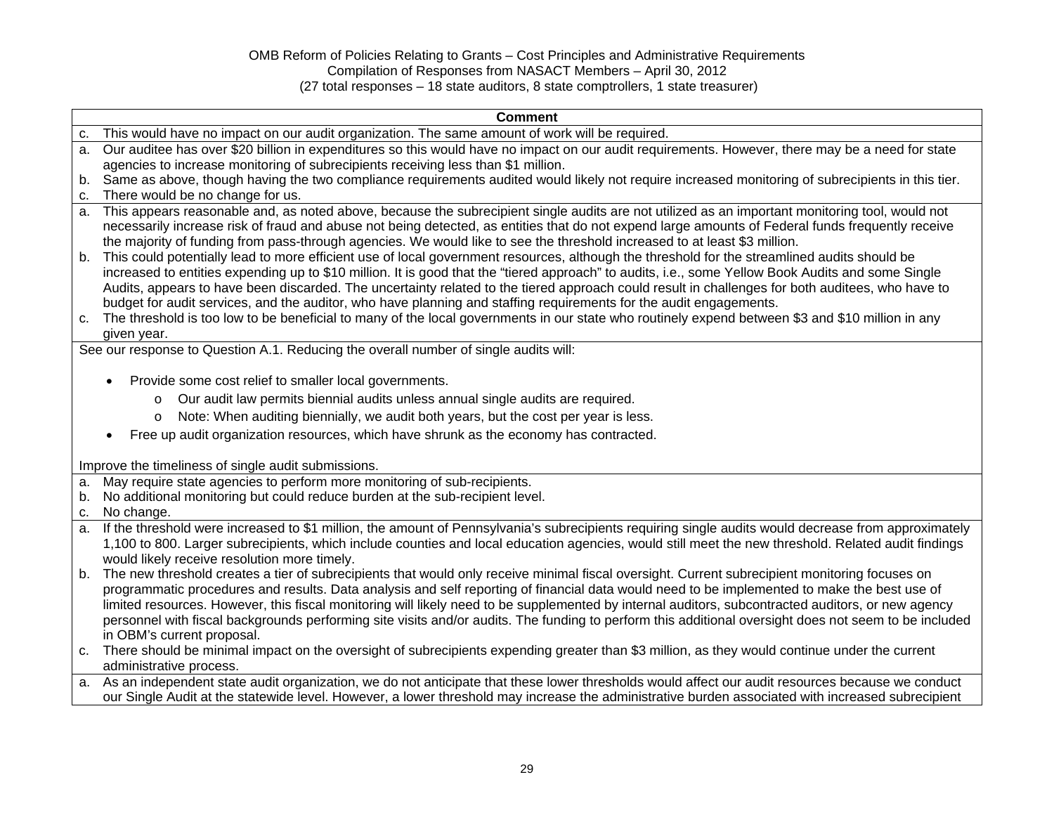| <b>Comment</b>                                                                                                                                                                                                                                                                                                                                                                                                                                                                                                                                                                     |
|------------------------------------------------------------------------------------------------------------------------------------------------------------------------------------------------------------------------------------------------------------------------------------------------------------------------------------------------------------------------------------------------------------------------------------------------------------------------------------------------------------------------------------------------------------------------------------|
| This would have no impact on our audit organization. The same amount of work will be required.<br>c.                                                                                                                                                                                                                                                                                                                                                                                                                                                                               |
| Our auditee has over \$20 billion in expenditures so this would have no impact on our audit requirements. However, there may be a need for state<br>a.<br>agencies to increase monitoring of subrecipients receiving less than \$1 million.<br>Same as above, though having the two compliance requirements audited would likely not require increased monitoring of subrecipients in this tier.<br>b.                                                                                                                                                                             |
| There would be no change for us.<br>c.                                                                                                                                                                                                                                                                                                                                                                                                                                                                                                                                             |
| This appears reasonable and, as noted above, because the subrecipient single audits are not utilized as an important monitoring tool, would not<br>a.<br>necessarily increase risk of fraud and abuse not being detected, as entities that do not expend large amounts of Federal funds frequently receive<br>the majority of funding from pass-through agencies. We would like to see the threshold increased to at least \$3 million.                                                                                                                                            |
| This could potentially lead to more efficient use of local government resources, although the threshold for the streamlined audits should be<br>b.<br>increased to entities expending up to \$10 million. It is good that the "tiered approach" to audits, i.e., some Yellow Book Audits and some Single<br>Audits, appears to have been discarded. The uncertainty related to the tiered approach could result in challenges for both auditees, who have to<br>budget for audit services, and the auditor, who have planning and staffing requirements for the audit engagements. |
| The threshold is too low to be beneficial to many of the local governments in our state who routinely expend between \$3 and \$10 million in any<br>given year.                                                                                                                                                                                                                                                                                                                                                                                                                    |
| See our response to Question A.1. Reducing the overall number of single audits will:                                                                                                                                                                                                                                                                                                                                                                                                                                                                                               |
| Provide some cost relief to smaller local governments.                                                                                                                                                                                                                                                                                                                                                                                                                                                                                                                             |
| $\bullet$                                                                                                                                                                                                                                                                                                                                                                                                                                                                                                                                                                          |
| Our audit law permits biennial audits unless annual single audits are required.<br>$\circ$                                                                                                                                                                                                                                                                                                                                                                                                                                                                                         |
| Note: When auditing biennially, we audit both years, but the cost per year is less.<br>$\circ$                                                                                                                                                                                                                                                                                                                                                                                                                                                                                     |
| Free up audit organization resources, which have shrunk as the economy has contracted.                                                                                                                                                                                                                                                                                                                                                                                                                                                                                             |
| Improve the timeliness of single audit submissions.                                                                                                                                                                                                                                                                                                                                                                                                                                                                                                                                |
| May require state agencies to perform more monitoring of sub-recipients.<br>a.                                                                                                                                                                                                                                                                                                                                                                                                                                                                                                     |
| No additional monitoring but could reduce burden at the sub-recipient level.<br>b.                                                                                                                                                                                                                                                                                                                                                                                                                                                                                                 |
| No change.<br>c.                                                                                                                                                                                                                                                                                                                                                                                                                                                                                                                                                                   |
| If the threshold were increased to \$1 million, the amount of Pennsylvania's subrecipients requiring single audits would decrease from approximately<br>a.                                                                                                                                                                                                                                                                                                                                                                                                                         |
| 1,100 to 800. Larger subrecipients, which include counties and local education agencies, would still meet the new threshold. Related audit findings                                                                                                                                                                                                                                                                                                                                                                                                                                |
| would likely receive resolution more timely.                                                                                                                                                                                                                                                                                                                                                                                                                                                                                                                                       |
| b. The new threshold creates a tier of subrecipients that would only receive minimal fiscal oversight. Current subrecipient monitoring focuses on                                                                                                                                                                                                                                                                                                                                                                                                                                  |
| programmatic procedures and results. Data analysis and self reporting of financial data would need to be implemented to make the best use of                                                                                                                                                                                                                                                                                                                                                                                                                                       |
| limited resources. However, this fiscal monitoring will likely need to be supplemented by internal auditors, subcontracted auditors, or new agency                                                                                                                                                                                                                                                                                                                                                                                                                                 |
| personnel with fiscal backgrounds performing site visits and/or audits. The funding to perform this additional oversight does not seem to be included                                                                                                                                                                                                                                                                                                                                                                                                                              |
| in OBM's current proposal.<br>There should be minimal impact on the oversight of subrecipients expending greater than \$3 million, as they would continue under the current                                                                                                                                                                                                                                                                                                                                                                                                        |
| c.<br>administrative process.                                                                                                                                                                                                                                                                                                                                                                                                                                                                                                                                                      |
| a. As an independent state audit organization, we do not anticipate that these lower thresholds would affect our audit resources because we conduct                                                                                                                                                                                                                                                                                                                                                                                                                                |
| our Single Audit at the statewide level. However, a lower threshold may increase the administrative burden associated with increased subrecipient                                                                                                                                                                                                                                                                                                                                                                                                                                  |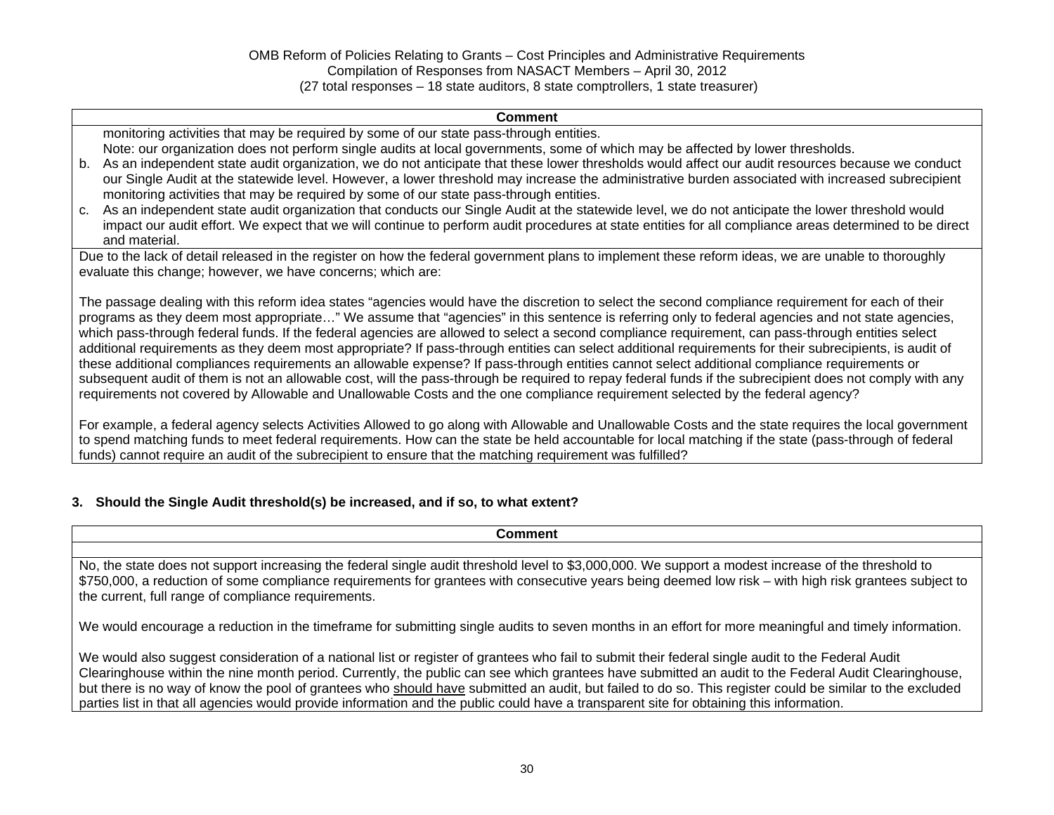#### **Comment**

monitoring activities that may be required by some of our state pass-through entities.

Note: our organization does not perform single audits at local governments, some of which may be affected by lower thresholds.

- b. As an independent state audit organization, we do not anticipate that these lower thresholds would affect our audit resources because we conduct our Single Audit at the statewide level. However, a lower threshold may increase the administrative burden associated with increased subrecipient monitoring activities that may be required by some of our state pass-through entities.
- c. As an independent state audit organization that conducts our Single Audit at the statewide level, we do not anticipate the lower threshold would impact our audit effort. We expect that we will continue to perform audit procedures at state entities for all compliance areas determined to be direct and material.

Due to the lack of detail released in the register on how the federal government plans to implement these reform ideas, we are unable to thoroughly evaluate this change; however, we have concerns; which are:

The passage dealing with this reform idea states "agencies would have the discretion to select the second compliance requirement for each of their programs as they deem most appropriate…" We assume that "agencies" in this sentence is referring only to federal agencies and not state agencies, which pass-through federal funds. If the federal agencies are allowed to select a second compliance requirement, can pass-through entities select additional requirements as they deem most appropriate? If pass-through entities can select additional requirements for their subrecipients, is audit of these additional compliances requirements an allowable expense? If pass-through entities cannot select additional compliance requirements or subsequent audit of them is not an allowable cost, will the pass-through be required to repay federal funds if the subrecipient does not comply with any requirements not covered by Allowable and Unallowable Costs and the one compliance requirement selected by the federal agency?

For example, a federal agency selects Activities Allowed to go along with Allowable and Unallowable Costs and the state requires the local government to spend matching funds to meet federal requirements. How can the state be held accountable for local matching if the state (pass-through of federal funds) cannot require an audit of the subrecipient to ensure that the matching requirement was fulfilled?

### **3. Should the Single Audit threshold(s) be increased, and if so, to what extent?**

| <b>Comment</b>                                                                                                                                                                                                                                                                                                                                                                                                                                                                                                                                                                                                    |
|-------------------------------------------------------------------------------------------------------------------------------------------------------------------------------------------------------------------------------------------------------------------------------------------------------------------------------------------------------------------------------------------------------------------------------------------------------------------------------------------------------------------------------------------------------------------------------------------------------------------|
|                                                                                                                                                                                                                                                                                                                                                                                                                                                                                                                                                                                                                   |
| No, the state does not support increasing the federal single audit threshold level to \$3,000,000. We support a modest increase of the threshold to<br>\$750,000, a reduction of some compliance requirements for grantees with consecutive years being deemed low risk – with high risk grantees subject to<br>the current, full range of compliance requirements.                                                                                                                                                                                                                                               |
| We would encourage a reduction in the timeframe for submitting single audits to seven months in an effort for more meaningful and timely information.                                                                                                                                                                                                                                                                                                                                                                                                                                                             |
| We would also suggest consideration of a national list or register of grantees who fail to submit their federal single audit to the Federal Audit<br>Clearinghouse within the nine month period. Currently, the public can see which grantees have submitted an audit to the Federal Audit Clearinghouse,<br>but there is no way of know the pool of grantees who should have submitted an audit, but failed to do so. This register could be similar to the excluded<br>parties list in that all agencies would provide information and the public could have a transparent site for obtaining this information. |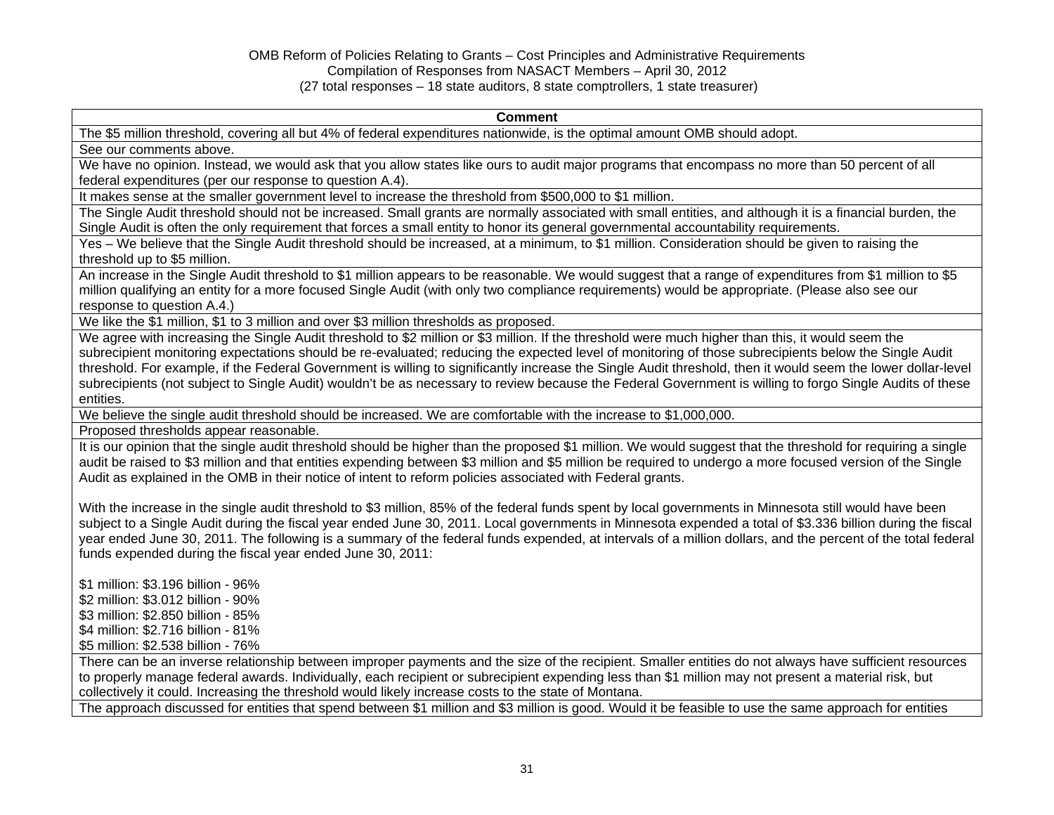#### **Comment**

The \$5 million threshold, covering all but 4% of federal expenditures nationwide, is the optimal amount OMB should adopt.

See our comments above.

We have no opinion. Instead, we would ask that you allow states like ours to audit major programs that encompass no more than 50 percent of all federal expenditures (per our response to question A.4).

It makes sense at the smaller government level to increase the threshold from \$500,000 to \$1 million.

The Single Audit threshold should not be increased. Small grants are normally associated with small entities, and although it is a financial burden, the Single Audit is often the only requirement that forces a small entity to honor its general governmental accountability requirements.

Yes – We believe that the Single Audit threshold should be increased, at a minimum, to \$1 million. Consideration should be given to raising the threshold up to \$5 million.

An increase in the Single Audit threshold to \$1 million appears to be reasonable. We would suggest that a range of expenditures from \$1 million to \$5 million qualifying an entity for a more focused Single Audit (with only two compliance requirements) would be appropriate. (Please also see our response to question A.4.)

We like the \$1 million, \$1 to 3 million and over \$3 million thresholds as proposed.

We agree with increasing the Single Audit threshold to \$2 million or \$3 million. If the threshold were much higher than this, it would seem the subrecipient monitoring expectations should be re-evaluated; reducing the expected level of monitoring of those subrecipients below the Single Audit threshold. For example, if the Federal Government is willing to significantly increase the Single Audit threshold, then it would seem the lower dollar-level subrecipients (not subject to Single Audit) wouldn't be as necessary to review because the Federal Government is willing to forgo Single Audits of these entities.

We believe the single audit threshold should be increased. We are comfortable with the increase to \$1,000,000.

Proposed thresholds appear reasonable.

It is our opinion that the single audit threshold should be higher than the proposed \$1 million. We would suggest that the threshold for requiring a single audit be raised to \$3 million and that entities expending between \$3 million and \$5 million be required to undergo a more focused version of the Single Audit as explained in the OMB in their notice of intent to reform policies associated with Federal grants.

With the increase in the single audit threshold to \$3 million, 85% of the federal funds spent by local governments in Minnesota still would have been subject to a Single Audit during the fiscal year ended June 30, 2011. Local governments in Minnesota expended a total of \$3.336 billion during the fiscal year ended June 30, 2011. The following is a summary of the federal funds expended, at intervals of a million dollars, and the percent of the total federal funds expended during the fiscal year ended June 30, 2011:

\$1 million: \$3.196 billion - 96% \$2 million: \$3.012 billion - 90%

\$3 million: \$2.850 billion - 85%

\$4 million: \$2.716 billion - 81%

\$5 million: \$2.538 billion - 76%

There can be an inverse relationship between improper payments and the size of the recipient. Smaller entities do not always have sufficient resources to properly manage federal awards. Individually, each recipient or subrecipient expending less than \$1 million may not present a material risk, but collectively it could. Increasing the threshold would likely increase costs to the state of Montana.

The approach discussed for entities that spend between \$1 million and \$3 million is good. Would it be feasible to use the same approach for entities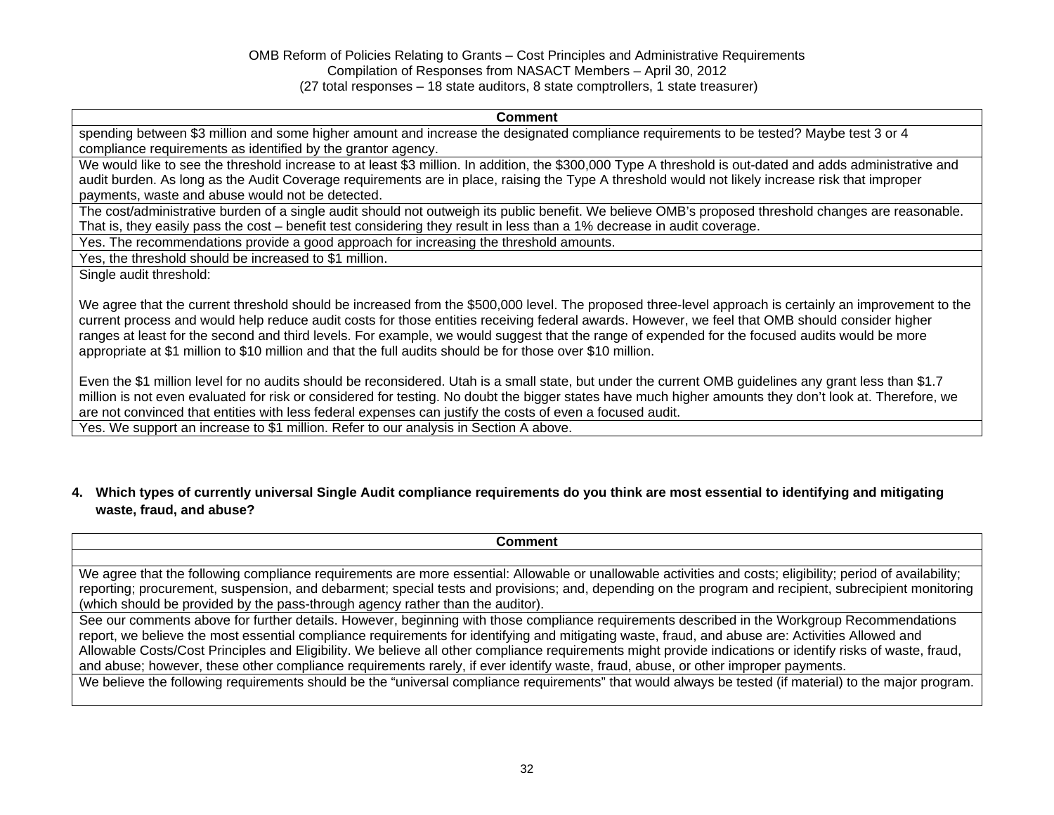#### **Comment**

spending between \$3 million and some higher amount and increase the designated compliance requirements to be tested? Maybe test 3 or 4 compliance requirements as identified by the grantor agency.

We would like to see the threshold increase to at least \$3 million. In addition, the \$300,000 Type A threshold is out-dated and adds administrative and audit burden. As long as the Audit Coverage requirements are in place, raising the Type A threshold would not likely increase risk that improper payments, waste and abuse would not be detected.

The cost/administrative burden of a single audit should not outweigh its public benefit. We believe OMB's proposed threshold changes are reasonable. That is, they easily pass the cost – benefit test considering they result in less than a 1% decrease in audit coverage.

Yes. The recommendations provide a good approach for increasing the threshold amounts.

Yes, the threshold should be increased to \$1 million.

Single audit threshold:

We agree that the current threshold should be increased from the \$500,000 level. The proposed three-level approach is certainly an improvement to the current process and would help reduce audit costs for those entities receiving federal awards. However, we feel that OMB should consider higher ranges at least for the second and third levels. For example, we would suggest that the range of expended for the focused audits would be more appropriate at \$1 million to \$10 million and that the full audits should be for those over \$10 million.

Even the \$1 million level for no audits should be reconsidered. Utah is a small state, but under the current OMB guidelines any grant less than \$1.7 million is not even evaluated for risk or considered for testing. No doubt the bigger states have much higher amounts they don't look at. Therefore, we are not convinced that entities with less federal expenses can justify the costs of even a focused audit.

Yes. We support an increase to \$1 million. Refer to our analysis in Section A above.

# **4. Which types of currently universal Single Audit compliance requirements do you think are most essential to identifying and mitigating waste, fraud, and abuse?**

| <b>Comment</b>                                                                                                                                              |
|-------------------------------------------------------------------------------------------------------------------------------------------------------------|
|                                                                                                                                                             |
| We agree that the following compliance requirements are more essential: Allowable or unallowable activities and costs; eligibility; period of availability; |
| reporting; procurement, suspension, and debarment; special tests and provisions; and, depending on the program and recipient, subrecipient monitoring       |
| (which should be provided by the pass-through agency rather than the auditor).                                                                              |
| See our comments above for further details. However, beginning with those compliance requirements described in the Workgroup Recommendations                |
| report, we believe the most essential compliance requirements for identifying and mitigating waste, fraud, and abuse are: Activities Allowed and            |
| Allowable Costs/Cost Principles and Eligibility. We believe all other compliance requirements might provide indications or identify risks of waste, fraud,  |
| and abuse; however, these other compliance requirements rarely, if ever identify waste, fraud, abuse, or other improper payments.                           |
| We believe the following requirements should be the "universal compliance requirements" that would always be tested (if material) to the major program.     |
|                                                                                                                                                             |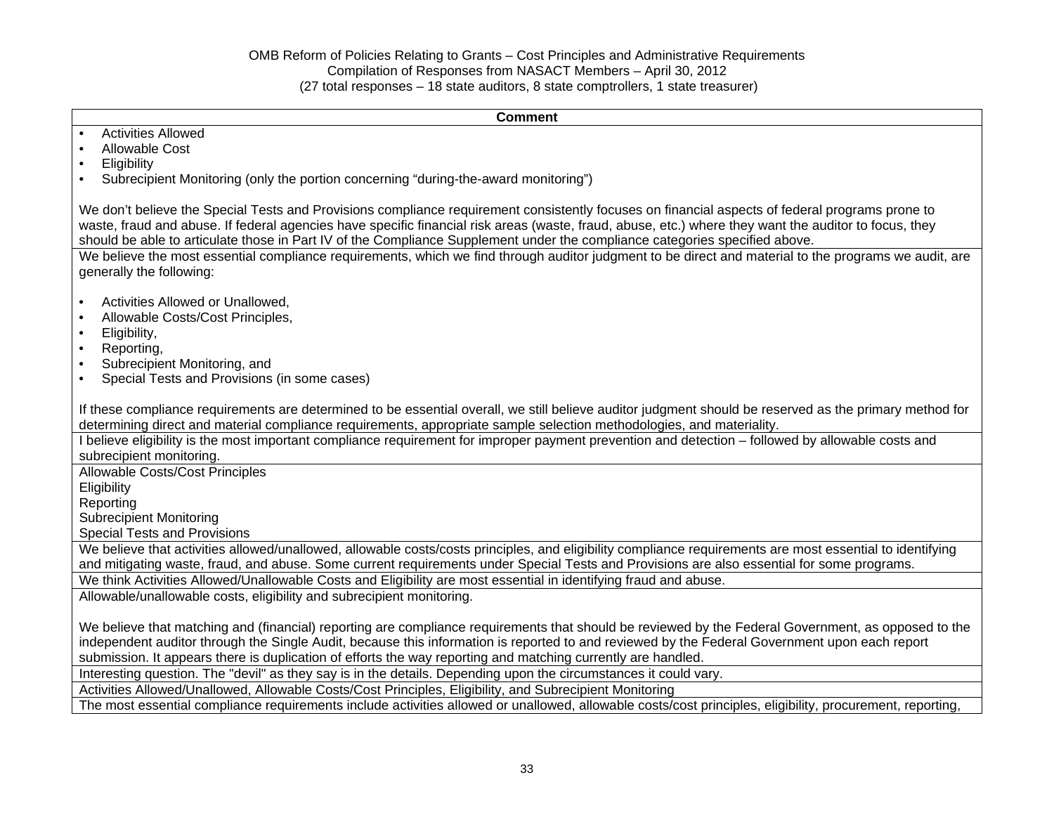| <b>Activities Allowed</b>                                                                                                                                                                                                                                                                                                                                                                                                               |
|-----------------------------------------------------------------------------------------------------------------------------------------------------------------------------------------------------------------------------------------------------------------------------------------------------------------------------------------------------------------------------------------------------------------------------------------|
|                                                                                                                                                                                                                                                                                                                                                                                                                                         |
| <b>Allowable Cost</b>                                                                                                                                                                                                                                                                                                                                                                                                                   |
| Eligibility                                                                                                                                                                                                                                                                                                                                                                                                                             |
| Subrecipient Monitoring (only the portion concerning "during-the-award monitoring")                                                                                                                                                                                                                                                                                                                                                     |
| We don't believe the Special Tests and Provisions compliance requirement consistently focuses on financial aspects of federal programs prone to<br>waste, fraud and abuse. If federal agencies have specific financial risk areas (waste, fraud, abuse, etc.) where they want the auditor to focus, they<br>should be able to articulate those in Part IV of the Compliance Supplement under the compliance categories specified above. |
| We believe the most essential compliance requirements, which we find through auditor judgment to be direct and material to the programs we audit, are<br>generally the following:                                                                                                                                                                                                                                                       |
| Activities Allowed or Unallowed,                                                                                                                                                                                                                                                                                                                                                                                                        |
| Allowable Costs/Cost Principles,                                                                                                                                                                                                                                                                                                                                                                                                        |
| Eligibility,                                                                                                                                                                                                                                                                                                                                                                                                                            |
| Reporting,                                                                                                                                                                                                                                                                                                                                                                                                                              |
| Subrecipient Monitoring, and                                                                                                                                                                                                                                                                                                                                                                                                            |
| Special Tests and Provisions (in some cases)                                                                                                                                                                                                                                                                                                                                                                                            |
| If these compliance requirements are determined to be essential overall, we still believe auditor judgment should be reserved as the primary method for<br>determining direct and material compliance requirements, appropriate sample selection methodologies, and materiality.                                                                                                                                                        |
| I believe eligibility is the most important compliance requirement for improper payment prevention and detection – followed by allowable costs and<br>subrecipient monitoring.                                                                                                                                                                                                                                                          |
| <b>Allowable Costs/Cost Principles</b>                                                                                                                                                                                                                                                                                                                                                                                                  |
| Eligibility                                                                                                                                                                                                                                                                                                                                                                                                                             |
| Reporting                                                                                                                                                                                                                                                                                                                                                                                                                               |
| <b>Subrecipient Monitoring</b>                                                                                                                                                                                                                                                                                                                                                                                                          |
| <b>Special Tests and Provisions</b>                                                                                                                                                                                                                                                                                                                                                                                                     |
| We believe that activities allowed/unallowed, allowable costs/costs principles, and eligibility compliance requirements are most essential to identifying<br>and mitigating waste, fraud, and abuse. Some current requirements under Special Tests and Provisions are also essential for some programs.                                                                                                                                 |
| We think Activities Allowed/Unallowable Costs and Eligibility are most essential in identifying fraud and abuse.                                                                                                                                                                                                                                                                                                                        |
| Allowable/unallowable costs, eligibility and subrecipient monitoring.                                                                                                                                                                                                                                                                                                                                                                   |
| We believe that matching and (financial) reporting are compliance requirements that should be reviewed by the Federal Government, as opposed to the                                                                                                                                                                                                                                                                                     |
| independent auditor through the Single Audit, because this information is reported to and reviewed by the Federal Government upon each report                                                                                                                                                                                                                                                                                           |
| submission. It appears there is duplication of efforts the way reporting and matching currently are handled.                                                                                                                                                                                                                                                                                                                            |
| Interesting question. The "devil" as they say is in the details. Depending upon the circumstances it could vary.                                                                                                                                                                                                                                                                                                                        |
| Activities Allowed/Unallowed, Allowable Costs/Cost Principles, Eligibility, and Subrecipient Monitoring                                                                                                                                                                                                                                                                                                                                 |
| The most essential compliance requirements include activities allowed or unallowed, allowable costs/cost principles, eligibility, procurement, reporting,                                                                                                                                                                                                                                                                               |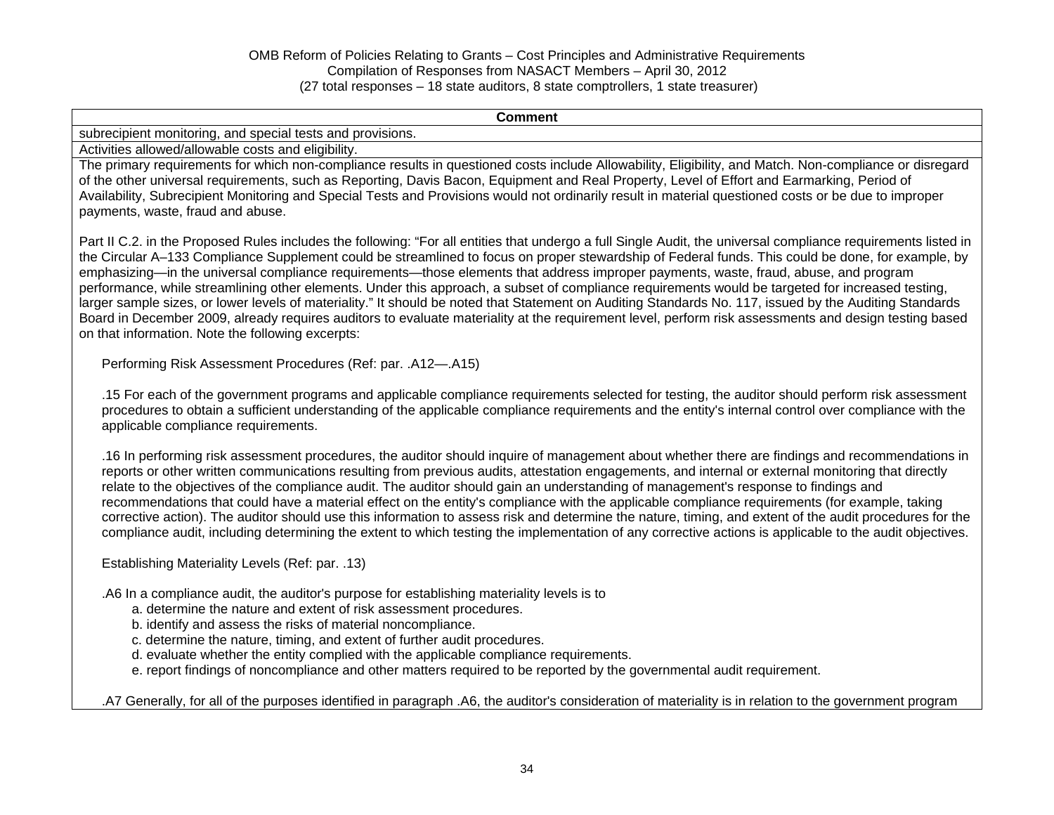**Comment** subrecipient monitoring, and special tests and provisions. Activities allowed/allowable costs and eligibility. The primary requirements for which non-compliance results in questioned costs include Allowability, Eligibility, and Match. Non-compliance or disregard of the other universal requirements, such as Reporting, Davis Bacon, Equipment and Real Property, Level of Effort and Earmarking, Period of Availability, Subrecipient Monitoring and Special Tests and Provisions would not ordinarily result in material questioned costs or be due to improper payments, waste, fraud and abuse. Part II C.2. in the Proposed Rules includes the following: "For all entities that undergo a full Single Audit, the universal compliance requirements listed in the Circular A–133 Compliance Supplement could be streamlined to focus on proper stewardship of Federal funds. This could be done, for example, by emphasizing—in the universal compliance requirements—those elements that address improper payments, waste, fraud, abuse, and program performance, while streamlining other elements. Under this approach, a subset of compliance requirements would be targeted for increased testing, larger sample sizes, or lower levels of materiality." It should be noted that Statement on Auditing Standards No. 117, issued by the Auditing Standards Board in December 2009, already requires auditors to evaluate materiality at the requirement level, perform risk assessments and design testing based on that information. Note the following excerpts: Performing Risk Assessment Procedures (Ref: par. .A12—.A15) .15 For each of the government programs and applicable compliance requirements selected for testing, the auditor should perform risk assessment procedures to obtain a sufficient understanding of the applicable compliance requirements and the entity's internal control over compliance with the applicable compliance requirements. .16 In performing risk assessment procedures, the auditor should inquire of management about whether there are findings and recommendations in reports or other written communications resulting from previous audits, attestation engagements, and internal or external monitoring that directly relate to the objectives of the compliance audit. The auditor should gain an understanding of management's response to findings and recommendations that could have a material effect on the entity's compliance with the applicable compliance requirements (for example, taking corrective action). The auditor should use this information to assess risk and determine the nature, timing, and extent of the audit procedures for the compliance audit, including determining the extent to which testing the implementation of any corrective actions is applicable to the audit objectives. Establishing Materiality Levels (Ref: par. .13) .A6 In a compliance audit, the auditor's purpose for establishing materiality levels is to a. determine the nature and extent of risk assessment procedures. b. identify and assess the risks of material noncompliance. c. determine the nature, timing, and extent of further audit procedures. d. evaluate whether the entity complied with the applicable compliance requirements. e. report findings of noncompliance and other matters required to be reported by the governmental audit requirement.

.A7 Generally, for all of the purposes identified in paragraph .A6, the auditor's consideration of materiality is in relation to the government program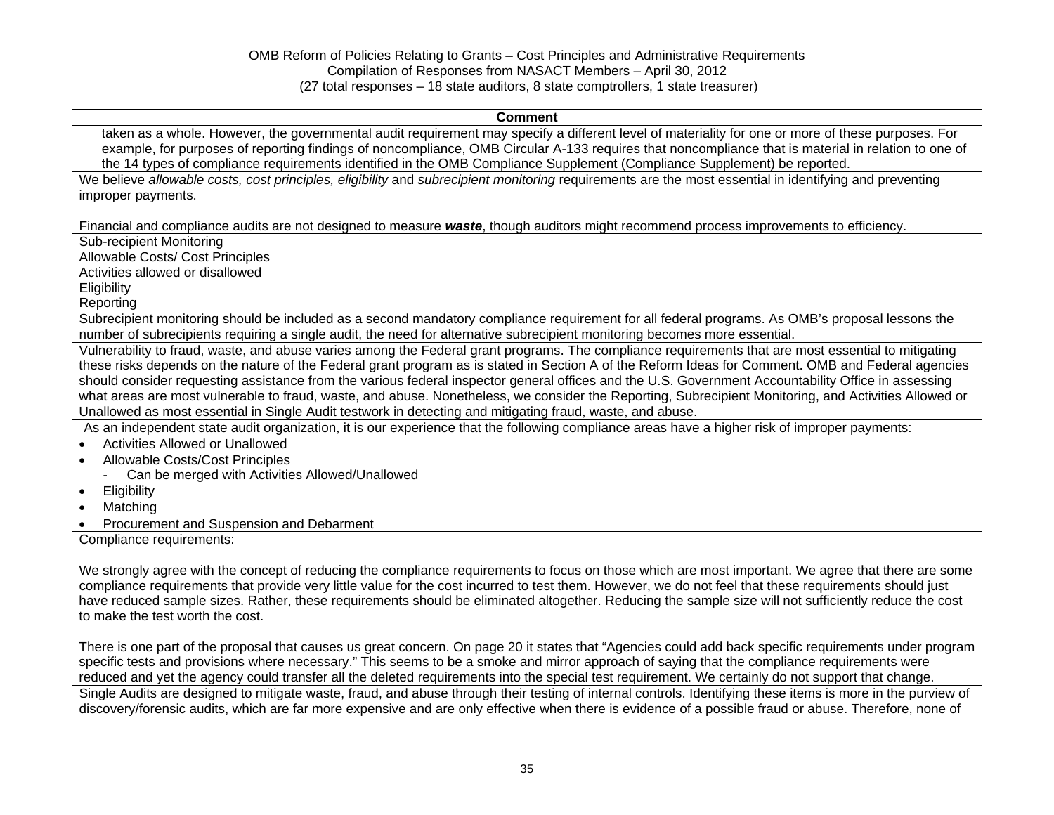#### **Comment**

taken as a whole. However, the governmental audit requirement may specify a different level of materiality for one or more of these purposes. For example, for purposes of reporting findings of noncompliance, OMB Circular A-133 requires that noncompliance that is material in relation to one of the 14 types of compliance requirements identified in the OMB Compliance Supplement (Compliance Supplement) be reported.

We believe *allowable costs, cost principles, eligibility* and *subrecipient monitoring* requirements are the most essential in identifying and preventing improper payments.

Financial and compliance audits are not designed to measure *waste*, though auditors might recommend process improvements to efficiency.

Sub-recipient Monitoring

Allowable Costs/ Cost Principles

Activities allowed or disallowed

**Eligibility** 

Reporting

Subrecipient monitoring should be included as a second mandatory compliance requirement for all federal programs. As OMB's proposal lessons the number of subrecipients requiring a single audit, the need for alternative subrecipient monitoring becomes more essential.

Vulnerability to fraud, waste, and abuse varies among the Federal grant programs. The compliance requirements that are most essential to mitigating these risks depends on the nature of the Federal grant program as is stated in Section A of the Reform Ideas for Comment. OMB and Federal agencies should consider requesting assistance from the various federal inspector general offices and the U.S. Government Accountability Office in assessing what areas are most vulnerable to fraud, waste, and abuse. Nonetheless, we consider the Reporting, Subrecipient Monitoring, and Activities Allowed or Unallowed as most essential in Single Audit testwork in detecting and mitigating fraud, waste, and abuse.

As an independent state audit organization, it is our experience that the following compliance areas have a higher risk of improper payments:

- Activities Allowed or Unallowed
- Allowable Costs/Cost Principles
	- Can be merged with Activities Allowed/Unallowed
- **•** Eligibility
- Matching
- Procurement and Suspension and Debarment

Compliance requirements:

We strongly agree with the concept of reducing the compliance requirements to focus on those which are most important. We agree that there are some compliance requirements that provide very little value for the cost incurred to test them. However, we do not feel that these requirements should just have reduced sample sizes. Rather, these requirements should be eliminated altogether. Reducing the sample size will not sufficiently reduce the cost to make the test worth the cost.

There is one part of the proposal that causes us great concern. On page 20 it states that "Agencies could add back specific requirements under program specific tests and provisions where necessary." This seems to be a smoke and mirror approach of saying that the compliance requirements were reduced and yet the agency could transfer all the deleted requirements into the special test requirement. We certainly do not support that change. Single Audits are designed to mitigate waste, fraud, and abuse through their testing of internal controls. Identifying these items is more in the purview of discovery/forensic audits, which are far more expensive and are only effective when there is evidence of a possible fraud or abuse. Therefore, none of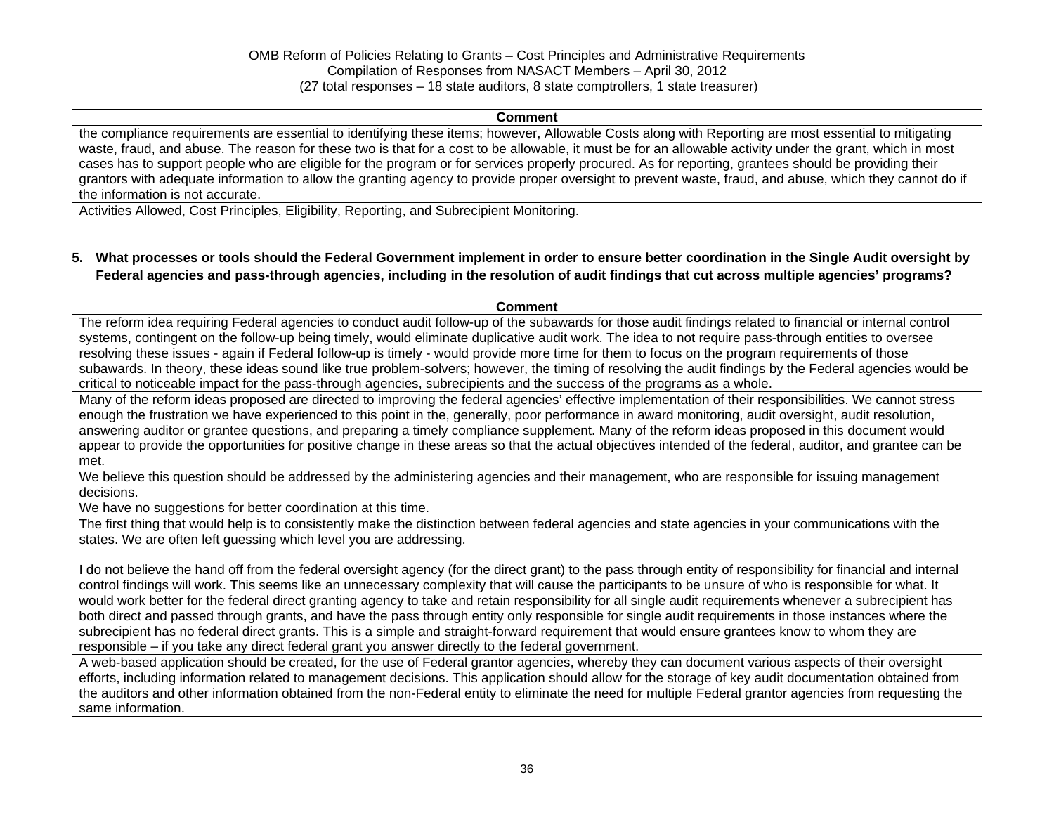#### **Comment**

the compliance requirements are essential to identifying these items; however, Allowable Costs along with Reporting are most essential to mitigating waste, fraud, and abuse. The reason for these two is that for a cost to be allowable, it must be for an allowable activity under the grant, which in most cases has to support people who are eligible for the program or for services properly procured. As for reporting, grantees should be providing their grantors with adequate information to allow the granting agency to provide proper oversight to prevent waste, fraud, and abuse, which they cannot do if the information is not accurate.

Activities Allowed, Cost Principles, Eligibility, Reporting, and Subrecipient Monitoring.

**5. What processes or tools should the Federal Government implement in order to ensure better coordination in the Single Audit oversight by Federal agencies and pass-through agencies, including in the resolution of audit findings that cut across multiple agencies' programs?** 

#### **Comment**

The reform idea requiring Federal agencies to conduct audit follow-up of the subawards for those audit findings related to financial or internal control systems, contingent on the follow-up being timely, would eliminate duplicative audit work. The idea to not require pass-through entities to oversee resolving these issues - again if Federal follow-up is timely - would provide more time for them to focus on the program requirements of those subawards. In theory, these ideas sound like true problem-solvers; however, the timing of resolving the audit findings by the Federal agencies would be critical to noticeable impact for the pass-through agencies, subrecipients and the success of the programs as a whole.

Many of the reform ideas proposed are directed to improving the federal agencies' effective implementation of their responsibilities. We cannot stress enough the frustration we have experienced to this point in the, generally, poor performance in award monitoring, audit oversight, audit resolution, answering auditor or grantee questions, and preparing a timely compliance supplement. Many of the reform ideas proposed in this document would appear to provide the opportunities for positive change in these areas so that the actual objectives intended of the federal, auditor, and grantee can be met.

We believe this question should be addressed by the administering agencies and their management, who are responsible for issuing management decisions.

We have no suggestions for better coordination at this time.

The first thing that would help is to consistently make the distinction between federal agencies and state agencies in your communications with the states. We are often left guessing which level you are addressing.

I do not believe the hand off from the federal oversight agency (for the direct grant) to the pass through entity of responsibility for financial and internal control findings will work. This seems like an unnecessary complexity that will cause the participants to be unsure of who is responsible for what. It would work better for the federal direct granting agency to take and retain responsibility for all single audit requirements whenever a subrecipient has both direct and passed through grants, and have the pass through entity only responsible for single audit requirements in those instances where the subrecipient has no federal direct grants. This is a simple and straight-forward requirement that would ensure grantees know to whom they are responsible – if you take any direct federal grant you answer directly to the federal government.

A web-based application should be created, for the use of Federal grantor agencies, whereby they can document various aspects of their oversight efforts, including information related to management decisions. This application should allow for the storage of key audit documentation obtained from the auditors and other information obtained from the non-Federal entity to eliminate the need for multiple Federal grantor agencies from requesting the same information.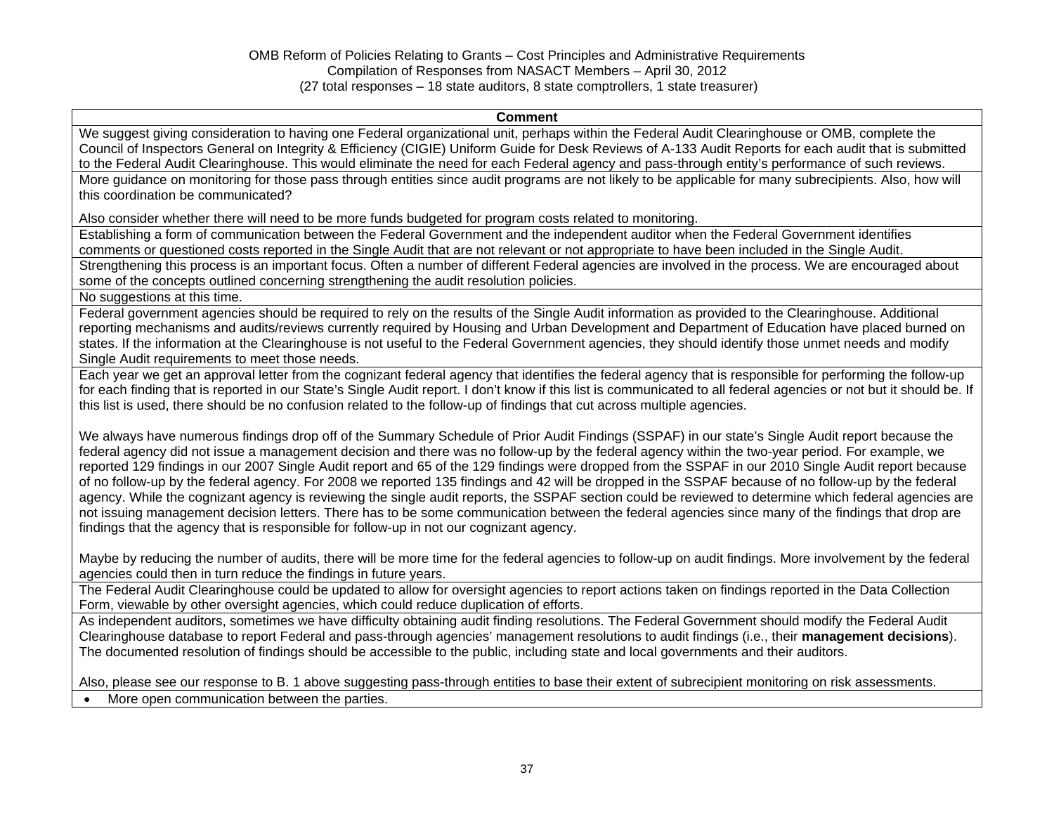#### **Comment**

We suggest giving consideration to having one Federal organizational unit, perhaps within the Federal Audit Clearinghouse or OMB, complete the Council of Inspectors General on Integrity & Efficiency (CIGIE) Uniform Guide for Desk Reviews of A-133 Audit Reports for each audit that is submitted to the Federal Audit Clearinghouse. This would eliminate the need for each Federal agency and pass-through entity's performance of such reviews.

More guidance on monitoring for those pass through entities since audit programs are not likely to be applicable for many subrecipients. Also, how will this coordination be communicated?

Also consider whether there will need to be more funds budgeted for program costs related to monitoring.

Establishing a form of communication between the Federal Government and the independent auditor when the Federal Government identifies comments or questioned costs reported in the Single Audit that are not relevant or not appropriate to have been included in the Single Audit. Strengthening this process is an important focus. Often a number of different Federal agencies are involved in the process. We are encouraged about

some of the concepts outlined concerning strengthening the audit resolution policies.

No suggestions at this time.

Federal government agencies should be required to rely on the results of the Single Audit information as provided to the Clearinghouse. Additional reporting mechanisms and audits/reviews currently required by Housing and Urban Development and Department of Education have placed burned on states. If the information at the Clearinghouse is not useful to the Federal Government agencies, they should identify those unmet needs and modify Single Audit requirements to meet those needs.

Each year we get an approval letter from the cognizant federal agency that identifies the federal agency that is responsible for performing the follow-up for each finding that is reported in our State's Single Audit report. I don't know if this list is communicated to all federal agencies or not but it should be. If this list is used, there should be no confusion related to the follow-up of findings that cut across multiple agencies.

We always have numerous findings drop off of the Summary Schedule of Prior Audit Findings (SSPAF) in our state's Single Audit report because the federal agency did not issue a management decision and there was no follow-up by the federal agency within the two-year period. For example, we reported 129 findings in our 2007 Single Audit report and 65 of the 129 findings were dropped from the SSPAF in our 2010 Single Audit report because of no follow-up by the federal agency. For 2008 we reported 135 findings and 42 will be dropped in the SSPAF because of no follow-up by the federal agency. While the cognizant agency is reviewing the single audit reports, the SSPAF section could be reviewed to determine which federal agencies are not issuing management decision letters. There has to be some communication between the federal agencies since many of the findings that drop are findings that the agency that is responsible for follow-up in not our cognizant agency.

Maybe by reducing the number of audits, there will be more time for the federal agencies to follow-up on audit findings. More involvement by the federal agencies could then in turn reduce the findings in future years.

The Federal Audit Clearinghouse could be updated to allow for oversight agencies to report actions taken on findings reported in the Data Collection Form, viewable by other oversight agencies, which could reduce duplication of efforts.

As independent auditors, sometimes we have difficulty obtaining audit finding resolutions. The Federal Government should modify the Federal Audit Clearinghouse database to report Federal and pass-through agencies' management resolutions to audit findings (i.e., their **management decisions**). The documented resolution of findings should be accessible to the public, including state and local governments and their auditors.

Also, please see our response to B. 1 above suggesting pass-through entities to base their extent of subrecipient monitoring on risk assessments.

• More open communication between the parties.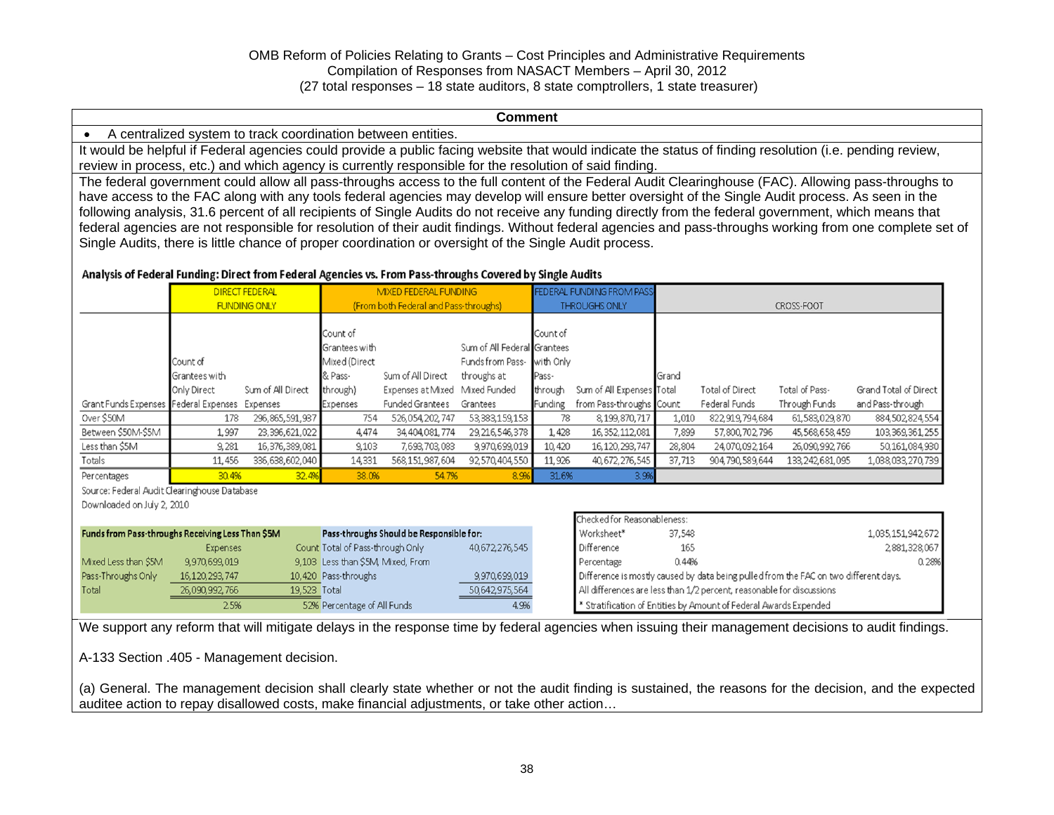#### **Comment**

A centralized system to track coordination between entities.

It would be helpful if Federal agencies could provide a public facing website that would indicate the status of finding resolution (i.e. pending review, review in process, etc.) and which agency is currently responsible for the resolution of said finding.

The federal government could allow all pass-throughs access to the full content of the Federal Audit Clearinghouse (FAC). Allowing pass-throughs to have access to the FAC along with any tools federal agencies may develop will ensure better oversight of the Single Audit process. As seen in the following analysis, 31.6 percent of all recipients of Single Audits do not receive any funding directly from the federal government, which means that federal agencies are not responsible for resolution of their audit findings. Without federal agencies and pass-throughs working from one complete set of Single Audits, there is little chance of proper coordination or oversight of the Single Audit process.

#### Analysis of Federal Funding: Direct from Federal Agencies vs. From Pass-throughs Covered by Single Audits

|                                                   |                   | <b>DIRECT FEDERAL</b> | MIXED FEDERAL FUNDING             |                                          |                             |           | FEDERAL FUNDING FROM PASS                                                            |        |                        |                 |                       |
|---------------------------------------------------|-------------------|-----------------------|-----------------------------------|------------------------------------------|-----------------------------|-----------|--------------------------------------------------------------------------------------|--------|------------------------|-----------------|-----------------------|
|                                                   |                   | <b>FUNDING ONLY</b>   |                                   | (From both Federal and Pass-throughs)    |                             |           | <b>THROUGHS ONLY</b>                                                                 |        |                        | CROSS-FOOT      |                       |
|                                                   |                   |                       |                                   |                                          |                             |           |                                                                                      |        |                        |                 |                       |
|                                                   |                   |                       | Count of                          |                                          |                             | Count of  |                                                                                      |        |                        |                 |                       |
|                                                   |                   |                       | Grantees with                     |                                          | Sum of All Federal Grantees |           |                                                                                      |        |                        |                 |                       |
|                                                   | Count of          |                       | Mixed (Direct                     |                                          | Funds from Pass-            | with Only |                                                                                      |        |                        |                 |                       |
|                                                   | Grantees with     |                       | & Pass-                           | Sum of All Direct                        | throughs at                 | Pass-     |                                                                                      | Grand  |                        |                 |                       |
|                                                   | Only Direct       | Sum of All Direct     | through)                          | Expenses at Mixed                        | Mixed Funded                | through   | Sum of All Expenses Total                                                            |        | <b>Total of Direct</b> | Total of Pass-  | Grand Total of Direct |
| Grant Funds Expenses Federal Expenses             |                   | Expenses              | Expenses                          | <b>Funded Grantees</b>                   | Grantees                    | Funding   | from Pass-throughs Count                                                             |        | Federal Funds          | Through Funds   | and Pass-through      |
| Over \$50M                                        | 178               | 296, 865, 591, 937    | 754                               | 526,054,202,747                          | 53, 383, 159, 153           | 78        | 8, 199, 870, 717                                                                     | 1,010  | 822,919,794,684        | 61,583,029,870  | 884,502,824,554       |
| Between \$50M-\$5M                                | 1,997             | 23,396,621,022        | 4,474                             | 34,404,081,774                           | 29, 216, 546, 378           | 1,428     | 16, 352, 112, 081                                                                    | 7,899  | 57,800,702,796         | 45,568,658,459  | 103, 369, 361, 255    |
| Less than \$5M                                    | 9,281             | 16,376,389,081        | 9,103                             | 7,693,703,083                            | 9,970,699,019               | 10,420    | 16, 120, 293, 747                                                                    | 28,804 | 24,070,092,164         | 26,090,992,766  | 50,161,084,930        |
| Totals                                            | 11,456            | 336,638,602,040       | 14,331                            | 568,151,987,604                          | 92,570,404,550              | 11,926    | 40, 672, 276, 545                                                                    | 37,713 | 904,790,589,644        | 133,242,681,095 | 1,038,033,270,739     |
| Percentages                                       | 30.4%             | 32.4%                 | 38.0%                             | 54.7%                                    | 8.9%                        | 31.6%     | 3.9%                                                                                 |        |                        |                 |                       |
| Source: Federal Audit Clearinghouse Database      |                   |                       |                                   |                                          |                             |           |                                                                                      |        |                        |                 |                       |
| Downloaded on July 2, 2010                        |                   |                       |                                   |                                          |                             |           |                                                                                      |        |                        |                 |                       |
|                                                   |                   |                       |                                   |                                          |                             |           | Checked for Reasonableness:                                                          |        |                        |                 |                       |
| Funds from Pass-throughs Receiving Less Than \$5M |                   |                       |                                   | Pass-throughs Should be Responsible for: |                             |           | Worksheet*                                                                           | 37,548 |                        |                 | 1,035,151,942,672     |
|                                                   | <b>Expenses</b>   |                       | Count Total of Pass-through Only  |                                          | 40,672,276,545              |           | Difference                                                                           | 165    |                        |                 | 2,881,328,067         |
| Mixed Less than \$5M                              | 9,970,699,019     |                       | 9,103 Less than \$5M, Mixed, From |                                          |                             |           | Percentage                                                                           | 0.44%  |                        |                 | 0.28%                 |
| Pass-Throughs Only                                | 16, 120, 293, 747 |                       | 10,420 Pass-throughs              |                                          | 9,970,699,019               |           | Difference is mostly caused by data being pulled from the FAC on two different days. |        |                        |                 |                       |
| Total                                             | 26,090,992,766    | 19,523 Total          |                                   |                                          | 50,642,975,564              |           | All differences are less than 1/2 percent, reasonable for discussions                |        |                        |                 |                       |
|                                                   | 2.5%              |                       | 52% Percentage of All Funds       |                                          | 4.9%                        |           | * Stratification of Entities by Amount of Federal Awards Expended                    |        |                        |                 |                       |

We support any reform that will mitigate delays in the response time by federal agencies when issuing their management decisions to audit findings.

A-133 Section .405 - Management decision.

(a) General. The management decision shall clearly state whether or not the audit finding is sustained, the reasons for the decision, and the expected auditee action to repay disallowed costs, make financial adjustments, or take other action…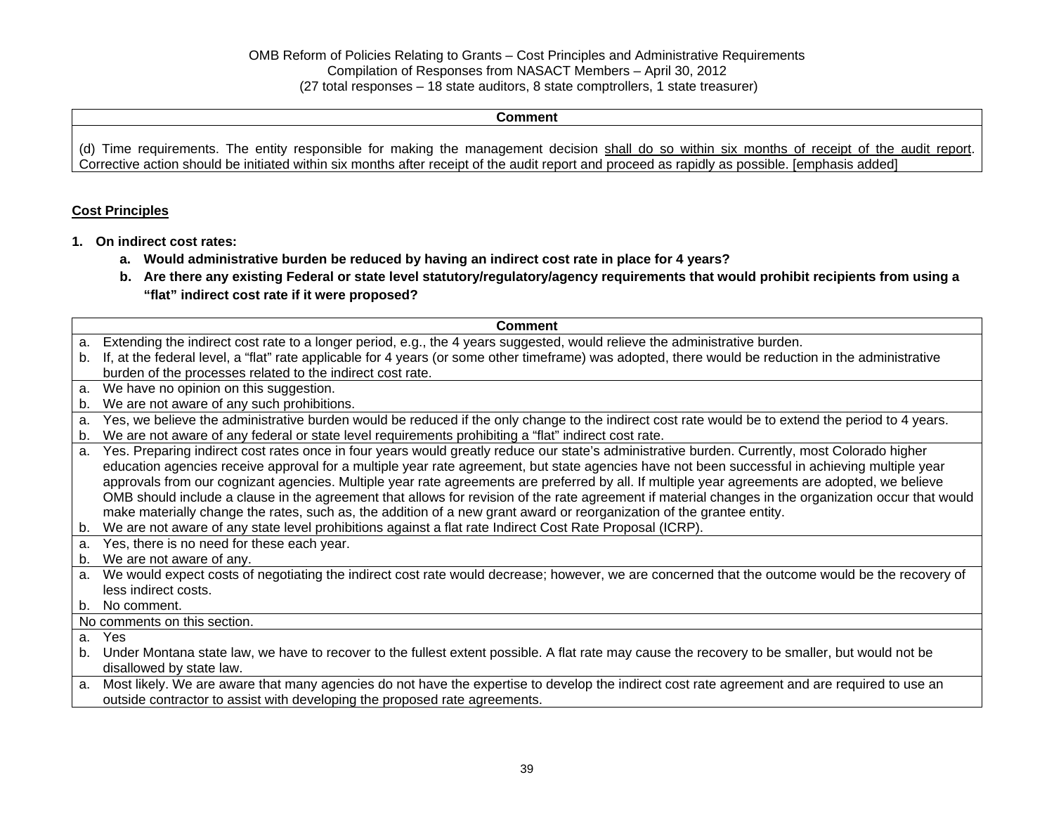**Comment** 

(d) Time requirements. The entity responsible for making the management decision shall do so within six months of receipt of the audit report. Corrective action should be initiated within six months after receipt of the audit report and proceed as rapidly as possible. [emphasis added]

### **Cost Principles**

- **1. On indirect cost rates:** 
	- **a. Would administrative burden be reduced by having an indirect cost rate in place for 4 years?**
	- **b. Are there any existing Federal or state level statutory/regulatory/agency requirements that would prohibit recipients from using a "flat" indirect cost rate if it were proposed?**

|                | <b>Comment</b>                                                                                                                                       |
|----------------|------------------------------------------------------------------------------------------------------------------------------------------------------|
| a.             | Extending the indirect cost rate to a longer period, e.g., the 4 years suggested, would relieve the administrative burden.                           |
| b.             | If, at the federal level, a "flat" rate applicable for 4 years (or some other timeframe) was adopted, there would be reduction in the administrative |
|                | burden of the processes related to the indirect cost rate.                                                                                           |
| a.             | We have no opinion on this suggestion.                                                                                                               |
| b.             | We are not aware of any such prohibitions.                                                                                                           |
| a.             | Yes, we believe the administrative burden would be reduced if the only change to the indirect cost rate would be to extend the period to 4 years.    |
| b.             | We are not aware of any federal or state level requirements prohibiting a "flat" indirect cost rate.                                                 |
| a.             | Yes. Preparing indirect cost rates once in four years would greatly reduce our state's administrative burden. Currently, most Colorado higher        |
|                | education agencies receive approval for a multiple year rate agreement, but state agencies have not been successful in achieving multiple year       |
|                | approvals from our cognizant agencies. Multiple year rate agreements are preferred by all. If multiple year agreements are adopted, we believe       |
|                | OMB should include a clause in the agreement that allows for revision of the rate agreement if material changes in the organization occur that would |
|                | make materially change the rates, such as, the addition of a new grant award or reorganization of the grantee entity.                                |
| b.             | We are not aware of any state level prohibitions against a flat rate Indirect Cost Rate Proposal (ICRP).                                             |
| a.             | Yes, there is no need for these each year.                                                                                                           |
| b.             | We are not aware of any.                                                                                                                             |
| a.             | We would expect costs of negotiating the indirect cost rate would decrease; however, we are concerned that the outcome would be the recovery of      |
|                | less indirect costs.                                                                                                                                 |
| b.             | No comment.                                                                                                                                          |
|                | No comments on this section.                                                                                                                         |
| a <sub>1</sub> | Yes                                                                                                                                                  |
| b.             | Under Montana state law, we have to recover to the fullest extent possible. A flat rate may cause the recovery to be smaller, but would not be       |
|                | disallowed by state law.                                                                                                                             |
| a.             | Most likely. We are aware that many agencies do not have the expertise to develop the indirect cost rate agreement and are required to use an        |
|                | outside contractor to assist with developing the proposed rate agreements.                                                                           |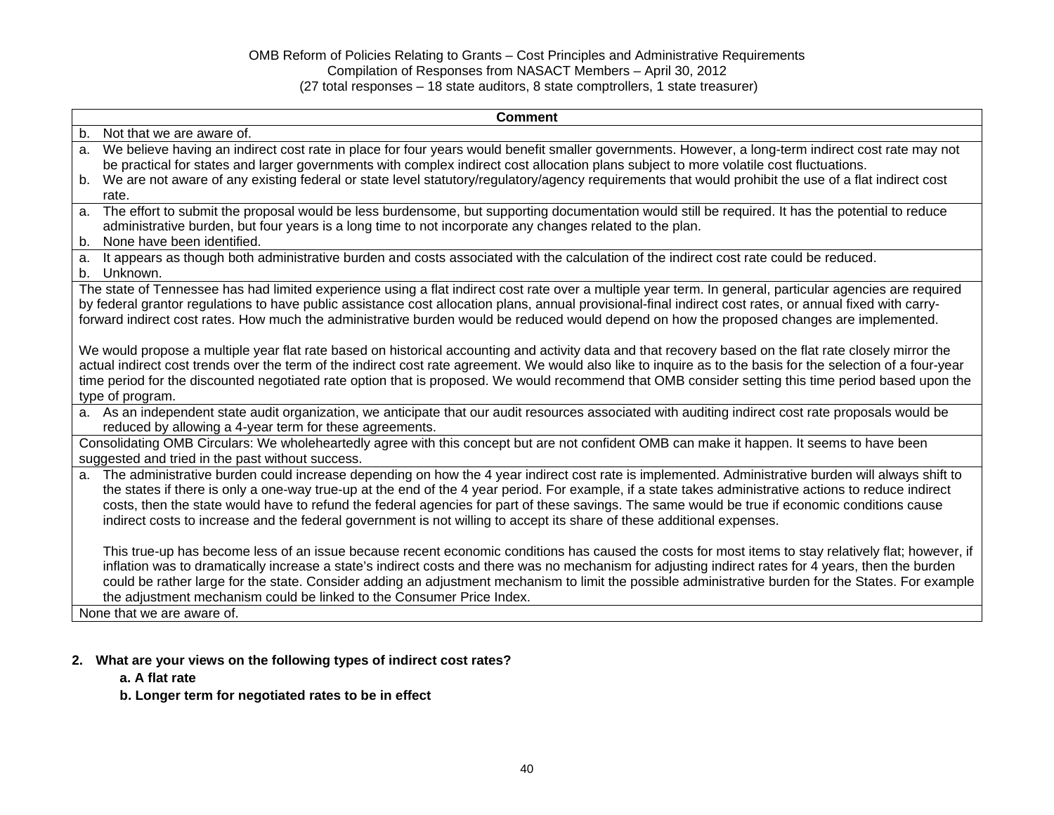| <b>Comment</b>                                                                                                                                                                                                                                                                                                                                                                                                                                                                                                                                                                                 |
|------------------------------------------------------------------------------------------------------------------------------------------------------------------------------------------------------------------------------------------------------------------------------------------------------------------------------------------------------------------------------------------------------------------------------------------------------------------------------------------------------------------------------------------------------------------------------------------------|
| b <sub>1</sub><br>Not that we are aware of.                                                                                                                                                                                                                                                                                                                                                                                                                                                                                                                                                    |
| We believe having an indirect cost rate in place for four years would benefit smaller governments. However, a long-term indirect cost rate may not<br>a.<br>be practical for states and larger governments with complex indirect cost allocation plans subject to more volatile cost fluctuations.<br>We are not aware of any existing federal or state level statutory/regulatory/agency requirements that would prohibit the use of a flat indirect cost<br>b.                                                                                                                               |
| rate.                                                                                                                                                                                                                                                                                                                                                                                                                                                                                                                                                                                          |
| The effort to submit the proposal would be less burdensome, but supporting documentation would still be required. It has the potential to reduce<br>a.<br>administrative burden, but four years is a long time to not incorporate any changes related to the plan.<br>None have been identified.<br>b.                                                                                                                                                                                                                                                                                         |
| It appears as though both administrative burden and costs associated with the calculation of the indirect cost rate could be reduced.<br>a.<br>Unknown.<br>b.                                                                                                                                                                                                                                                                                                                                                                                                                                  |
| The state of Tennessee has had limited experience using a flat indirect cost rate over a multiple year term. In general, particular agencies are required<br>by federal grantor regulations to have public assistance cost allocation plans, annual provisional-final indirect cost rates, or annual fixed with carry-<br>forward indirect cost rates. How much the administrative burden would be reduced would depend on how the proposed changes are implemented.                                                                                                                           |
| We would propose a multiple year flat rate based on historical accounting and activity data and that recovery based on the flat rate closely mirror the<br>actual indirect cost trends over the term of the indirect cost rate agreement. We would also like to inquire as to the basis for the selection of a four-year<br>time period for the discounted negotiated rate option that is proposed. We would recommend that OMB consider setting this time period based upon the<br>type of program.                                                                                           |
| a. As an independent state audit organization, we anticipate that our audit resources associated with auditing indirect cost rate proposals would be<br>reduced by allowing a 4-year term for these agreements.                                                                                                                                                                                                                                                                                                                                                                                |
| Consolidating OMB Circulars: We wholeheartedly agree with this concept but are not confident OMB can make it happen. It seems to have been<br>suggested and tried in the past without success.                                                                                                                                                                                                                                                                                                                                                                                                 |
| The administrative burden could increase depending on how the 4 year indirect cost rate is implemented. Administrative burden will always shift to<br>a.<br>the states if there is only a one-way true-up at the end of the 4 year period. For example, if a state takes administrative actions to reduce indirect<br>costs, then the state would have to refund the federal agencies for part of these savings. The same would be true if economic conditions cause<br>indirect costs to increase and the federal government is not willing to accept its share of these additional expenses. |
| This true-up has become less of an issue because recent economic conditions has caused the costs for most items to stay relatively flat; however, if<br>inflation was to dramatically increase a state's indirect costs and there was no mechanism for adjusting indirect rates for 4 years, then the burden<br>could be rather large for the state. Consider adding an adjustment mechanism to limit the possible administrative burden for the States. For example<br>the adjustment mechanism could be linked to the Consumer Price Index.                                                  |
| None that we are aware of.                                                                                                                                                                                                                                                                                                                                                                                                                                                                                                                                                                     |

### **2. What are your views on the following types of indirect cost rates?**

### **a. A flat rate**

**b. Longer term for negotiated rates to be in effect**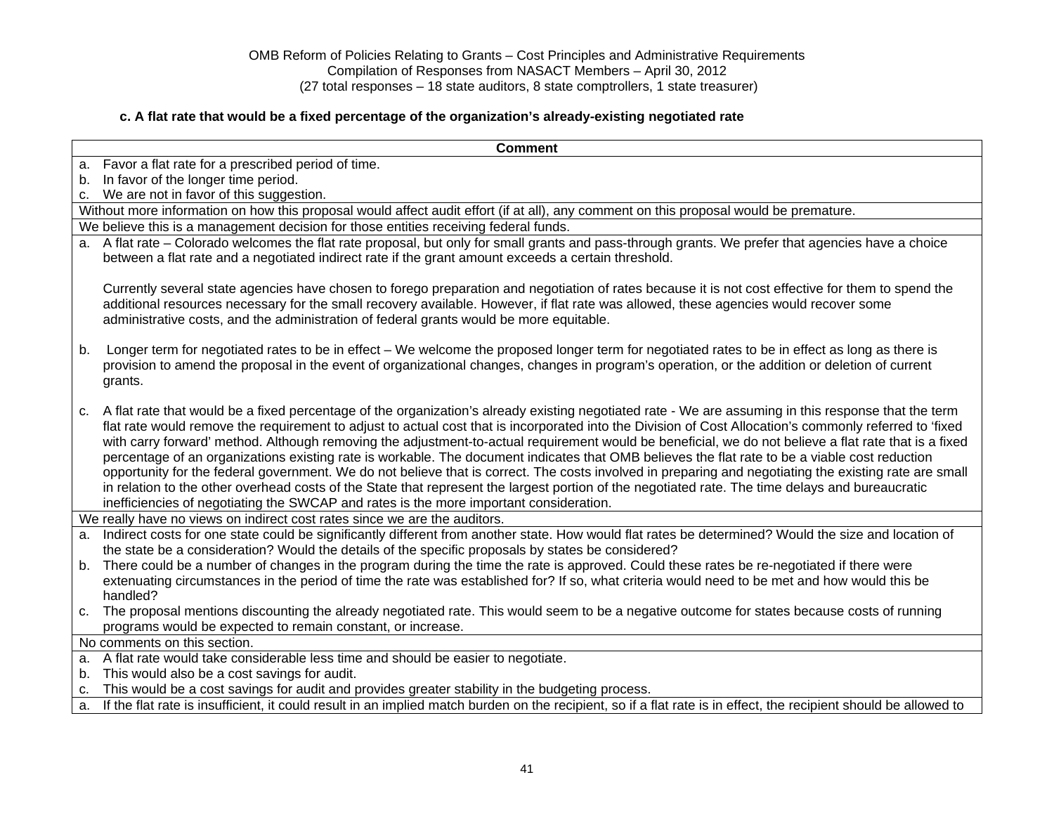## **c. A flat rate that would be a fixed percentage of the organization's already-existing negotiated rate**

|    | <b>Comment</b>                                                                                                                                                                                                                                                                                                                                                                                                                                                                                                                                                                                                                                                                                                                                                                                                                                                                                                                                                                                                                     |
|----|------------------------------------------------------------------------------------------------------------------------------------------------------------------------------------------------------------------------------------------------------------------------------------------------------------------------------------------------------------------------------------------------------------------------------------------------------------------------------------------------------------------------------------------------------------------------------------------------------------------------------------------------------------------------------------------------------------------------------------------------------------------------------------------------------------------------------------------------------------------------------------------------------------------------------------------------------------------------------------------------------------------------------------|
| a. | Favor a flat rate for a prescribed period of time.                                                                                                                                                                                                                                                                                                                                                                                                                                                                                                                                                                                                                                                                                                                                                                                                                                                                                                                                                                                 |
| b. | In favor of the longer time period.                                                                                                                                                                                                                                                                                                                                                                                                                                                                                                                                                                                                                                                                                                                                                                                                                                                                                                                                                                                                |
| C. | We are not in favor of this suggestion.                                                                                                                                                                                                                                                                                                                                                                                                                                                                                                                                                                                                                                                                                                                                                                                                                                                                                                                                                                                            |
|    | Without more information on how this proposal would affect audit effort (if at all), any comment on this proposal would be premature.                                                                                                                                                                                                                                                                                                                                                                                                                                                                                                                                                                                                                                                                                                                                                                                                                                                                                              |
|    | We believe this is a management decision for those entities receiving federal funds.                                                                                                                                                                                                                                                                                                                                                                                                                                                                                                                                                                                                                                                                                                                                                                                                                                                                                                                                               |
|    | a. A flat rate - Colorado welcomes the flat rate proposal, but only for small grants and pass-through grants. We prefer that agencies have a choice<br>between a flat rate and a negotiated indirect rate if the grant amount exceeds a certain threshold.                                                                                                                                                                                                                                                                                                                                                                                                                                                                                                                                                                                                                                                                                                                                                                         |
|    | Currently several state agencies have chosen to forego preparation and negotiation of rates because it is not cost effective for them to spend the<br>additional resources necessary for the small recovery available. However, if flat rate was allowed, these agencies would recover some<br>administrative costs, and the administration of federal grants would be more equitable.                                                                                                                                                                                                                                                                                                                                                                                                                                                                                                                                                                                                                                             |
| b. | Longer term for negotiated rates to be in effect – We welcome the proposed longer term for negotiated rates to be in effect as long as there is<br>provision to amend the proposal in the event of organizational changes, changes in program's operation, or the addition or deletion of current<br>grants.                                                                                                                                                                                                                                                                                                                                                                                                                                                                                                                                                                                                                                                                                                                       |
| C. | A flat rate that would be a fixed percentage of the organization's already existing negotiated rate - We are assuming in this response that the term<br>flat rate would remove the requirement to adjust to actual cost that is incorporated into the Division of Cost Allocation's commonly referred to 'fixed<br>with carry forward' method. Although removing the adjustment-to-actual requirement would be beneficial, we do not believe a flat rate that is a fixed<br>percentage of an organizations existing rate is workable. The document indicates that OMB believes the flat rate to be a viable cost reduction<br>opportunity for the federal government. We do not believe that is correct. The costs involved in preparing and negotiating the existing rate are small<br>in relation to the other overhead costs of the State that represent the largest portion of the negotiated rate. The time delays and bureaucratic<br>inefficiencies of negotiating the SWCAP and rates is the more important consideration. |
|    | We really have no views on indirect cost rates since we are the auditors.                                                                                                                                                                                                                                                                                                                                                                                                                                                                                                                                                                                                                                                                                                                                                                                                                                                                                                                                                          |
| а. | Indirect costs for one state could be significantly different from another state. How would flat rates be determined? Would the size and location of<br>the state be a consideration? Would the details of the specific proposals by states be considered?                                                                                                                                                                                                                                                                                                                                                                                                                                                                                                                                                                                                                                                                                                                                                                         |
| b. | There could be a number of changes in the program during the time the rate is approved. Could these rates be re-negotiated if there were<br>extenuating circumstances in the period of time the rate was established for? If so, what criteria would need to be met and how would this be<br>handled?                                                                                                                                                                                                                                                                                                                                                                                                                                                                                                                                                                                                                                                                                                                              |
| C. | The proposal mentions discounting the already negotiated rate. This would seem to be a negative outcome for states because costs of running<br>programs would be expected to remain constant, or increase.                                                                                                                                                                                                                                                                                                                                                                                                                                                                                                                                                                                                                                                                                                                                                                                                                         |
|    | No comments on this section.                                                                                                                                                                                                                                                                                                                                                                                                                                                                                                                                                                                                                                                                                                                                                                                                                                                                                                                                                                                                       |
|    | a. A flat rate would take considerable less time and should be easier to negotiate.                                                                                                                                                                                                                                                                                                                                                                                                                                                                                                                                                                                                                                                                                                                                                                                                                                                                                                                                                |
| b. | This would also be a cost savings for audit.                                                                                                                                                                                                                                                                                                                                                                                                                                                                                                                                                                                                                                                                                                                                                                                                                                                                                                                                                                                       |
| c. | This would be a cost savings for audit and provides greater stability in the budgeting process.                                                                                                                                                                                                                                                                                                                                                                                                                                                                                                                                                                                                                                                                                                                                                                                                                                                                                                                                    |
| a. | If the flat rate is insufficient, it could result in an implied match burden on the recipient, so if a flat rate is in effect, the recipient should be allowed to                                                                                                                                                                                                                                                                                                                                                                                                                                                                                                                                                                                                                                                                                                                                                                                                                                                                  |
|    |                                                                                                                                                                                                                                                                                                                                                                                                                                                                                                                                                                                                                                                                                                                                                                                                                                                                                                                                                                                                                                    |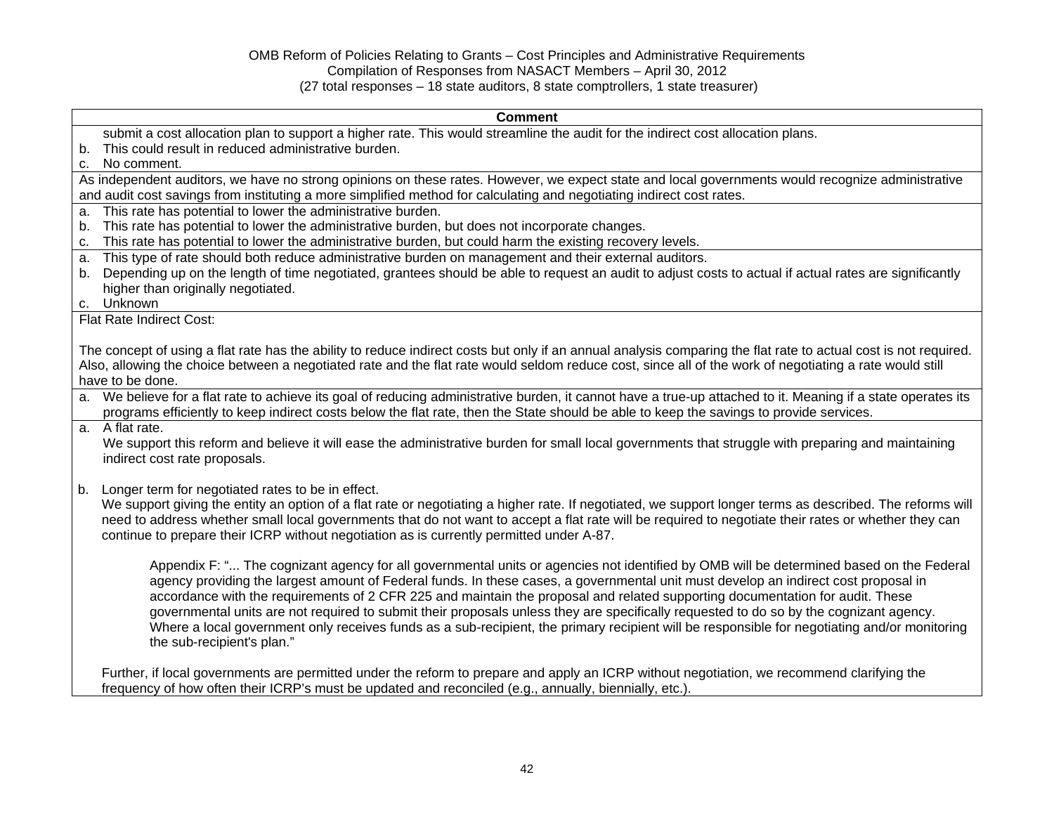# **Comment** submit a cost allocation plan to support a higher rate. This would streamline the audit for the indirect cost allocation plans. b. This could result in reduced administrative burden. c. No comment. As independent auditors, we have no strong opinions on these rates. However, we expect state and local governments would recognize administrative and audit cost savings from instituting a more simplified method for calculating and negotiating indirect cost rates. a. This rate has potential to lower the administrative burden. b. This rate has potential to lower the administrative burden, but does not incorporate changes. c. This rate has potential to lower the administrative burden, but could harm the existing recovery levels. a. This type of rate should both reduce administrative burden on management and their external auditors. b. Depending up on the length of time negotiated, grantees should be able to request an audit to adjust costs to actual if actual rates are significantly higher than originally negotiated. c. Unknown Flat Rate Indirect Cost: The concept of using a flat rate has the ability to reduce indirect costs but only if an annual analysis comparing the flat rate to actual cost is not required. Also, allowing the choice between a negotiated rate and the flat rate would seldom reduce cost, since all of the work of negotiating a rate would still have to be done. a. We believe for a flat rate to achieve its goal of reducing administrative burden, it cannot have a true-up attached to it. Meaning if a state operates its programs efficiently to keep indirect costs below the flat rate, then the State should be able to keep the savings to provide services. a. A flat rate. We support this reform and believe it will ease the administrative burden for small local governments that struggle with preparing and maintaining indirect cost rate proposals. b. Longer term for negotiated rates to be in effect. We support giving the entity an option of a flat rate or negotiating a higher rate. If negotiated, we support longer terms as described. The reforms will need to address whether small local governments that do not want to accept a flat rate will be required to negotiate their rates or whether they can continue to prepare their ICRP without negotiation as is currently permitted under A-87. Appendix F: "... The cognizant agency for all governmental units or agencies not identified by OMB will be determined based on the Federal agency providing the largest amount of Federal funds. In these cases, a governmental unit must develop an indirect cost proposal in accordance with the requirements of 2 CFR 225 and maintain the proposal and related supporting documentation for audit. These governmental units are not required to submit their proposals unless they are specifically requested to do so by the cognizant agency. Where a local government only receives funds as a sub-recipient, the primary recipient will be responsible for negotiating and/or monitoring the sub-recipient's plan."

Further, if local governments are permitted under the reform to prepare and apply an ICRP without negotiation, we recommend clarifying the frequency of how often their ICRP's must be updated and reconciled (e.g., annually, biennially, etc.).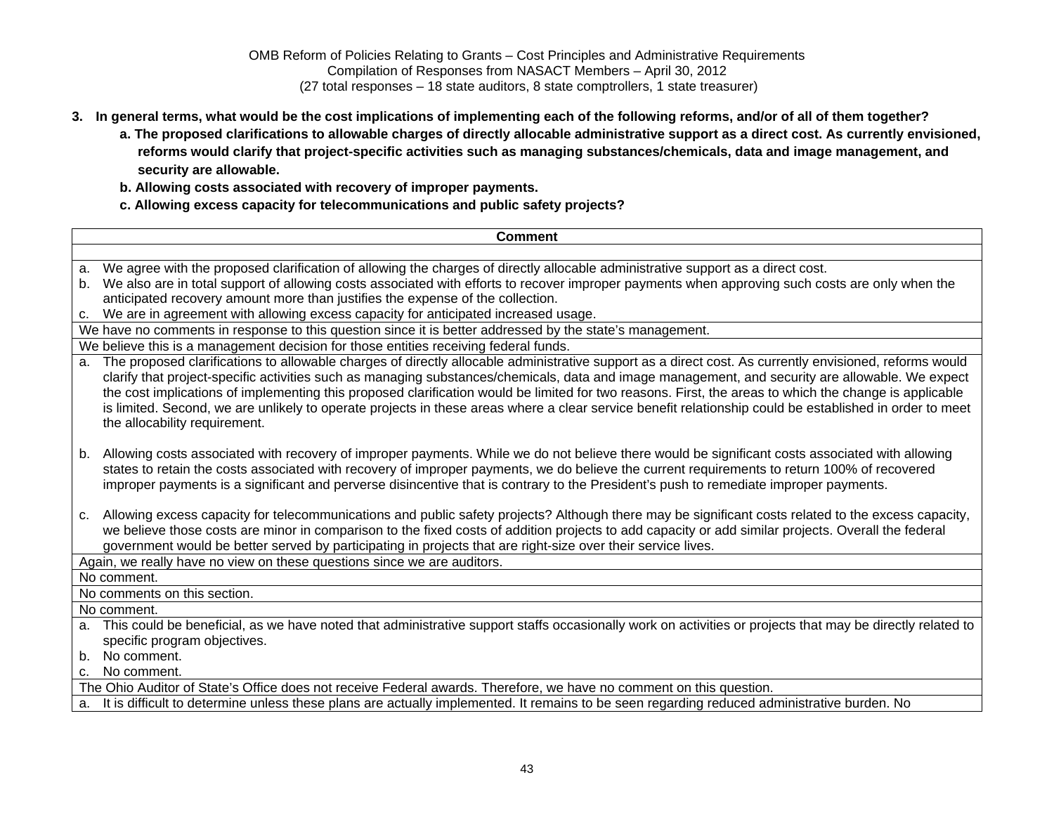- **3. In general terms, what would be the cost implications of implementing each of the following reforms, and/or of all of them together?** 
	- **a. The proposed clarifications to allowable charges of directly allocable administrative support as a direct cost. As currently envisioned, reforms would clarify that project-specific activities such as managing substances/chemicals, data and image management, and security are allowable.**
	- **b. Allowing costs associated with recovery of improper payments.**
	- **c. Allowing excess capacity for telecommunications and public safety projects?**

| <b>Comment</b>                                                                                                                                                                                                                                                                                                                                                                                                                                                                                                                                                                                                                                                         |
|------------------------------------------------------------------------------------------------------------------------------------------------------------------------------------------------------------------------------------------------------------------------------------------------------------------------------------------------------------------------------------------------------------------------------------------------------------------------------------------------------------------------------------------------------------------------------------------------------------------------------------------------------------------------|
|                                                                                                                                                                                                                                                                                                                                                                                                                                                                                                                                                                                                                                                                        |
| We agree with the proposed clarification of allowing the charges of directly allocable administrative support as a direct cost.<br>a.                                                                                                                                                                                                                                                                                                                                                                                                                                                                                                                                  |
| We also are in total support of allowing costs associated with efforts to recover improper payments when approving such costs are only when the<br>b.                                                                                                                                                                                                                                                                                                                                                                                                                                                                                                                  |
| anticipated recovery amount more than justifies the expense of the collection.                                                                                                                                                                                                                                                                                                                                                                                                                                                                                                                                                                                         |
| We are in agreement with allowing excess capacity for anticipated increased usage.<br>с.                                                                                                                                                                                                                                                                                                                                                                                                                                                                                                                                                                               |
| We have no comments in response to this question since it is better addressed by the state's management.                                                                                                                                                                                                                                                                                                                                                                                                                                                                                                                                                               |
| We believe this is a management decision for those entities receiving federal funds.                                                                                                                                                                                                                                                                                                                                                                                                                                                                                                                                                                                   |
| The proposed clarifications to allowable charges of directly allocable administrative support as a direct cost. As currently envisioned, reforms would<br>a.<br>clarify that project-specific activities such as managing substances/chemicals, data and image management, and security are allowable. We expect<br>the cost implications of implementing this proposed clarification would be limited for two reasons. First, the areas to which the change is applicable<br>is limited. Second, we are unlikely to operate projects in these areas where a clear service benefit relationship could be established in order to meet<br>the allocability requirement. |
| Allowing costs associated with recovery of improper payments. While we do not believe there would be significant costs associated with allowing<br>b.<br>states to retain the costs associated with recovery of improper payments, we do believe the current requirements to return 100% of recovered<br>improper payments is a significant and perverse disincentive that is contrary to the President's push to remediate improper payments.                                                                                                                                                                                                                         |
| Allowing excess capacity for telecommunications and public safety projects? Although there may be significant costs related to the excess capacity,<br>c.<br>we believe those costs are minor in comparison to the fixed costs of addition projects to add capacity or add similar projects. Overall the federal<br>government would be better served by participating in projects that are right-size over their service lives.                                                                                                                                                                                                                                       |
| Again, we really have no view on these questions since we are auditors.                                                                                                                                                                                                                                                                                                                                                                                                                                                                                                                                                                                                |
| No comment.                                                                                                                                                                                                                                                                                                                                                                                                                                                                                                                                                                                                                                                            |
| No comments on this section.                                                                                                                                                                                                                                                                                                                                                                                                                                                                                                                                                                                                                                           |
| No comment.                                                                                                                                                                                                                                                                                                                                                                                                                                                                                                                                                                                                                                                            |
| This could be beneficial, as we have noted that administrative support staffs occasionally work on activities or projects that may be directly related to<br>a.                                                                                                                                                                                                                                                                                                                                                                                                                                                                                                        |
| specific program objectives.                                                                                                                                                                                                                                                                                                                                                                                                                                                                                                                                                                                                                                           |
| No comment.<br>b.                                                                                                                                                                                                                                                                                                                                                                                                                                                                                                                                                                                                                                                      |
| No comment.<br>$\mathbf{C}$                                                                                                                                                                                                                                                                                                                                                                                                                                                                                                                                                                                                                                            |
| The Ohio Auditor of State's Office does not receive Federal awards. Therefore, we have no comment on this question.                                                                                                                                                                                                                                                                                                                                                                                                                                                                                                                                                    |
| It is difficult to determine unless these plans are actually implemented. It remains to be seen regarding reduced administrative burden. No<br>a.                                                                                                                                                                                                                                                                                                                                                                                                                                                                                                                      |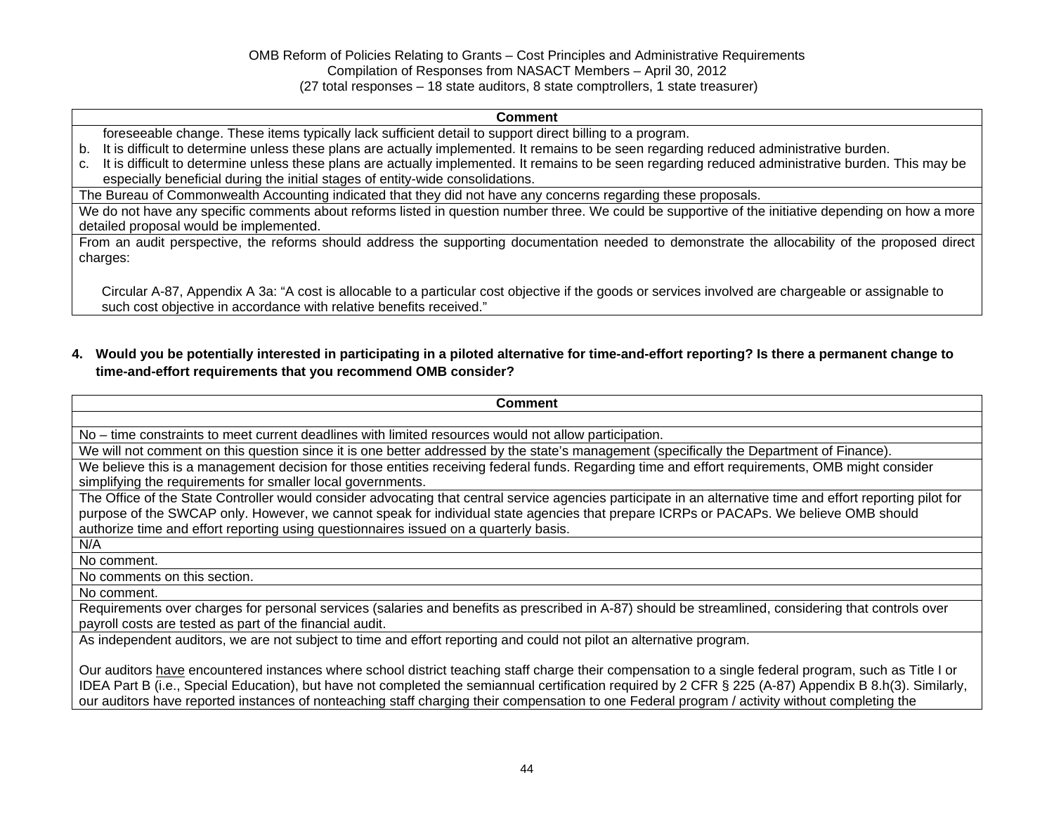#### **Comment**

- foreseeable change. These items typically lack sufficient detail to support direct billing to a program.
- b. It is difficult to determine unless these plans are actually implemented. It remains to be seen regarding reduced administrative burden.
- c. It is difficult to determine unless these plans are actually implemented. It remains to be seen regarding reduced administrative burden. This may be especially beneficial during the initial stages of entity-wide consolidations.

The Bureau of Commonwealth Accounting indicated that they did not have any concerns regarding these proposals.

We do not have any specific comments about reforms listed in question number three. We could be supportive of the initiative depending on how a more detailed proposal would be implemented.

From an audit perspective, the reforms should address the supporting documentation needed to demonstrate the allocability of the proposed direct charges:

Circular A-87, Appendix A 3a: "A cost is allocable to a particular cost objective if the goods or services involved are chargeable or assignable to such cost objective in accordance with relative benefits received."

## **4. Would you be potentially interested in participating in a piloted alternative for time-and-effort reporting? Is there a permanent change to time-and-effort requirements that you recommend OMB consider?**

| Comment                                                                                                                                                      |
|--------------------------------------------------------------------------------------------------------------------------------------------------------------|
|                                                                                                                                                              |
| No – time constraints to meet current deadlines with limited resources would not allow participation.                                                        |
| We will not comment on this question since it is one better addressed by the state's management (specifically the Department of Finance).                    |
| We believe this is a management decision for those entities receiving federal funds. Regarding time and effort requirements, OMB might consider              |
| simplifying the requirements for smaller local governments.                                                                                                  |
| The Office of the State Controller would consider advocating that central service agencies participate in an alternative time and effort reporting pilot for |
| purpose of the SWCAP only. However, we cannot speak for individual state agencies that prepare ICRPs or PACAPs. We believe OMB should                        |
| authorize time and effort reporting using questionnaires issued on a quarterly basis.                                                                        |
| N/A                                                                                                                                                          |
| No comment.                                                                                                                                                  |
| No comments on this section.                                                                                                                                 |
| No comment.                                                                                                                                                  |
| Requirements over charges for personal services (salaries and benefits as prescribed in A-87) should be streamlined, considering that controls over          |
| payroll costs are tested as part of the financial audit.                                                                                                     |
| As independent auditors, we are not subject to time and effort reporting and could not pilot an alternative program.                                         |
|                                                                                                                                                              |
| Our auditors have encountered instances where school district teaching staff charge their compensation to a single federal program, such as Title I or       |

IDEA Part B (i.e., Special Education), but have not completed the semiannual certification required by 2 CFR § 225 (A-87) Appendix B 8.h(3). Similarly, our auditors have reported instances of nonteaching staff charging their compensation to one Federal program / activity without completing the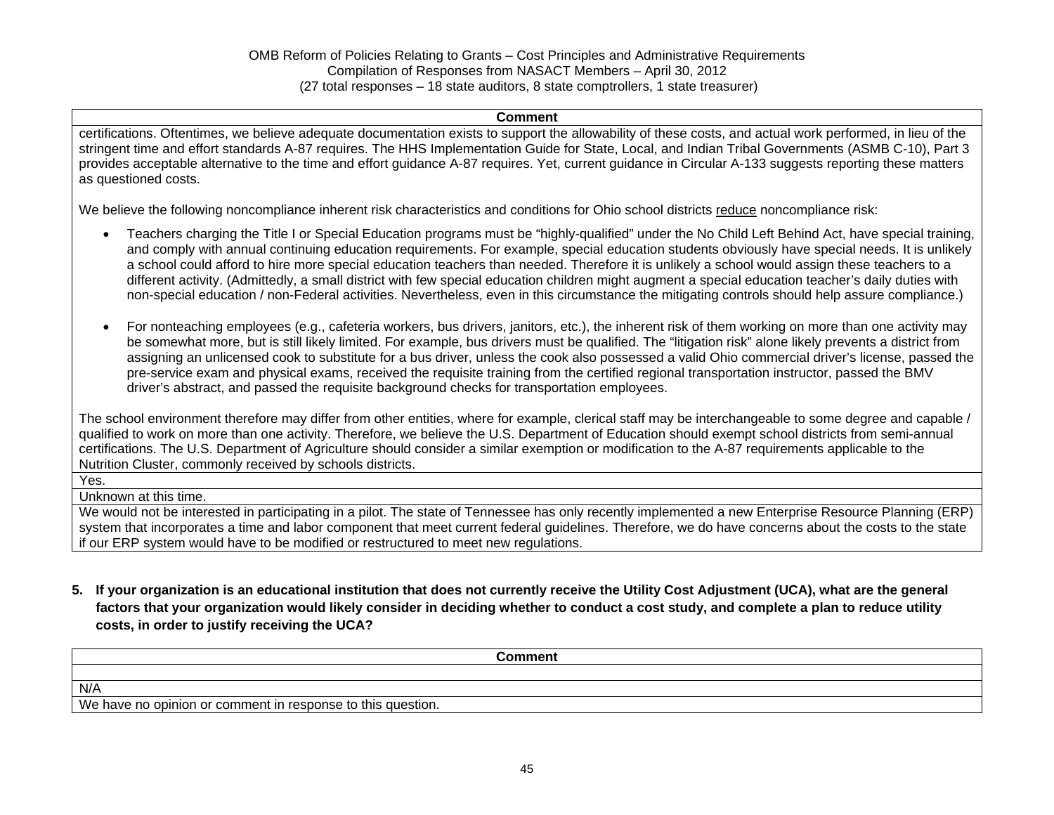#### **Comment**

certifications. Oftentimes, we believe adequate documentation exists to support the allowability of these costs, and actual work performed, in lieu of the stringent time and effort standards A-87 requires. The HHS Implementation Guide for State, Local, and Indian Tribal Governments (ASMB C-10), Part 3 provides acceptable alternative to the time and effort guidance A-87 requires. Yet, current guidance in Circular A-133 suggests reporting these matters as questioned costs.

We believe the following noncompliance inherent risk characteristics and conditions for Ohio school districts reduce noncompliance risk:

- Teachers charging the Title I or Special Education programs must be "highly-qualified" under the No Child Left Behind Act, have special training, and comply with annual continuing education requirements. For example, special education students obviously have special needs. It is unlikely a school could afford to hire more special education teachers than needed. Therefore it is unlikely a school would assign these teachers to a different activity. (Admittedly, a small district with few special education children might augment a special education teacher's daily duties with non-special education / non-Federal activities. Nevertheless, even in this circumstance the mitigating controls should help assure compliance.)
- For nonteaching employees (e.g., cafeteria workers, bus drivers, janitors, etc.), the inherent risk of them working on more than one activity may be somewhat more, but is still likely limited. For example, bus drivers must be qualified. The "litigation risk" alone likely prevents a district from assigning an unlicensed cook to substitute for a bus driver, unless the cook also possessed a valid Ohio commercial driver's license, passed the pre-service exam and physical exams, received the requisite training from the certified regional transportation instructor, passed the BMV driver's abstract, and passed the requisite background checks for transportation employees.

The school environment therefore may differ from other entities, where for example, clerical staff may be interchangeable to some degree and capable / qualified to work on more than one activity. Therefore, we believe the U.S. Department of Education should exempt school districts from semi-annual certifications. The U.S. Department of Agriculture should consider a similar exemption or modification to the A-87 requirements applicable to the Nutrition Cluster, commonly received by schools districts.

Yes.

Unknown at this time.

We would not be interested in participating in a pilot. The state of Tennessee has only recently implemented a new Enterprise Resource Planning (ERP) system that incorporates a time and labor component that meet current federal guidelines. Therefore, we do have concerns about the costs to the state if our ERP system would have to be modified or restructured to meet new regulations.

**5. If your organization is an educational institution that does not currently receive the Utility Cost Adjustment (UCA), what are the general factors that your organization would likely consider in deciding whether to conduct a cost study, and complete a plan to reduce utility costs, in order to justify receiving the UCA?** 

| Comment                                                     |  |
|-------------------------------------------------------------|--|
|                                                             |  |
| N/A                                                         |  |
| We have no opinion or comment in response to this question. |  |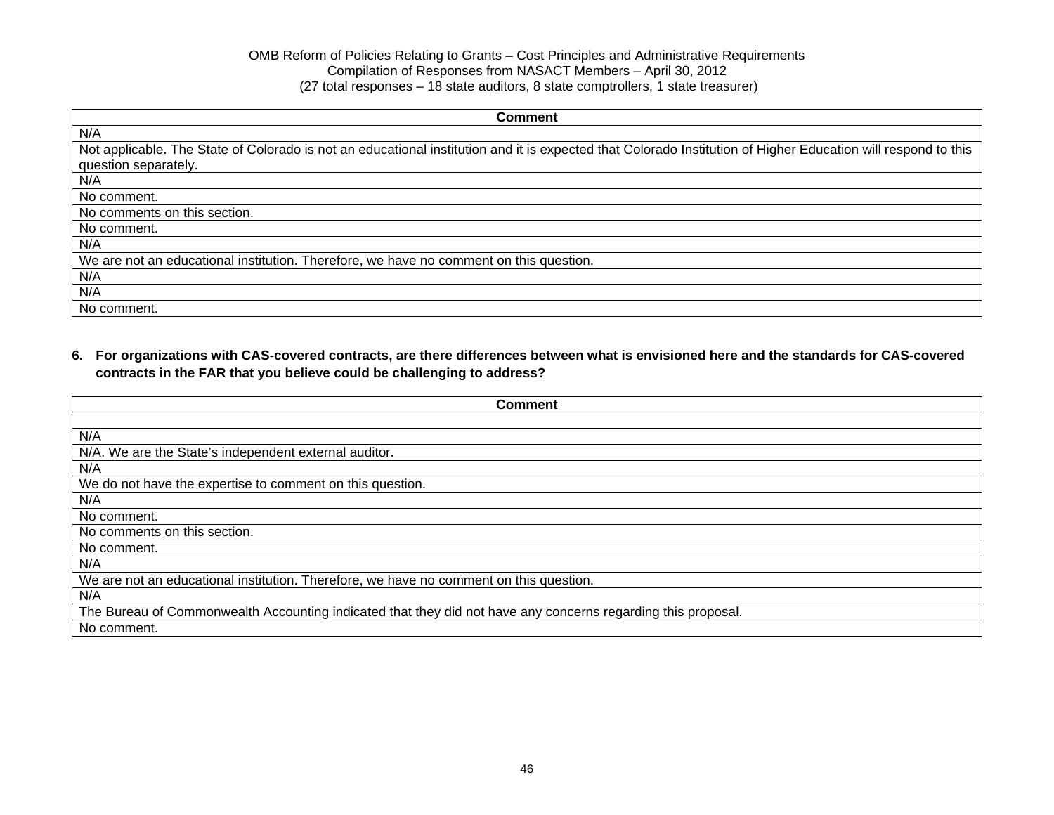| <b>Comment</b>                                                                                                                                                |
|---------------------------------------------------------------------------------------------------------------------------------------------------------------|
| N/A                                                                                                                                                           |
| Not applicable. The State of Colorado is not an educational institution and it is expected that Colorado Institution of Higher Education will respond to this |
| question separately.                                                                                                                                          |
| N/A                                                                                                                                                           |
| No comment.                                                                                                                                                   |
| No comments on this section.                                                                                                                                  |
| No comment.                                                                                                                                                   |
| N/A                                                                                                                                                           |
| We are not an educational institution. Therefore, we have no comment on this question.                                                                        |
| N/A                                                                                                                                                           |
| N/A                                                                                                                                                           |
| No comment.                                                                                                                                                   |

**6. For organizations with CAS-covered contracts, are there differences between what is envisioned here and the standards for CAS-covered contracts in the FAR that you believe could be challenging to address?** 

| <b>Comment</b>                                                                                               |
|--------------------------------------------------------------------------------------------------------------|
|                                                                                                              |
| N/A                                                                                                          |
| N/A. We are the State's independent external auditor.                                                        |
| N/A                                                                                                          |
| We do not have the expertise to comment on this question.                                                    |
| N/A                                                                                                          |
| No comment.                                                                                                  |
| No comments on this section.                                                                                 |
| No comment.                                                                                                  |
| N/A                                                                                                          |
| We are not an educational institution. Therefore, we have no comment on this question.                       |
| N/A                                                                                                          |
| The Bureau of Commonwealth Accounting indicated that they did not have any concerns regarding this proposal. |
| No comment.                                                                                                  |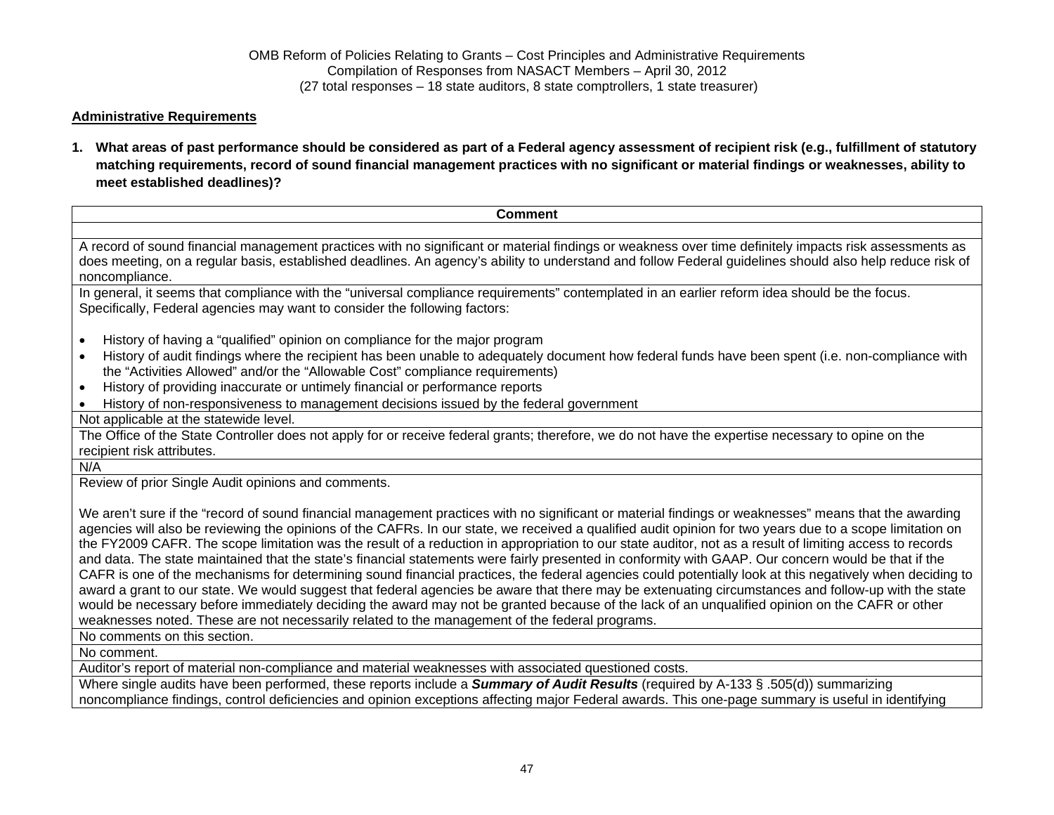### **Administrative Requirements**

**1. What areas of past performance should be considered as part of a Federal agency assessment of recipient risk (e.g., fulfillment of statutory matching requirements, record of sound financial management practices with no significant or material findings or weaknesses, ability to meet established deadlines)?** 

| <b>Comment</b>                                                                                                                                                                                                                                                                                                                                                                                                                                                                                                                                                                                                                                                                                                                                                                                                                                                                                                                                                                                                                                                                                                                                                                                                                                                                                                                                                         |
|------------------------------------------------------------------------------------------------------------------------------------------------------------------------------------------------------------------------------------------------------------------------------------------------------------------------------------------------------------------------------------------------------------------------------------------------------------------------------------------------------------------------------------------------------------------------------------------------------------------------------------------------------------------------------------------------------------------------------------------------------------------------------------------------------------------------------------------------------------------------------------------------------------------------------------------------------------------------------------------------------------------------------------------------------------------------------------------------------------------------------------------------------------------------------------------------------------------------------------------------------------------------------------------------------------------------------------------------------------------------|
|                                                                                                                                                                                                                                                                                                                                                                                                                                                                                                                                                                                                                                                                                                                                                                                                                                                                                                                                                                                                                                                                                                                                                                                                                                                                                                                                                                        |
| A record of sound financial management practices with no significant or material findings or weakness over time definitely impacts risk assessments as<br>does meeting, on a regular basis, established deadlines. An agency's ability to understand and follow Federal guidelines should also help reduce risk of<br>noncompliance.                                                                                                                                                                                                                                                                                                                                                                                                                                                                                                                                                                                                                                                                                                                                                                                                                                                                                                                                                                                                                                   |
| In general, it seems that compliance with the "universal compliance requirements" contemplated in an earlier reform idea should be the focus.<br>Specifically, Federal agencies may want to consider the following factors:                                                                                                                                                                                                                                                                                                                                                                                                                                                                                                                                                                                                                                                                                                                                                                                                                                                                                                                                                                                                                                                                                                                                            |
| History of having a "qualified" opinion on compliance for the major program<br>$\bullet$                                                                                                                                                                                                                                                                                                                                                                                                                                                                                                                                                                                                                                                                                                                                                                                                                                                                                                                                                                                                                                                                                                                                                                                                                                                                               |
| History of audit findings where the recipient has been unable to adequately document how federal funds have been spent (i.e. non-compliance with<br>the "Activities Allowed" and/or the "Allowable Cost" compliance requirements)                                                                                                                                                                                                                                                                                                                                                                                                                                                                                                                                                                                                                                                                                                                                                                                                                                                                                                                                                                                                                                                                                                                                      |
| History of providing inaccurate or untimely financial or performance reports<br>$\bullet$                                                                                                                                                                                                                                                                                                                                                                                                                                                                                                                                                                                                                                                                                                                                                                                                                                                                                                                                                                                                                                                                                                                                                                                                                                                                              |
| History of non-responsiveness to management decisions issued by the federal government                                                                                                                                                                                                                                                                                                                                                                                                                                                                                                                                                                                                                                                                                                                                                                                                                                                                                                                                                                                                                                                                                                                                                                                                                                                                                 |
| Not applicable at the statewide level.                                                                                                                                                                                                                                                                                                                                                                                                                                                                                                                                                                                                                                                                                                                                                                                                                                                                                                                                                                                                                                                                                                                                                                                                                                                                                                                                 |
| The Office of the State Controller does not apply for or receive federal grants; therefore, we do not have the expertise necessary to opine on the                                                                                                                                                                                                                                                                                                                                                                                                                                                                                                                                                                                                                                                                                                                                                                                                                                                                                                                                                                                                                                                                                                                                                                                                                     |
| recipient risk attributes.                                                                                                                                                                                                                                                                                                                                                                                                                                                                                                                                                                                                                                                                                                                                                                                                                                                                                                                                                                                                                                                                                                                                                                                                                                                                                                                                             |
| N/A                                                                                                                                                                                                                                                                                                                                                                                                                                                                                                                                                                                                                                                                                                                                                                                                                                                                                                                                                                                                                                                                                                                                                                                                                                                                                                                                                                    |
| Review of prior Single Audit opinions and comments.                                                                                                                                                                                                                                                                                                                                                                                                                                                                                                                                                                                                                                                                                                                                                                                                                                                                                                                                                                                                                                                                                                                                                                                                                                                                                                                    |
| We aren't sure if the "record of sound financial management practices with no significant or material findings or weaknesses" means that the awarding<br>agencies will also be reviewing the opinions of the CAFRs. In our state, we received a qualified audit opinion for two years due to a scope limitation on<br>the FY2009 CAFR. The scope limitation was the result of a reduction in appropriation to our state auditor, not as a result of limiting access to records<br>and data. The state maintained that the state's financial statements were fairly presented in conformity with GAAP. Our concern would be that if the<br>CAFR is one of the mechanisms for determining sound financial practices, the federal agencies could potentially look at this negatively when deciding to<br>award a grant to our state. We would suggest that federal agencies be aware that there may be extenuating circumstances and follow-up with the state<br>would be necessary before immediately deciding the award may not be granted because of the lack of an unqualified opinion on the CAFR or other<br>weaknesses noted. These are not necessarily related to the management of the federal programs.<br>No comments on this section.<br>No comment.<br>Auditor's report of material non-compliance and material weaknesses with associated questioned costs. |
| Where single audits have been performed, these reports include a <b>Summary of Audit Results</b> (required by A-133 § .505(d)) summarizing                                                                                                                                                                                                                                                                                                                                                                                                                                                                                                                                                                                                                                                                                                                                                                                                                                                                                                                                                                                                                                                                                                                                                                                                                             |

noncompliance findings, control deficiencies and opinion exceptions affecting major Federal awards. This one-page summary is useful in identifying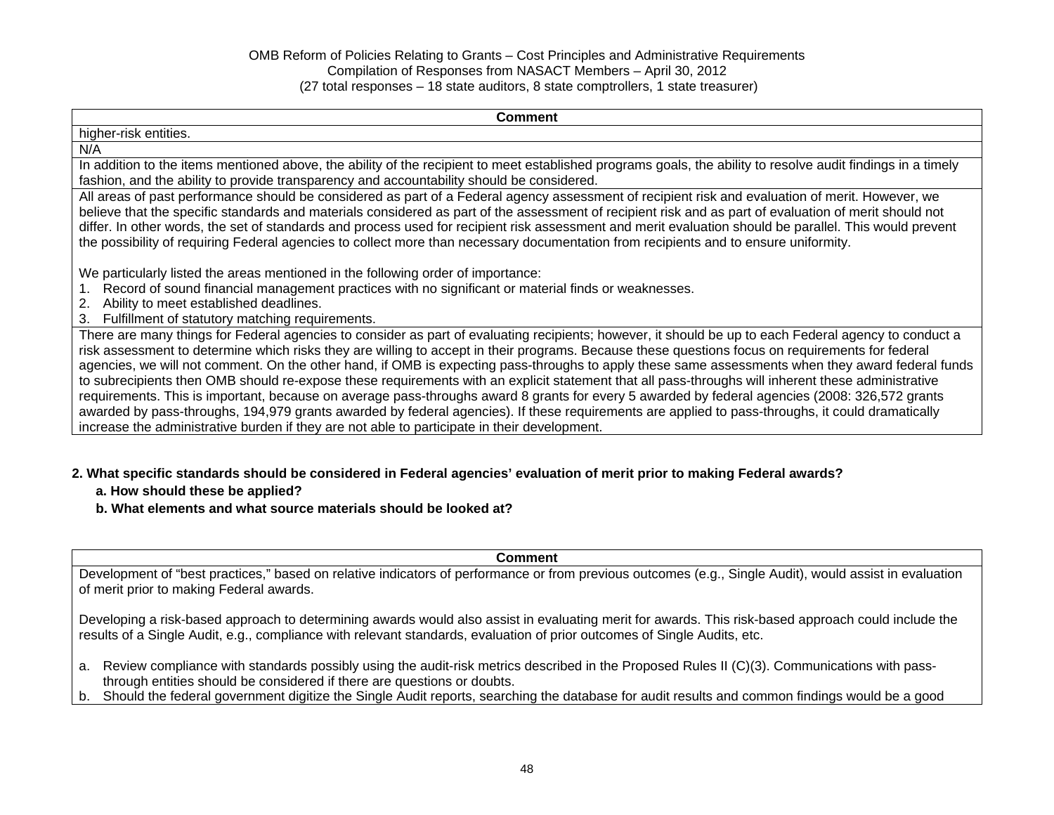#### **Comment**

| <b>COMMITMENT</b>                                                                                                                                                                                                                                                                                                                                                                                                                                                                                                                                                                                                                                                                                                                                                      |
|------------------------------------------------------------------------------------------------------------------------------------------------------------------------------------------------------------------------------------------------------------------------------------------------------------------------------------------------------------------------------------------------------------------------------------------------------------------------------------------------------------------------------------------------------------------------------------------------------------------------------------------------------------------------------------------------------------------------------------------------------------------------|
| higher-risk entities.                                                                                                                                                                                                                                                                                                                                                                                                                                                                                                                                                                                                                                                                                                                                                  |
| N/A                                                                                                                                                                                                                                                                                                                                                                                                                                                                                                                                                                                                                                                                                                                                                                    |
| In addition to the items mentioned above, the ability of the recipient to meet established programs goals, the ability to resolve audit findings in a timely<br>fashion, and the ability to provide transparency and accountability should be considered.                                                                                                                                                                                                                                                                                                                                                                                                                                                                                                              |
| All areas of past performance should be considered as part of a Federal agency assessment of recipient risk and evaluation of merit. However, we<br>believe that the specific standards and materials considered as part of the assessment of recipient risk and as part of evaluation of merit should not<br>differ. In other words, the set of standards and process used for recipient risk assessment and merit evaluation should be parallel. This would prevent<br>the possibility of requiring Federal agencies to collect more than necessary documentation from recipients and to ensure uniformity.                                                                                                                                                          |
| We particularly listed the areas mentioned in the following order of importance:<br>Record of sound financial management practices with no significant or material finds or weaknesses.<br>Ability to meet established deadlines.<br>Fulfillment of statutory matching requirements.<br>3.                                                                                                                                                                                                                                                                                                                                                                                                                                                                             |
| There are many things for Federal agencies to consider as part of evaluating recipients; however, it should be up to each Federal agency to conduct a<br>risk assessment to determine which risks they are willing to accept in their programs. Because these questions focus on requirements for federal<br>agencies, we will not comment. On the other hand, if OMB is expecting pass-throughs to apply these same assessments when they award federal funds<br>to subrecipients then OMB should re-expose these requirements with an explicit statement that all pass-throughs will inherent these administrative<br>requirements. This is important, because on average pass-throughs award 8 grants for every 5 awarded by federal agencies (2008: 326,572 grants |

awarded by pass-throughs, 194,979 grants awarded by federal agencies). If these requirements are applied to pass-throughs, it could dramatically increase the administrative burden if they are not able to participate in their development.

### **2. What specific standards should be considered in Federal agencies' evaluation of merit prior to making Federal awards?**

- **a. How should these be applied?**
- **b. What elements and what source materials should be looked at?**

#### **Comment**

Development of "best practices," based on relative indicators of performance or from previous outcomes (e.g., Single Audit), would assist in evaluation of merit prior to making Federal awards.

Developing a risk-based approach to determining awards would also assist in evaluating merit for awards. This risk-based approach could include the results of a Single Audit, e.g., compliance with relevant standards, evaluation of prior outcomes of Single Audits, etc.

- a. Review compliance with standards possibly using the audit-risk metrics described in the Proposed Rules II (C)(3). Communications with passthrough entities should be considered if there are questions or doubts.
- b. Should the federal government digitize the Single Audit reports, searching the database for audit results and common findings would be a good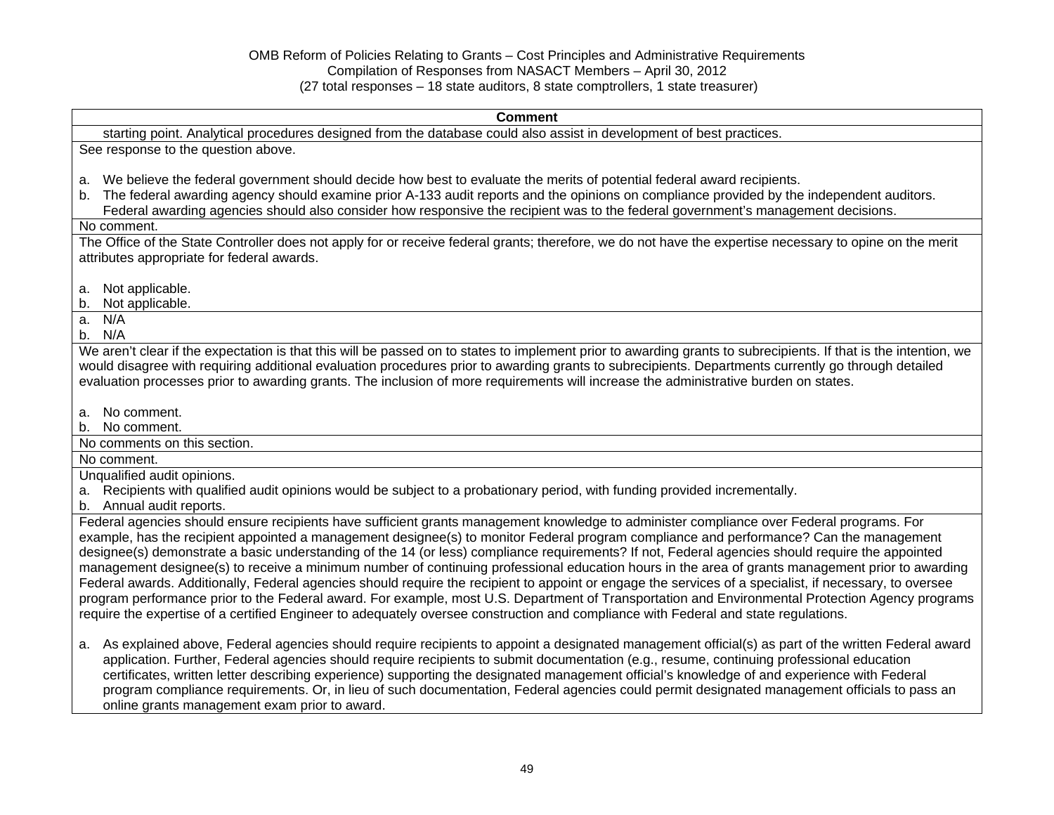|         | <b>Comment</b>                                                                                                                                                                                                                                                                                                          |
|---------|-------------------------------------------------------------------------------------------------------------------------------------------------------------------------------------------------------------------------------------------------------------------------------------------------------------------------|
|         | starting point. Analytical procedures designed from the database could also assist in development of best practices.                                                                                                                                                                                                    |
|         | See response to the question above.                                                                                                                                                                                                                                                                                     |
|         |                                                                                                                                                                                                                                                                                                                         |
| a.      | We believe the federal government should decide how best to evaluate the merits of potential federal award recipients.                                                                                                                                                                                                  |
| $b_{-}$ | The federal awarding agency should examine prior A-133 audit reports and the opinions on compliance provided by the independent auditors.<br>Federal awarding agencies should also consider how responsive the recipient was to the federal government's management decisions.                                          |
|         | No comment.                                                                                                                                                                                                                                                                                                             |
|         | The Office of the State Controller does not apply for or receive federal grants; therefore, we do not have the expertise necessary to opine on the merit                                                                                                                                                                |
|         | attributes appropriate for federal awards.                                                                                                                                                                                                                                                                              |
|         |                                                                                                                                                                                                                                                                                                                         |
| a.      | Not applicable.                                                                                                                                                                                                                                                                                                         |
| b.      | Not applicable.                                                                                                                                                                                                                                                                                                         |
| а.      | N/A                                                                                                                                                                                                                                                                                                                     |
|         | b. N/A                                                                                                                                                                                                                                                                                                                  |
|         | We aren't clear if the expectation is that this will be passed on to states to implement prior to awarding grants to subrecipients. If that is the intention, we<br>would disagree with requiring additional evaluation procedures prior to awarding grants to subrecipients. Departments currently go through detailed |
|         | evaluation processes prior to awarding grants. The inclusion of more requirements will increase the administrative burden on states.                                                                                                                                                                                    |
|         |                                                                                                                                                                                                                                                                                                                         |
| a.      | No comment.                                                                                                                                                                                                                                                                                                             |
| b.      | No comment.                                                                                                                                                                                                                                                                                                             |
|         | No comments on this section.                                                                                                                                                                                                                                                                                            |
|         | No comment.                                                                                                                                                                                                                                                                                                             |
|         | Unqualified audit opinions.                                                                                                                                                                                                                                                                                             |
|         | a. Recipients with qualified audit opinions would be subject to a probationary period, with funding provided incrementally.<br>b. Annual audit reports.                                                                                                                                                                 |
|         | Federal agencies should ensure recipients have sufficient grants management knowledge to administer compliance over Federal programs. For                                                                                                                                                                               |
|         | example, has the recipient appointed a management designee(s) to monitor Federal program compliance and performance? Can the management                                                                                                                                                                                 |
|         | designee(s) demonstrate a basic understanding of the 14 (or less) compliance requirements? If not, Federal agencies should require the appointed                                                                                                                                                                        |
|         | management designee(s) to receive a minimum number of continuing professional education hours in the area of grants management prior to awarding                                                                                                                                                                        |
|         | Federal awards. Additionally, Federal agencies should require the recipient to appoint or engage the services of a specialist, if necessary, to oversee                                                                                                                                                                 |
|         | program performance prior to the Federal award. For example, most U.S. Department of Transportation and Environmental Protection Agency programs                                                                                                                                                                        |
|         | require the expertise of a certified Engineer to adequately oversee construction and compliance with Federal and state regulations.                                                                                                                                                                                     |
|         | a. As explained above, Federal agencies should require recipients to appoint a designated management official(s) as part of the written Federal award                                                                                                                                                                   |
|         | application. Further, Federal agencies should require recipients to submit documentation (e.g., resume, continuing professional education                                                                                                                                                                               |
|         | certificates, written letter describing experience) supporting the designated management official's knowledge of and experience with Federal                                                                                                                                                                            |
|         | program compliance requirements. Or, in lieu of such documentation, Federal agencies could permit designated management officials to pass an                                                                                                                                                                            |

online grants management exam prior to award.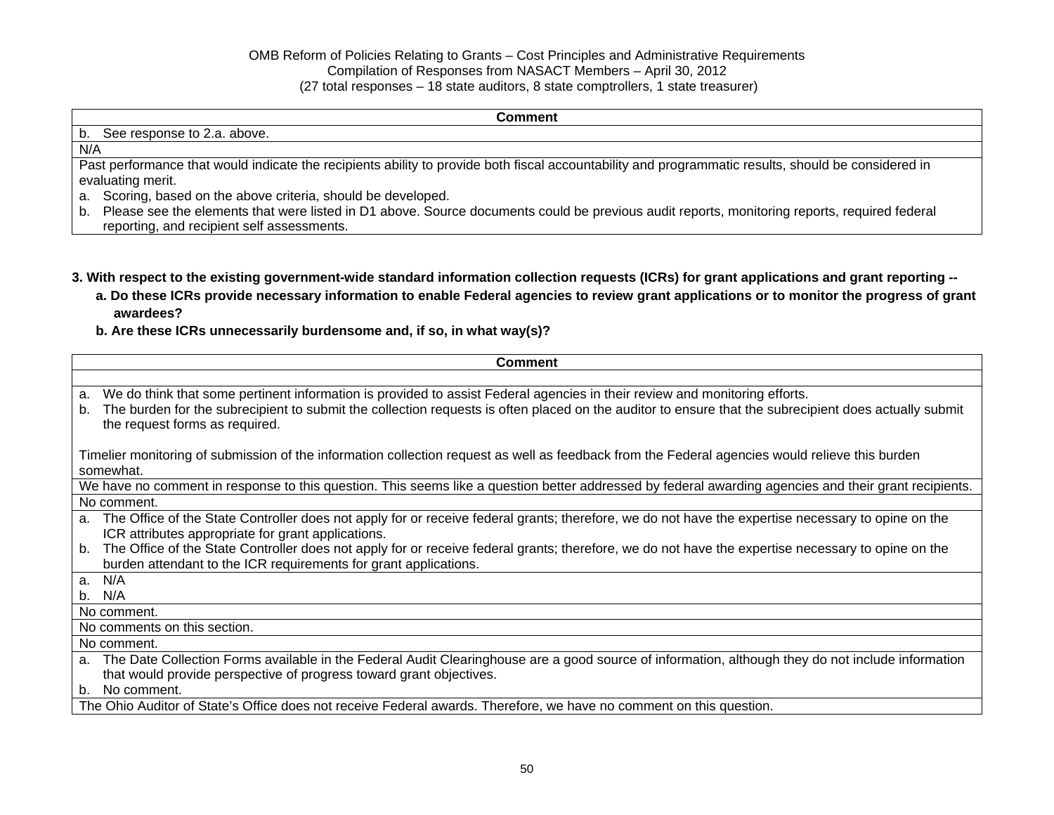#### **Comment**

### b. See response to 2.a. above. N/A Past performance that would indicate the recipients ability to provide both fiscal accountability and programmatic results, should be considered in evaluating merit. a. Scoring, based on the above criteria, should be developed. b. Please see the elements that were listed in D1 above. Source documents could be previous audit reports, monitoring reports, required federal reporting, and recipient self assessments.

- **3. With respect to the existing government-wide standard information collection requests (ICRs) for grant applications and grant reporting** 
	- **a. Do these ICRs provide necessary information to enable Federal agencies to review grant applications or to monitor the progress of grant awardees?**
	- **b. Are these ICRs unnecessarily burdensome and, if so, in what way(s)?**

| <b>Comment</b>                                                                                                                                                                                                                                                                                                                    |  |  |  |  |
|-----------------------------------------------------------------------------------------------------------------------------------------------------------------------------------------------------------------------------------------------------------------------------------------------------------------------------------|--|--|--|--|
|                                                                                                                                                                                                                                                                                                                                   |  |  |  |  |
| We do think that some pertinent information is provided to assist Federal agencies in their review and monitoring efforts.<br>a.<br>The burden for the subrecipient to submit the collection requests is often placed on the auditor to ensure that the subrecipient does actually submit<br>b.<br>the request forms as required. |  |  |  |  |
| Timelier monitoring of submission of the information collection request as well as feedback from the Federal agencies would relieve this burden<br>somewhat.                                                                                                                                                                      |  |  |  |  |
| We have no comment in response to this question. This seems like a question better addressed by federal awarding agencies and their grant recipients.                                                                                                                                                                             |  |  |  |  |
| No comment.                                                                                                                                                                                                                                                                                                                       |  |  |  |  |
| a. The Office of the State Controller does not apply for or receive federal grants; therefore, we do not have the expertise necessary to opine on the<br>ICR attributes appropriate for grant applications.                                                                                                                       |  |  |  |  |
| The Office of the State Controller does not apply for or receive federal grants; therefore, we do not have the expertise necessary to opine on the<br>b.<br>burden attendant to the ICR requirements for grant applications.                                                                                                      |  |  |  |  |
| N/A<br>a <sub>1</sub>                                                                                                                                                                                                                                                                                                             |  |  |  |  |
| N/A<br>b.                                                                                                                                                                                                                                                                                                                         |  |  |  |  |
| No comment.                                                                                                                                                                                                                                                                                                                       |  |  |  |  |
| No comments on this section.                                                                                                                                                                                                                                                                                                      |  |  |  |  |
| No comment.                                                                                                                                                                                                                                                                                                                       |  |  |  |  |
| a. The Date Collection Forms available in the Federal Audit Clearinghouse are a good source of information, although they do not include information<br>that would provide perspective of progress toward grant objectives.                                                                                                       |  |  |  |  |
| No comment.<br>$b_{\perp}$                                                                                                                                                                                                                                                                                                        |  |  |  |  |
| The Ohio Auditor of State's Office does not receive Federal awards. Therefore, we have no comment on this question.                                                                                                                                                                                                               |  |  |  |  |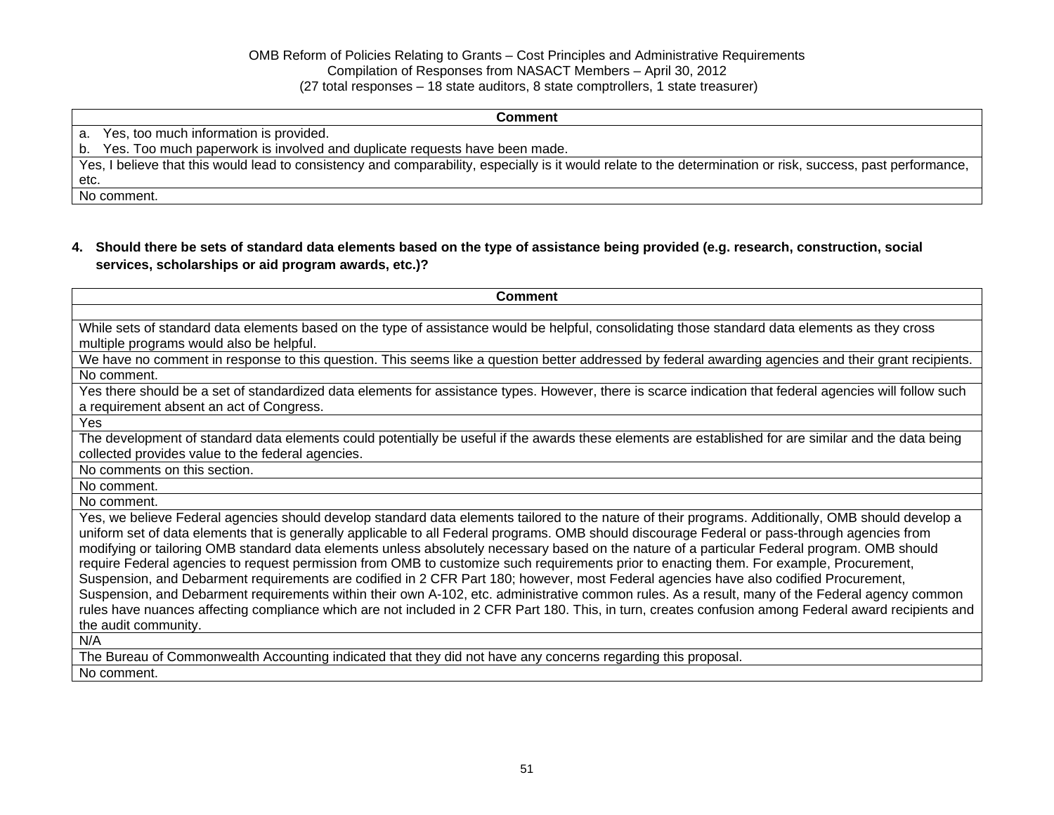#### **Comment**

a. Yes, too much information is provided.

b. Yes. Too much paperwork is involved and duplicate requests have been made.

Yes, I believe that this would lead to consistency and comparability, especially is it would relate to the determination or risk, success, past performance, etc.

No comment.

# **4. Should there be sets of standard data elements based on the type of assistance being provided (e.g. research, construction, social services, scholarships or aid program awards, etc.)?**

| <b>Comment</b>                                                                                                                                                                                                                                                                           |
|------------------------------------------------------------------------------------------------------------------------------------------------------------------------------------------------------------------------------------------------------------------------------------------|
|                                                                                                                                                                                                                                                                                          |
| While sets of standard data elements based on the type of assistance would be helpful, consolidating those standard data elements as they cross                                                                                                                                          |
| multiple programs would also be helpful.                                                                                                                                                                                                                                                 |
| We have no comment in response to this question. This seems like a question better addressed by federal awarding agencies and their grant recipients.                                                                                                                                    |
| No comment.                                                                                                                                                                                                                                                                              |
| Yes there should be a set of standardized data elements for assistance types. However, there is scarce indication that federal agencies will follow such<br>a requirement absent an act of Congress.                                                                                     |
| Yes                                                                                                                                                                                                                                                                                      |
| The development of standard data elements could potentially be useful if the awards these elements are established for are similar and the data being                                                                                                                                    |
| collected provides value to the federal agencies.                                                                                                                                                                                                                                        |
| No comments on this section.                                                                                                                                                                                                                                                             |
| No comment.                                                                                                                                                                                                                                                                              |
| No comment.                                                                                                                                                                                                                                                                              |
| Yes, we believe Federal agencies should develop standard data elements tailored to the nature of their programs. Additionally, OMB should develop a                                                                                                                                      |
| uniform set of data elements that is generally applicable to all Federal programs. OMB should discourage Federal or pass-through agencies from                                                                                                                                           |
| modifying or tailoring OMB standard data elements unless absolutely necessary based on the nature of a particular Federal program. OMB should                                                                                                                                            |
| require Federal agencies to request permission from OMB to customize such requirements prior to enacting them. For example, Procurement,                                                                                                                                                 |
| Suspension, and Debarment requirements are codified in 2 CFR Part 180; however, most Federal agencies have also codified Procurement,<br>Suspension, and Debarment requirements within their own A-102, etc. administrative common rules. As a result, many of the Federal agency common |
| rules have nuances affecting compliance which are not included in 2 CFR Part 180. This, in turn, creates confusion among Federal award recipients and                                                                                                                                    |
| the audit community.                                                                                                                                                                                                                                                                     |
| N/A                                                                                                                                                                                                                                                                                      |
|                                                                                                                                                                                                                                                                                          |
| The Bureau of Commonwealth Accounting indicated that they did not have any concerns regarding this proposal.                                                                                                                                                                             |
| No comment.                                                                                                                                                                                                                                                                              |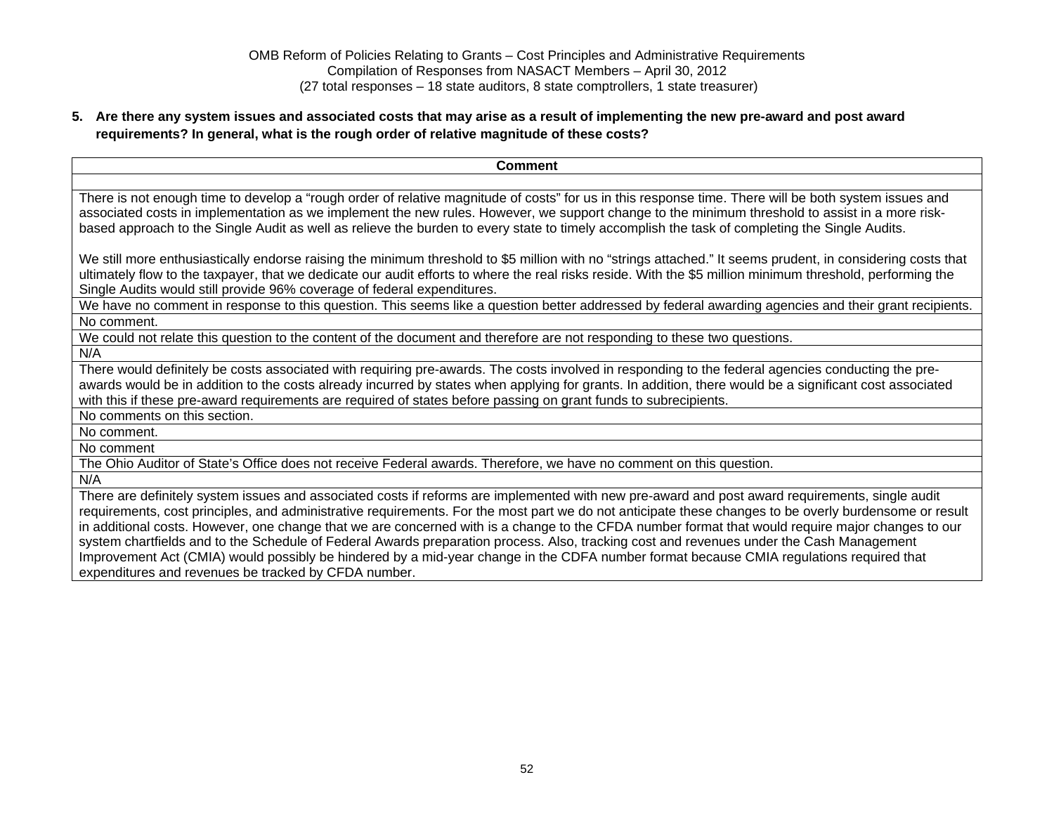## **5. Are there any system issues and associated costs that may arise as a result of implementing the new pre-award and post award requirements? In general, what is the rough order of relative magnitude of these costs?**

| <b>Comment</b>                                                                                                                                                                                                                                                                                                                                                                                                                                                                                                                                                                                                                                                                                                                                                                                                |
|---------------------------------------------------------------------------------------------------------------------------------------------------------------------------------------------------------------------------------------------------------------------------------------------------------------------------------------------------------------------------------------------------------------------------------------------------------------------------------------------------------------------------------------------------------------------------------------------------------------------------------------------------------------------------------------------------------------------------------------------------------------------------------------------------------------|
|                                                                                                                                                                                                                                                                                                                                                                                                                                                                                                                                                                                                                                                                                                                                                                                                               |
| There is not enough time to develop a "rough order of relative magnitude of costs" for us in this response time. There will be both system issues and<br>associated costs in implementation as we implement the new rules. However, we support change to the minimum threshold to assist in a more risk-<br>based approach to the Single Audit as well as relieve the burden to every state to timely accomplish the task of completing the Single Audits.                                                                                                                                                                                                                                                                                                                                                    |
| We still more enthusiastically endorse raising the minimum threshold to \$5 million with no "strings attached." It seems prudent, in considering costs that<br>ultimately flow to the taxpayer, that we dedicate our audit efforts to where the real risks reside. With the \$5 million minimum threshold, performing the<br>Single Audits would still provide 96% coverage of federal expenditures.                                                                                                                                                                                                                                                                                                                                                                                                          |
| We have no comment in response to this question. This seems like a question better addressed by federal awarding agencies and their grant recipients.                                                                                                                                                                                                                                                                                                                                                                                                                                                                                                                                                                                                                                                         |
| No comment.                                                                                                                                                                                                                                                                                                                                                                                                                                                                                                                                                                                                                                                                                                                                                                                                   |
| We could not relate this question to the content of the document and therefore are not responding to these two questions.                                                                                                                                                                                                                                                                                                                                                                                                                                                                                                                                                                                                                                                                                     |
| N/A                                                                                                                                                                                                                                                                                                                                                                                                                                                                                                                                                                                                                                                                                                                                                                                                           |
| There would definitely be costs associated with requiring pre-awards. The costs involved in responding to the federal agencies conducting the pre-<br>awards would be in addition to the costs already incurred by states when applying for grants. In addition, there would be a significant cost associated<br>with this if these pre-award requirements are required of states before passing on grant funds to subrecipients.                                                                                                                                                                                                                                                                                                                                                                             |
| No comments on this section.                                                                                                                                                                                                                                                                                                                                                                                                                                                                                                                                                                                                                                                                                                                                                                                  |
| No comment.                                                                                                                                                                                                                                                                                                                                                                                                                                                                                                                                                                                                                                                                                                                                                                                                   |
| No comment                                                                                                                                                                                                                                                                                                                                                                                                                                                                                                                                                                                                                                                                                                                                                                                                    |
| The Ohio Auditor of State's Office does not receive Federal awards. Therefore, we have no comment on this question.                                                                                                                                                                                                                                                                                                                                                                                                                                                                                                                                                                                                                                                                                           |
| N/A                                                                                                                                                                                                                                                                                                                                                                                                                                                                                                                                                                                                                                                                                                                                                                                                           |
| There are definitely system issues and associated costs if reforms are implemented with new pre-award and post award requirements, single audit<br>requirements, cost principles, and administrative requirements. For the most part we do not anticipate these changes to be overly burdensome or result<br>in additional costs. However, one change that we are concerned with is a change to the CFDA number format that would require major changes to our<br>system chartfields and to the Schedule of Federal Awards preparation process. Also, tracking cost and revenues under the Cash Management<br>Improvement Act (CMIA) would possibly be hindered by a mid-year change in the CDFA number format because CMIA regulations required that<br>expenditures and revenues be tracked by CFDA number. |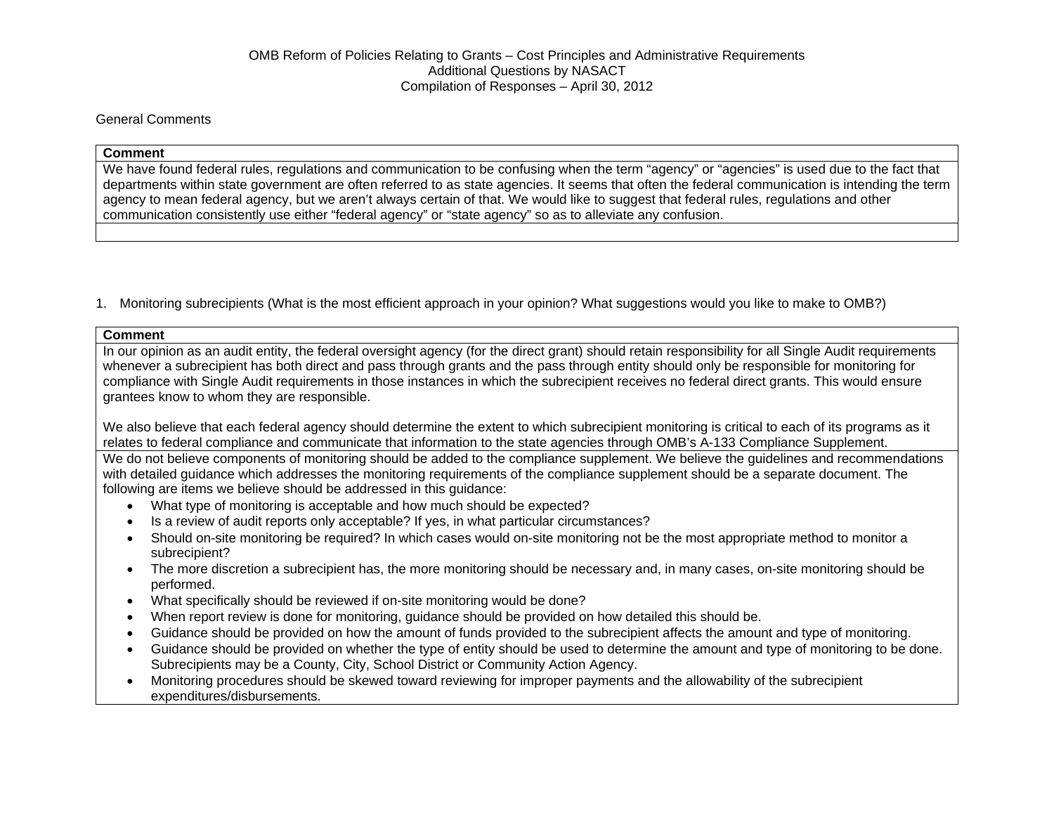### General Comments

#### **Comment**

We have found federal rules, regulations and communication to be confusing when the term "agency" or "agencies" is used due to the fact that departments within state government are often referred to as state agencies. It seems that often the federal communication is intending the term agency to mean federal agency, but we aren't always certain of that. We would like to suggest that federal rules, regulations and other communication consistently use either "federal agency" or "state agency" so as to alleviate any confusion.

1. Monitoring subrecipients (What is the most efficient approach in your opinion? What suggestions would you like to make to OMB?)

#### **Comment**

In our opinion as an audit entity, the federal oversight agency (for the direct grant) should retain responsibility for all Single Audit requirements whenever a subrecipient has both direct and pass through grants and the pass through entity should only be responsible for monitoring for compliance with Single Audit requirements in those instances in which the subrecipient receives no federal direct grants. This would ensure grantees know to whom they are responsible.

We also believe that each federal agency should determine the extent to which subrecipient monitoring is critical to each of its programs as it relates to federal compliance and communicate that information to the state agencies through OMB's A-133 Compliance Supplement.

We do not believe components of monitoring should be added to the compliance supplement. We believe the guidelines and recommendations with detailed guidance which addresses the monitoring requirements of the compliance supplement should be a separate document. The following are items we believe should be addressed in this guidance:

- What type of monitoring is acceptable and how much should be expected?
- Is a review of audit reports only acceptable? If yes, in what particular circumstances?
- Should on-site monitoring be required? In which cases would on-site monitoring not be the most appropriate method to monitor a subrecipient?
- The more discretion a subrecipient has, the more monitoring should be necessary and, in many cases, on-site monitoring should be performed.
- What specifically should be reviewed if on-site monitoring would be done?
- When report review is done for monitoring, guidance should be provided on how detailed this should be.
- Guidance should be provided on how the amount of funds provided to the subrecipient affects the amount and type of monitoring.
- Guidance should be provided on whether the type of entity should be used to determine the amount and type of monitoring to be done. Subrecipients may be a County, City, School District or Community Action Agency.
- Monitoring procedures should be skewed toward reviewing for improper payments and the allowability of the subrecipient expenditures/disbursements.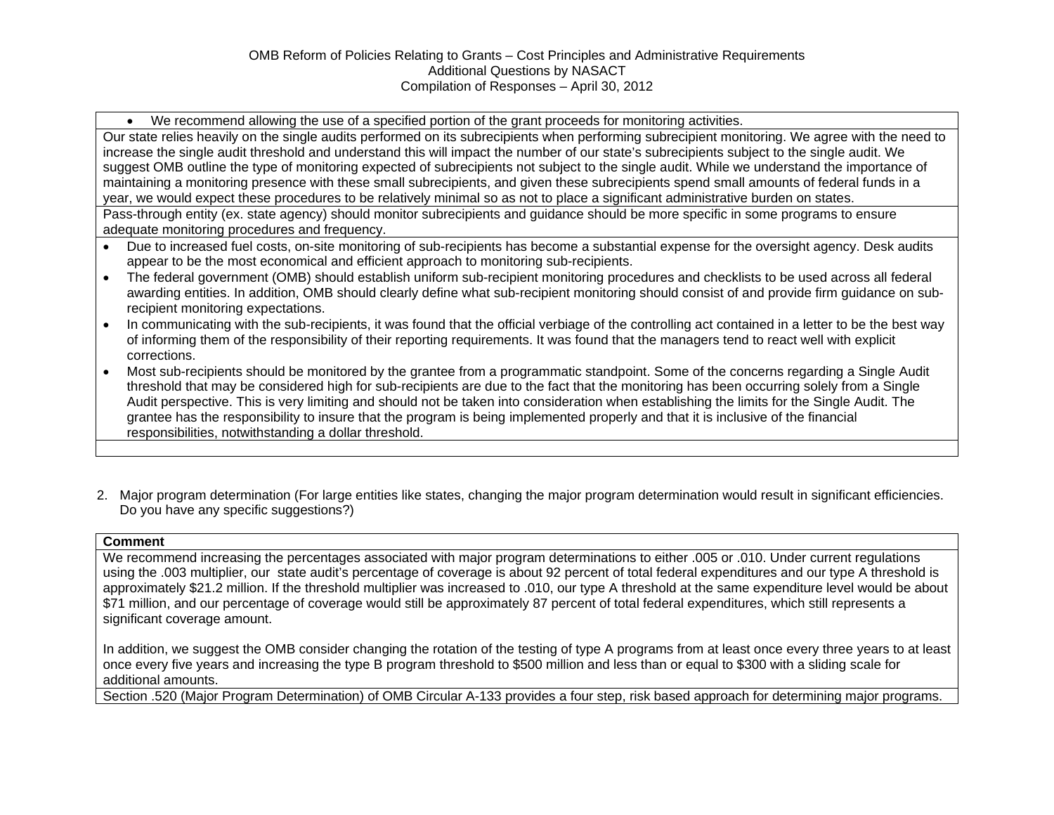We recommend allowing the use of a specified portion of the grant proceeds for monitoring activities.

Our state relies heavily on the single audits performed on its subrecipients when performing subrecipient monitoring. We agree with the need to increase the single audit threshold and understand this will impact the number of our state's subrecipients subject to the single audit. We suggest OMB outline the type of monitoring expected of subrecipients not subject to the single audit. While we understand the importance of maintaining a monitoring presence with these small subrecipients, and given these subrecipients spend small amounts of federal funds in a year, we would expect these procedures to be relatively minimal so as not to place a significant administrative burden on states.

Pass-through entity (ex. state agency) should monitor subrecipients and guidance should be more specific in some programs to ensure adequate monitoring procedures and frequency.

- Due to increased fuel costs, on-site monitoring of sub-recipients has become a substantial expense for the oversight agency. Desk audits appear to be the most economical and efficient approach to monitoring sub-recipients.
- The federal government (OMB) should establish uniform sub-recipient monitoring procedures and checklists to be used across all federal awarding entities. In addition, OMB should clearly define what sub-recipient monitoring should consist of and provide firm guidance on subrecipient monitoring expectations.
- In communicating with the sub-recipients, it was found that the official verbiage of the controlling act contained in a letter to be the best way of informing them of the responsibility of their reporting requirements. It was found that the managers tend to react well with explicit corrections.
- Most sub-recipients should be monitored by the grantee from a programmatic standpoint. Some of the concerns regarding a Single Audit threshold that may be considered high for sub-recipients are due to the fact that the monitoring has been occurring solely from a Single Audit perspective. This is very limiting and should not be taken into consideration when establishing the limits for the Single Audit. The grantee has the responsibility to insure that the program is being implemented properly and that it is inclusive of the financial responsibilities, notwithstanding a dollar threshold.
- 2. Major program determination (For large entities like states, changing the major program determination would result in significant efficiencies. Do you have any specific suggestions?)

#### **Comment**

We recommend increasing the percentages associated with major program determinations to either .005 or .010. Under current regulations using the .003 multiplier, our state audit's percentage of coverage is about 92 percent of total federal expenditures and our type A threshold is approximately \$21.2 million. If the threshold multiplier was increased to .010, our type A threshold at the same expenditure level would be about \$71 million, and our percentage of coverage would still be approximately 87 percent of total federal expenditures, which still represents a significant coverage amount.

In addition, we suggest the OMB consider changing the rotation of the testing of type A programs from at least once every three years to at least once every five years and increasing the type B program threshold to \$500 million and less than or equal to \$300 with a sliding scale for additional amounts.

Section .520 (Major Program Determination) of OMB Circular A-133 provides a four step, risk based approach for determining major programs.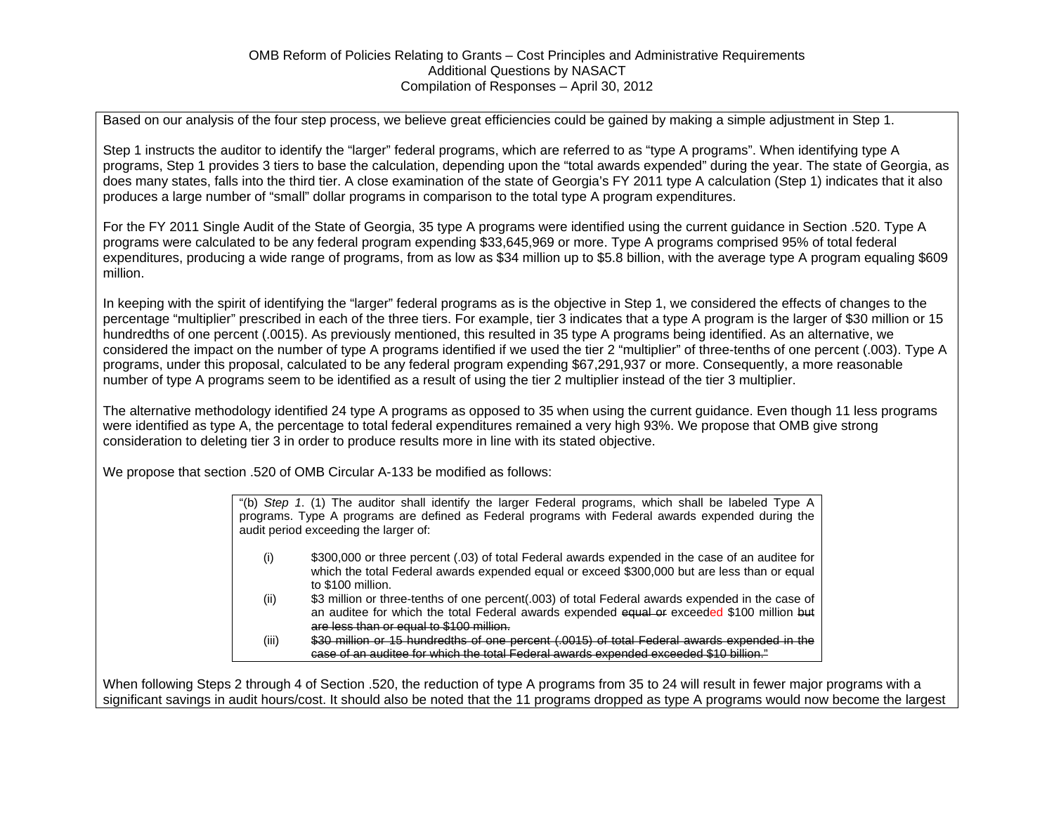Based on our analysis of the four step process, we believe great efficiencies could be gained by making a simple adjustment in Step 1.

Step 1 instructs the auditor to identify the "larger" federal programs, which are referred to as "type A programs". When identifying type A programs, Step 1 provides 3 tiers to base the calculation, depending upon the "total awards expended" during the year. The state of Georgia, as does many states, falls into the third tier. A close examination of the state of Georgia's FY 2011 type A calculation (Step 1) indicates that it also produces a large number of "small" dollar programs in comparison to the total type A program expenditures.

For the FY 2011 Single Audit of the State of Georgia, 35 type A programs were identified using the current guidance in Section .520. Type A programs were calculated to be any federal program expending \$33,645,969 or more. Type A programs comprised 95% of total federal expenditures, producing a wide range of programs, from as low as \$34 million up to \$5.8 billion, with the average type A program equaling \$609 million.

In keeping with the spirit of identifying the "larger" federal programs as is the objective in Step 1, we considered the effects of changes to the percentage "multiplier" prescribed in each of the three tiers. For example, tier 3 indicates that a type A program is the larger of \$30 million or 15 hundredths of one percent (.0015). As previously mentioned, this resulted in 35 type A programs being identified. As an alternative, we considered the impact on the number of type A programs identified if we used the tier 2 "multiplier" of three-tenths of one percent (.003). Type A programs, under this proposal, calculated to be any federal program expending \$67,291,937 or more. Consequently, a more reasonable number of type A programs seem to be identified as a result of using the tier 2 multiplier instead of the tier 3 multiplier.

The alternative methodology identified 24 type A programs as opposed to 35 when using the current guidance. Even though 11 less programs were identified as type A, the percentage to total federal expenditures remained a very high 93%. We propose that OMB give strong consideration to deleting tier 3 in order to produce results more in line with its stated objective.

We propose that section .520 of OMB Circular A-133 be modified as follows:

"(b) *Step 1*. (1) The auditor shall identify the larger Federal programs, which shall be labeled Type A programs. Type A programs are defined as Federal programs with Federal awards expended during the audit period exceeding the larger of:

- (i) \$300,000 or three percent (.03) of total Federal awards expended in the case of an auditee for which the total Federal awards expended equal or exceed \$300,000 but are less than or equal to \$100 million.
- (ii) \$3 million or three-tenths of one percent(.003) of total Federal awards expended in the case of an auditee for which the total Federal awards expended equal or exceeded \$100 million but are less than or equal to \$100 million.

(iii) \$30 million or 15 hundredths of one percent (.0015) of total Federal awards expended in the case of an auditee for which the total Federal awards expended exceeded \$10 billion."

When following Steps 2 through 4 of Section .520, the reduction of type A programs from 35 to 24 will result in fewer major programs with a significant savings in audit hours/cost. It should also be noted that the 11 programs dropped as type A programs would now become the largest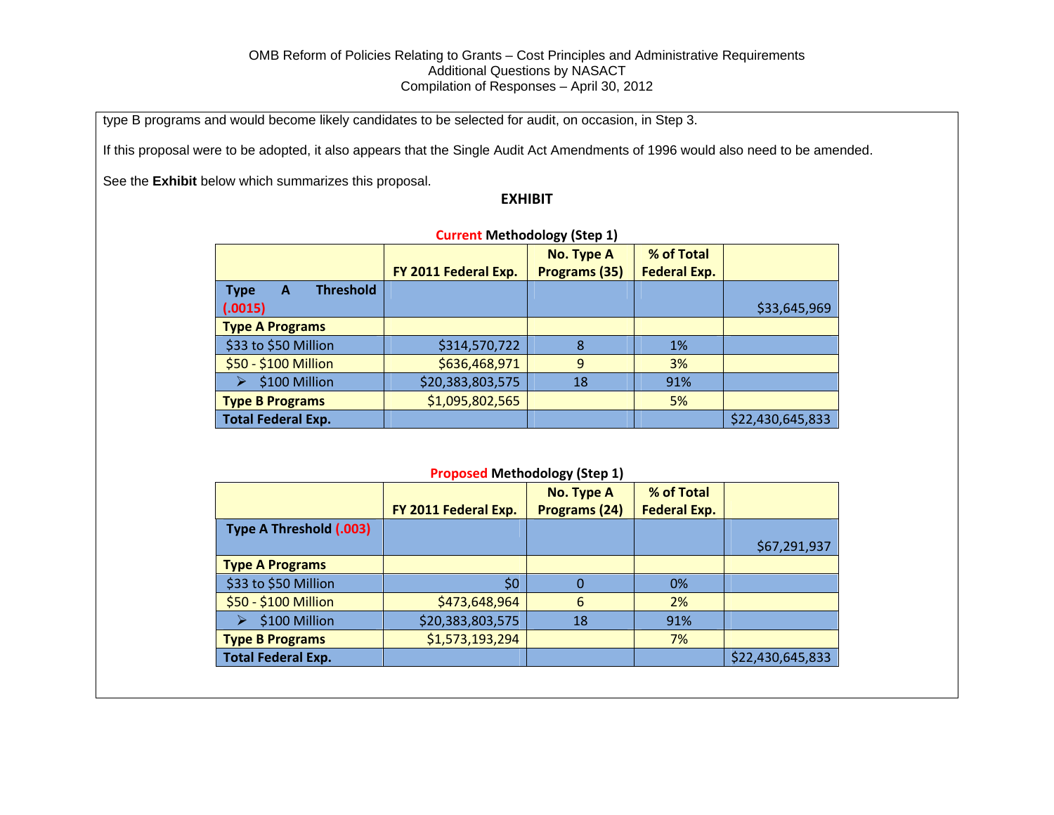type B programs and would become likely candidates to be selected for audit, on occasion, in Step 3.

If this proposal were to be adopted, it also appears that the Single Audit Act Amendments of 1996 would also need to be amended.

See the **Exhibit** below which summarizes this proposal.

### **EXHIBIT**

| <b>Current Methodology (Step 1)</b>             |                      |                      |                     |                  |
|-------------------------------------------------|----------------------|----------------------|---------------------|------------------|
|                                                 |                      | <b>No. Type A</b>    | % of Total          |                  |
|                                                 | FY 2011 Federal Exp. | <b>Programs (35)</b> | <b>Federal Exp.</b> |                  |
| <b>Threshold</b><br><b>Type</b><br>$\mathbf{A}$ |                      |                      |                     |                  |
| (.0015)                                         |                      |                      |                     | \$33,645,969     |
| <b>Type A Programs</b>                          |                      |                      |                     |                  |
| \$33 to \$50 Million                            | \$314,570,722        | 8                    | $1\%$               |                  |
| \$50 - \$100 Million                            | \$636,468,971        | 9                    | 3%                  |                  |
| \$100 Million                                   | \$20,383,803,575     | 18                   | 91%                 |                  |
| <b>Type B Programs</b>                          | \$1,095,802,565      |                      | 5%                  |                  |
| <b>Total Federal Exp.</b>                       |                      |                      |                     | \$22,430,645,833 |

**Proposed Methodology (Step 1)**

|                           |                      | <b>No. Type A</b> | % of Total          |                  |
|---------------------------|----------------------|-------------------|---------------------|------------------|
|                           | FY 2011 Federal Exp. | Programs (24)     | <b>Federal Exp.</b> |                  |
| Type A Threshold (.003)   |                      |                   |                     |                  |
|                           |                      |                   |                     | \$67,291,937     |
| <b>Type A Programs</b>    |                      |                   |                     |                  |
| \$33 to \$50 Million      | \$0                  |                   | 0%                  |                  |
| \$50 - \$100 Million      | \$473,648,964        | 6                 | 2%                  |                  |
| \$100 Million             | \$20,383,803,575     | 18                | 91%                 |                  |
| <b>Type B Programs</b>    | \$1,573,193,294      |                   | 7%                  |                  |
| <b>Total Federal Exp.</b> |                      |                   |                     | \$22,430,645,833 |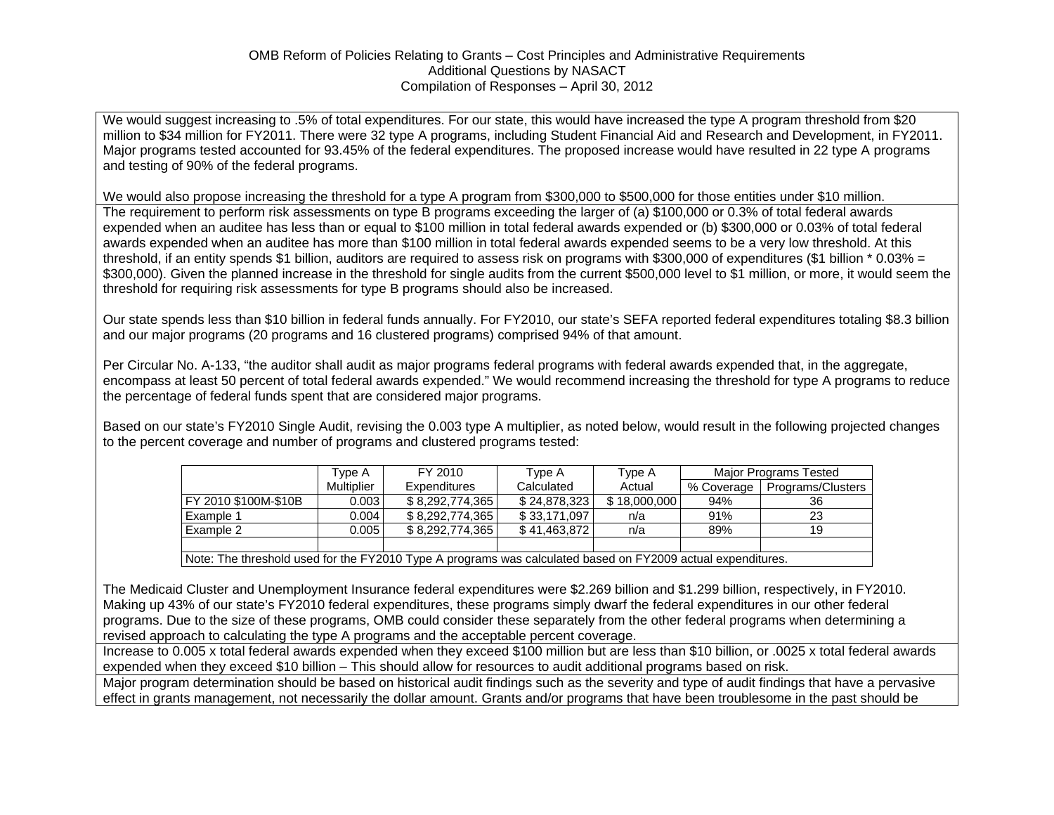We would suggest increasing to .5% of total expenditures. For our state, this would have increased the type A program threshold from \$20 million to \$34 million for FY2011. There were 32 type A programs, including Student Financial Aid and Research and Development, in FY2011. Major programs tested accounted for 93.45% of the federal expenditures. The proposed increase would have resulted in 22 type A programs and testing of 90% of the federal programs.

We would also propose increasing the threshold for a type A program from \$300,000 to \$500,000 for those entities under \$10 million.

The requirement to perform risk assessments on type B programs exceeding the larger of (a) \$100,000 or 0.3% of total federal awards expended when an auditee has less than or equal to \$100 million in total federal awards expended or (b) \$300,000 or 0.03% of total federal awards expended when an auditee has more than \$100 million in total federal awards expended seems to be a very low threshold. At this threshold, if an entity spends \$1 billion, auditors are required to assess risk on programs with \$300,000 of expenditures (\$1 billion \* 0.03% = \$300,000). Given the planned increase in the threshold for single audits from the current \$500,000 level to \$1 million, or more, it would seem the threshold for requiring risk assessments for type B programs should also be increased.

Our state spends less than \$10 billion in federal funds annually. For FY2010, our state's SEFA reported federal expenditures totaling \$8.3 billion and our major programs (20 programs and 16 clustered programs) comprised 94% of that amount.

Per Circular No. A-133, "the auditor shall audit as major programs federal programs with federal awards expended that, in the aggregate, encompass at least 50 percent of total federal awards expended." We would recommend increasing the threshold for type A programs to reduce the percentage of federal funds spent that are considered major programs.

Based on our state's FY2010 Single Audit, revising the 0.003 type A multiplier, as noted below, would result in the following projected changes to the percent coverage and number of programs and clustered programs tested:

| Гvpe A     | FY 2010             | Tvpe A       | Type A | Major Programs Tested |                   |
|------------|---------------------|--------------|--------|-----------------------|-------------------|
| Multiplier | <b>Expenditures</b> | Calculated   | Actual | % Coverage            | Programs/Clusters |
| 0.003      | \$8.292.774.365     | \$24.878.323 |        | 94%                   | 36                |
| 0.004      | \$8.292.774.365     | \$33,171,097 | n/a    | 91%                   | 23                |
| 0.005      | \$8.292.774.365     | \$41,463,872 | n/a    | 89%                   | 19                |
|            |                     |              |        |                       |                   |
|            |                     |              |        |                       | \$18,000,000      |

Note: The threshold used for the FY2010 Type A programs was calculated based on FY2009 actual expenditures.

The Medicaid Cluster and Unemployment Insurance federal expenditures were \$2.269 billion and \$1.299 billion, respectively, in FY2010. Making up 43% of our state's FY2010 federal expenditures, these programs simply dwarf the federal expenditures in our other federal programs. Due to the size of these programs, OMB could consider these separately from the other federal programs when determining a revised approach to calculating the type A programs and the acceptable percent coverage.

Increase to 0.005 x total federal awards expended when they exceed \$100 million but are less than \$10 billion, or .0025 x total federal awards expended when they exceed \$10 billion – This should allow for resources to audit additional programs based on risk.

Major program determination should be based on historical audit findings such as the severity and type of audit findings that have a pervasive effect in grants management, not necessarily the dollar amount. Grants and/or programs that have been troublesome in the past should be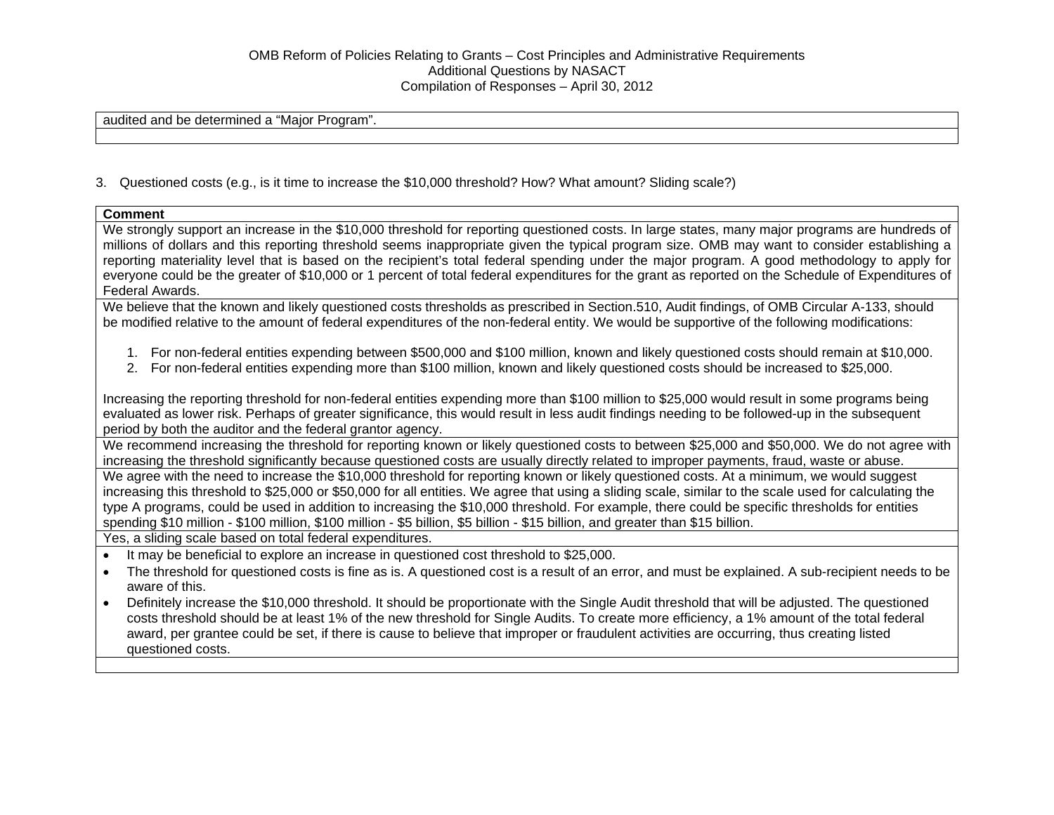audited and be determined a "Major Program".

3. Questioned costs (e.g., is it time to increase the \$10,000 threshold? How? What amount? Sliding scale?)

#### **Comment**

We strongly support an increase in the \$10,000 threshold for reporting questioned costs. In large states, many major programs are hundreds of millions of dollars and this reporting threshold seems inappropriate given the typical program size. OMB may want to consider establishing a reporting materiality level that is based on the recipient's total federal spending under the major program. A good methodology to apply for everyone could be the greater of \$10,000 or 1 percent of total federal expenditures for the grant as reported on the Schedule of Expenditures of Federal Awards.

We believe that the known and likely questioned costs thresholds as prescribed in Section.510, Audit findings, of OMB Circular A-133, should be modified relative to the amount of federal expenditures of the non-federal entity. We would be supportive of the following modifications:

- 1. For non-federal entities expending between \$500,000 and \$100 million, known and likely questioned costs should remain at \$10,000.
- 2. For non-federal entities expending more than \$100 million, known and likely questioned costs should be increased to \$25,000.

Increasing the reporting threshold for non-federal entities expending more than \$100 million to \$25,000 would result in some programs being evaluated as lower risk. Perhaps of greater significance, this would result in less audit findings needing to be followed-up in the subsequent period by both the auditor and the federal grantor agency.

We recommend increasing the threshold for reporting known or likely questioned costs to between \$25,000 and \$50,000. We do not agree with increasing the threshold significantly because questioned costs are usually directly related to improper payments, fraud, waste or abuse.

We agree with the need to increase the \$10,000 threshold for reporting known or likely questioned costs. At a minimum, we would suggest increasing this threshold to \$25,000 or \$50,000 for all entities. We agree that using a sliding scale, similar to the scale used for calculating the type A programs, could be used in addition to increasing the \$10,000 threshold. For example, there could be specific thresholds for entities spending \$10 million - \$100 million, \$100 million - \$5 billion, \$5 billion - \$15 billion, and greater than \$15 billion.

Yes, a sliding scale based on total federal expenditures.

- It may be beneficial to explore an increase in questioned cost threshold to \$25,000.
- The threshold for questioned costs is fine as is. A questioned cost is a result of an error, and must be explained. A sub-recipient needs to be aware of this.
- Definitely increase the \$10,000 threshold. It should be proportionate with the Single Audit threshold that will be adjusted. The questioned costs threshold should be at least 1% of the new threshold for Single Audits. To create more efficiency, a 1% amount of the total federal award, per grantee could be set, if there is cause to believe that improper or fraudulent activities are occurring, thus creating listed questioned costs.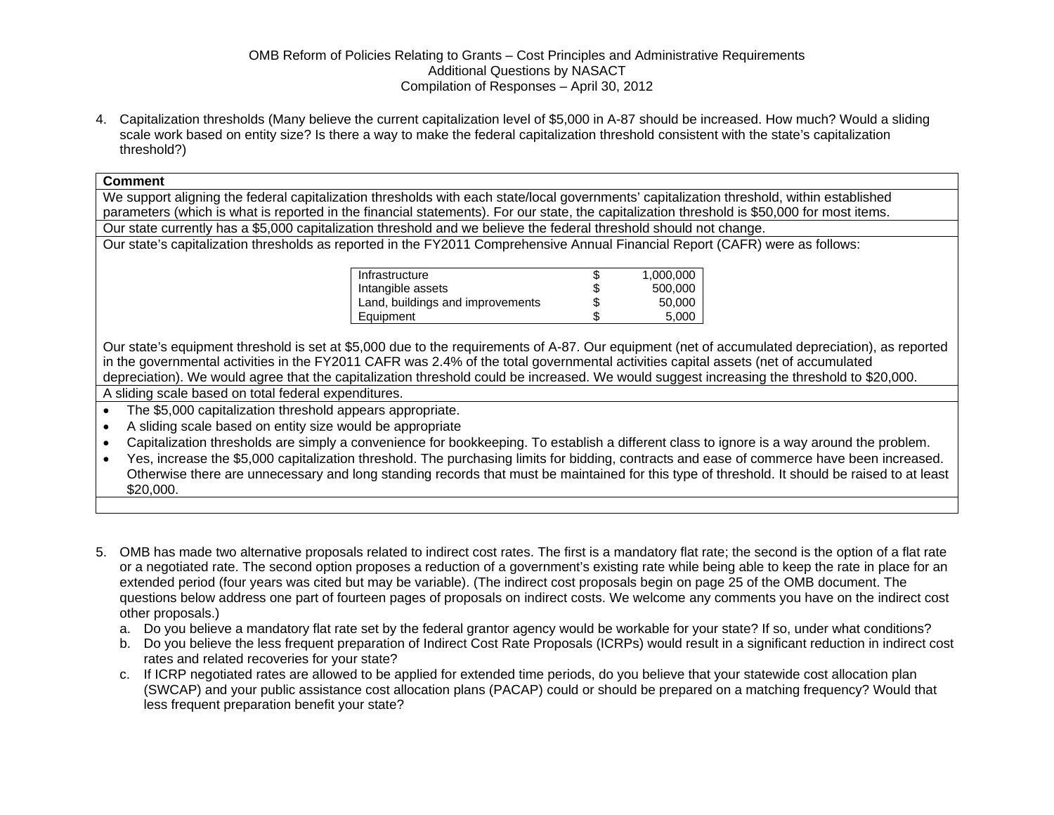4. Capitalization thresholds (Many believe the current capitalization level of \$5,000 in A-87 should be increased. How much? Would a sliding scale work based on entity size? Is there a way to make the federal capitalization threshold consistent with the state's capitalization threshold?)

#### **Comment**

We support aligning the federal capitalization thresholds with each state/local governments' capitalization threshold, within established parameters (which is what is reported in the financial statements). For our state, the capitalization threshold is \$50,000 for most items. Our state currently has a \$5,000 capitalization threshold and we believe the federal threshold should not change.

Our state's capitalization thresholds as reported in the FY2011 Comprehensive Annual Financial Report (CAFR) were as follows:

| Infrastructure                   | S  | 1,000,000 |
|----------------------------------|----|-----------|
| Intangible assets                | \$ | 500,000   |
| Land, buildings and improvements | \$ | 50,000    |
| Equipment                        | S  | 5.000     |

Our state's equipment threshold is set at \$5,000 due to the requirements of A-87. Our equipment (net of accumulated depreciation), as reported in the governmental activities in the FY2011 CAFR was 2.4% of the total governmental activities capital assets (net of accumulated depreciation). We would agree that the capitalization threshold could be increased. We would suggest increasing the threshold to \$20,000. A sliding scale based on total federal expenditures.

The \$5,000 capitalization threshold appears appropriate.

- A sliding scale based on entity size would be appropriate
- Capitalization thresholds are simply a convenience for bookkeeping. To establish a different class to ignore is a way around the problem.

 Yes, increase the \$5,000 capitalization threshold. The purchasing limits for bidding, contracts and ease of commerce have been increased. Otherwise there are unnecessary and long standing records that must be maintained for this type of threshold. It should be raised to at least \$20,000.

- 5. OMB has made two alternative proposals related to indirect cost rates. The first is a mandatory flat rate; the second is the option of a flat rate or a negotiated rate. The second option proposes a reduction of a government's existing rate while being able to keep the rate in place for an extended period (four years was cited but may be variable). (The indirect cost proposals begin on page 25 of the OMB document. The questions below address one part of fourteen pages of proposals on indirect costs. We welcome any comments you have on the indirect cost other proposals.)
	- a. Do you believe a mandatory flat rate set by the federal grantor agency would be workable for your state? If so, under what conditions?
	- b. Do you believe the less frequent preparation of Indirect Cost Rate Proposals (ICRPs) would result in a significant reduction in indirect cost rates and related recoveries for your state?
	- c. If ICRP negotiated rates are allowed to be applied for extended time periods, do you believe that your statewide cost allocation plan (SWCAP) and your public assistance cost allocation plans (PACAP) could or should be prepared on a matching frequency? Would that less frequent preparation benefit your state?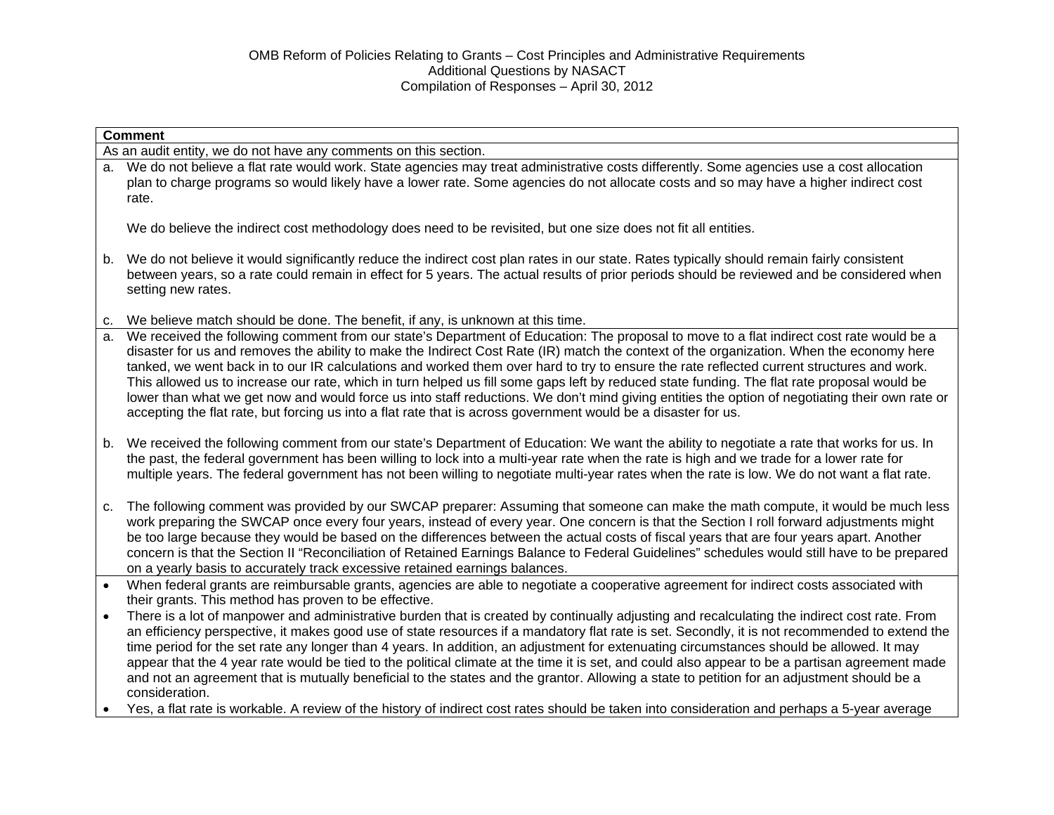|                                                                  | <b>Comment</b>                                                                                                                                                                                                                                                                                                                                                                                                                                                                                                                                                                                                                                                                                                                                                                                                                                                                                                |  |  |  |  |
|------------------------------------------------------------------|---------------------------------------------------------------------------------------------------------------------------------------------------------------------------------------------------------------------------------------------------------------------------------------------------------------------------------------------------------------------------------------------------------------------------------------------------------------------------------------------------------------------------------------------------------------------------------------------------------------------------------------------------------------------------------------------------------------------------------------------------------------------------------------------------------------------------------------------------------------------------------------------------------------|--|--|--|--|
| As an audit entity, we do not have any comments on this section. |                                                                                                                                                                                                                                                                                                                                                                                                                                                                                                                                                                                                                                                                                                                                                                                                                                                                                                               |  |  |  |  |
| а.                                                               | We do not believe a flat rate would work. State agencies may treat administrative costs differently. Some agencies use a cost allocation<br>plan to charge programs so would likely have a lower rate. Some agencies do not allocate costs and so may have a higher indirect cost<br>rate.                                                                                                                                                                                                                                                                                                                                                                                                                                                                                                                                                                                                                    |  |  |  |  |
|                                                                  | We do believe the indirect cost methodology does need to be revisited, but one size does not fit all entities.                                                                                                                                                                                                                                                                                                                                                                                                                                                                                                                                                                                                                                                                                                                                                                                                |  |  |  |  |
| b.                                                               | We do not believe it would significantly reduce the indirect cost plan rates in our state. Rates typically should remain fairly consistent<br>between years, so a rate could remain in effect for 5 years. The actual results of prior periods should be reviewed and be considered when<br>setting new rates.                                                                                                                                                                                                                                                                                                                                                                                                                                                                                                                                                                                                |  |  |  |  |
| C.                                                               | We believe match should be done. The benefit, if any, is unknown at this time.                                                                                                                                                                                                                                                                                                                                                                                                                                                                                                                                                                                                                                                                                                                                                                                                                                |  |  |  |  |
| a.                                                               | We received the following comment from our state's Department of Education: The proposal to move to a flat indirect cost rate would be a<br>disaster for us and removes the ability to make the Indirect Cost Rate (IR) match the context of the organization. When the economy here<br>tanked, we went back in to our IR calculations and worked them over hard to try to ensure the rate reflected current structures and work.<br>This allowed us to increase our rate, which in turn helped us fill some gaps left by reduced state funding. The flat rate proposal would be<br>lower than what we get now and would force us into staff reductions. We don't mind giving entities the option of negotiating their own rate or<br>accepting the flat rate, but forcing us into a flat rate that is across government would be a disaster for us.                                                          |  |  |  |  |
| b.                                                               | We received the following comment from our state's Department of Education: We want the ability to negotiate a rate that works for us. In<br>the past, the federal government has been willing to lock into a multi-year rate when the rate is high and we trade for a lower rate for<br>multiple years. The federal government has not been willing to negotiate multi-year rates when the rate is low. We do not want a flat rate.                                                                                                                                                                                                                                                                                                                                                                                                                                                                          |  |  |  |  |
| C.                                                               | The following comment was provided by our SWCAP preparer: Assuming that someone can make the math compute, it would be much less<br>work preparing the SWCAP once every four years, instead of every year. One concern is that the Section I roll forward adjustments might<br>be too large because they would be based on the differences between the actual costs of fiscal years that are four years apart. Another<br>concern is that the Section II "Reconciliation of Retained Earnings Balance to Federal Guidelines" schedules would still have to be prepared<br>on a yearly basis to accurately track excessive retained earnings balances.                                                                                                                                                                                                                                                         |  |  |  |  |
| $\bullet$                                                        | When federal grants are reimbursable grants, agencies are able to negotiate a cooperative agreement for indirect costs associated with<br>their grants. This method has proven to be effective.                                                                                                                                                                                                                                                                                                                                                                                                                                                                                                                                                                                                                                                                                                               |  |  |  |  |
|                                                                  | There is a lot of manpower and administrative burden that is created by continually adjusting and recalculating the indirect cost rate. From<br>an efficiency perspective, it makes good use of state resources if a mandatory flat rate is set. Secondly, it is not recommended to extend the<br>time period for the set rate any longer than 4 years. In addition, an adjustment for extenuating circumstances should be allowed. It may<br>appear that the 4 year rate would be tied to the political climate at the time it is set, and could also appear to be a partisan agreement made<br>and not an agreement that is mutually beneficial to the states and the grantor. Allowing a state to petition for an adjustment should be a<br>consideration.<br>Yes, a flat rate is workable. A review of the history of indirect cost rates should be taken into consideration and perhaps a 5-year average |  |  |  |  |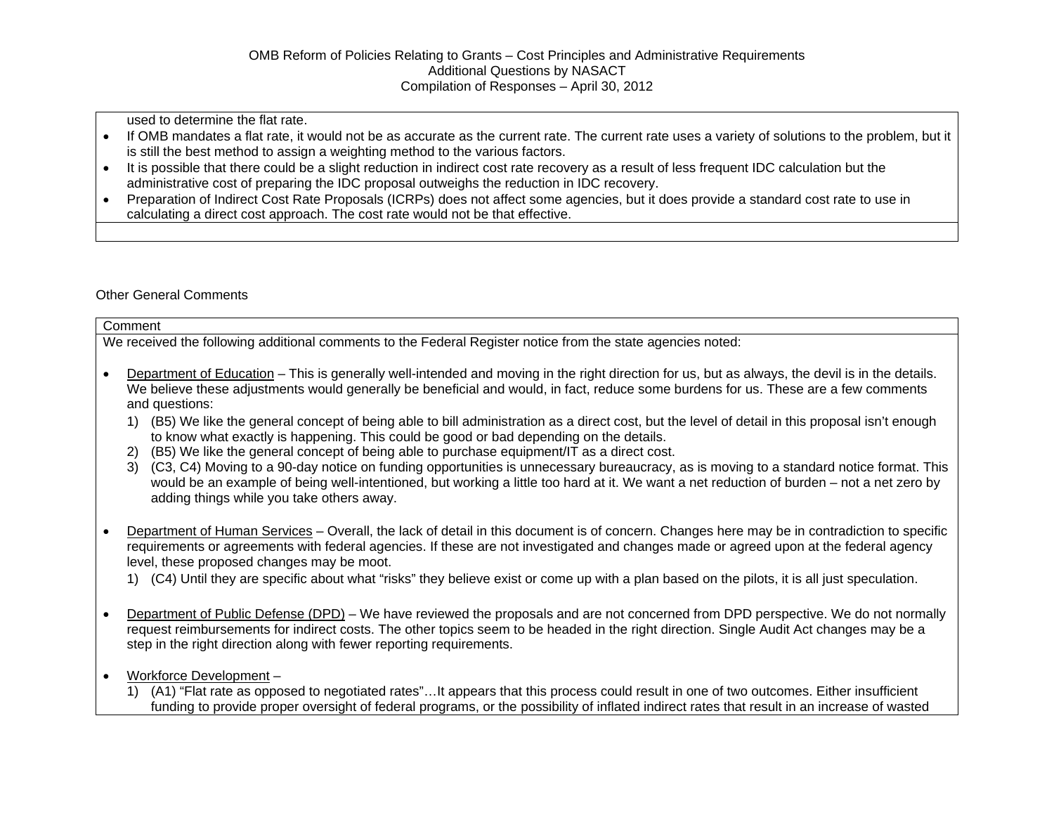used to determine the flat rate.

- If OMB mandates a flat rate, it would not be as accurate as the current rate. The current rate uses a variety of solutions to the problem, but it is still the best method to assign a weighting method to the various factors.
- It is possible that there could be a slight reduction in indirect cost rate recovery as a result of less frequent IDC calculation but the administrative cost of preparing the IDC proposal outweighs the reduction in IDC recovery.
- Preparation of Indirect Cost Rate Proposals (ICRPs) does not affect some agencies, but it does provide a standard cost rate to use in calculating a direct cost approach. The cost rate would not be that effective.

### Other General Comments

| Comment                                                                                                                                                                                                                                                                                                                                                                                                                                                                                                                                                                                                                                                |  |  |  |  |
|--------------------------------------------------------------------------------------------------------------------------------------------------------------------------------------------------------------------------------------------------------------------------------------------------------------------------------------------------------------------------------------------------------------------------------------------------------------------------------------------------------------------------------------------------------------------------------------------------------------------------------------------------------|--|--|--|--|
| We received the following additional comments to the Federal Register notice from the state agencies noted:                                                                                                                                                                                                                                                                                                                                                                                                                                                                                                                                            |  |  |  |  |
| Department of Education – This is generally well-intended and moving in the right direction for us, but as always, the devil is in the details.<br>We believe these adjustments would generally be beneficial and would, in fact, reduce some burdens for us. These are a few comments<br>and questions:<br>1) (B5) We like the general concept of being able to bill administration as a direct cost, but the level of detail in this proposal isn't enough<br>to know what exactly is happening. This could be good or bad depending on the details.<br>2) (B5) We like the general concept of being able to purchase equipment/IT as a direct cost. |  |  |  |  |
| 3) (C3, C4) Moving to a 90-day notice on funding opportunities is unnecessary bureaucracy, as is moving to a standard notice format. This<br>would be an example of being well-intentioned, but working a little too hard at it. We want a net reduction of burden – not a net zero by<br>adding things while you take others away.                                                                                                                                                                                                                                                                                                                    |  |  |  |  |
| Department of Human Services – Overall, the lack of detail in this document is of concern. Changes here may be in contradiction to specific<br>requirements or agreements with federal agencies. If these are not investigated and changes made or agreed upon at the federal agency<br>level, these proposed changes may be moot.                                                                                                                                                                                                                                                                                                                     |  |  |  |  |
| (C4) Until they are specific about what "risks" they believe exist or come up with a plan based on the pilots, it is all just speculation.<br>1)                                                                                                                                                                                                                                                                                                                                                                                                                                                                                                       |  |  |  |  |
| Department of Public Defense (DPD) – We have reviewed the proposals and are not concerned from DPD perspective. We do not normally<br>request reimbursements for indirect costs. The other topics seem to be headed in the right direction. Single Audit Act changes may be a<br>step in the right direction along with fewer reporting requirements.                                                                                                                                                                                                                                                                                                  |  |  |  |  |
| Workforce Development-                                                                                                                                                                                                                                                                                                                                                                                                                                                                                                                                                                                                                                 |  |  |  |  |

1) (A1) "Flat rate as opposed to negotiated rates"…It appears that this process could result in one of two outcomes. Either insufficient funding to provide proper oversight of federal programs, or the possibility of inflated indirect rates that result in an increase of wasted